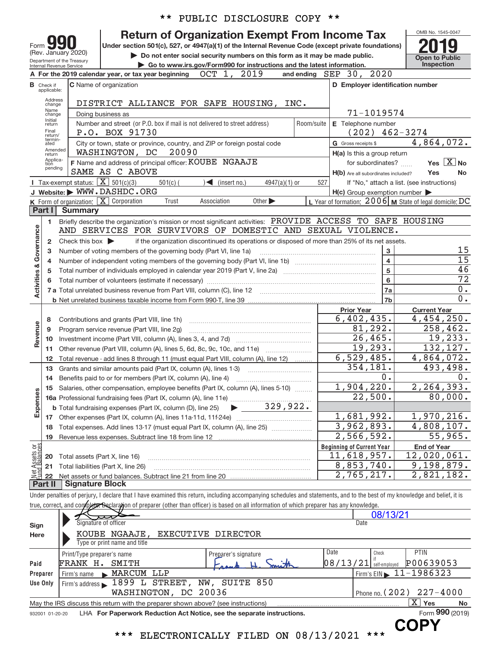|                         |                                  | * *<br>PUBLIC DISCLOSURE COPY **                                                                                                                                                                                                                                                                                         |            |                                                     |                                                           |
|-------------------------|----------------------------------|--------------------------------------------------------------------------------------------------------------------------------------------------------------------------------------------------------------------------------------------------------------------------------------------------------------------------|------------|-----------------------------------------------------|-----------------------------------------------------------|
|                         |                                  | <b>Return of Organization Exempt From Income Tax</b>                                                                                                                                                                                                                                                                     |            |                                                     | OMB No. 1545-0047                                         |
| Form                    |                                  | Under section 501(c), 527, or 4947(a)(1) of the Internal Revenue Code (except private foundations)                                                                                                                                                                                                                       |            |                                                     |                                                           |
|                         |                                  | (Rev. January 2020)<br>Do not enter social security numbers on this form as it may be made public.<br>Department of the Treasury                                                                                                                                                                                         |            |                                                     | <b>Open to Public</b>                                     |
|                         |                                  | Go to www.irs.gov/Form990 for instructions and the latest information.<br>Internal Revenue Service                                                                                                                                                                                                                       |            |                                                     | Inspection                                                |
|                         |                                  | OCT 1, 2019<br>A For the 2019 calendar year, or tax year beginning                                                                                                                                                                                                                                                       |            | and ending SEP 30, 2020                             |                                                           |
|                         | <b>B</b> Check if<br>applicable: | <b>C</b> Name of organization                                                                                                                                                                                                                                                                                            |            | D Employer identification number                    |                                                           |
|                         | Address<br>change                | DISTRICT ALLIANCE FOR SAFE HOUSING, INC.                                                                                                                                                                                                                                                                                 |            |                                                     |                                                           |
|                         | Name<br>change                   | Doing business as                                                                                                                                                                                                                                                                                                        |            | 71-1019574                                          |                                                           |
|                         | Initial<br>return                | Number and street (or P.O. box if mail is not delivered to street address)                                                                                                                                                                                                                                               | Room/suite | E Telephone number                                  |                                                           |
|                         | Final<br>return/                 | P.O. BOX 91730                                                                                                                                                                                                                                                                                                           |            | $(202)$ 462-3274                                    |                                                           |
|                         | termin-<br>ated                  | City or town, state or province, country, and ZIP or foreign postal code                                                                                                                                                                                                                                                 |            | G Gross receipts \$                                 | 4,864,072.                                                |
|                         | Amended<br>return                | 20090<br>WASHINGTON, DC                                                                                                                                                                                                                                                                                                  |            | H(a) Is this a group return                         |                                                           |
|                         | Applica-<br>tion<br>pending      | F Name and address of principal officer: KOUBE NGAAJE                                                                                                                                                                                                                                                                    |            | for subordinates?                                   | Yes $X$ No                                                |
|                         |                                  | SAME AS C ABOVE<br><b>I</b> Tax-exempt status: $\overline{X}$ 501(c)(3)<br>$501(c)$ (<br>$\triangleleft$ (insert no.)<br>4947(a)(1) or                                                                                                                                                                                   | 527        | H(b) Are all subordinates included?                 | Yes<br>No<br>If "No," attach a list. (see instructions)   |
|                         |                                  | J Website: WWW.DASHDC.ORG                                                                                                                                                                                                                                                                                                |            | $H(c)$ Group exemption number $\blacktriangleright$ |                                                           |
|                         |                                  | K Form of organization: X Corporation<br>Association<br>Other $\blacktriangleright$<br>Trust                                                                                                                                                                                                                             |            |                                                     | L Year of formation: $2006$ M State of legal domicile: DC |
|                         | Part I                           | <b>Summary</b>                                                                                                                                                                                                                                                                                                           |            |                                                     |                                                           |
|                         | 1.                               | Briefly describe the organization's mission or most significant activities: PROVIDE ACCESS TO SAFE HOUSING                                                                                                                                                                                                               |            |                                                     |                                                           |
| Governance              |                                  | AND SERVICES FOR SURVIVORS OF DOMESTIC AND SEXUAL VIOLENCE.                                                                                                                                                                                                                                                              |            |                                                     |                                                           |
|                         | $\overline{2}$                   | if the organization discontinued its operations or disposed of more than 25% of its net assets.<br>Check this box $\blacktriangleright$                                                                                                                                                                                  |            |                                                     |                                                           |
|                         | 3                                | Number of voting members of the governing body (Part VI, line 1a)                                                                                                                                                                                                                                                        |            | $\mathbf{3}$                                        | 15                                                        |
|                         | 4                                |                                                                                                                                                                                                                                                                                                                          |            | $\overline{4}$                                      | $\overline{15}$<br>46                                     |
| <b>Activities &amp;</b> | 5                                |                                                                                                                                                                                                                                                                                                                          |            | 5<br>$6\phantom{a}$                                 | $\overline{72}$                                           |
|                         |                                  | Total number of volunteers (estimate if necessary)                                                                                                                                                                                                                                                                       |            | 7a                                                  | 0.                                                        |
|                         |                                  |                                                                                                                                                                                                                                                                                                                          |            | 7b                                                  | $\overline{0}$ .                                          |
|                         |                                  |                                                                                                                                                                                                                                                                                                                          |            | <b>Prior Year</b>                                   | <b>Current Year</b>                                       |
|                         | 8                                | Contributions and grants (Part VIII, line 1h)                                                                                                                                                                                                                                                                            |            | 6,402,435.                                          | 4,454,250.                                                |
|                         | 9                                | Program service revenue (Part VIII, line 2g)                                                                                                                                                                                                                                                                             | 81,292.    | 258, 462.                                           |                                                           |
| Revenue                 | 10                               |                                                                                                                                                                                                                                                                                                                          | 26,465.    | 19,233.                                             |                                                           |
|                         | 11                               |                                                                                                                                                                                                                                                                                                                          |            | 19,293.                                             | 132,127.                                                  |
|                         | 12                               | Total revenue - add lines 8 through 11 (must equal Part VIII, column (A), line 12)                                                                                                                                                                                                                                       |            | 6,529,485.                                          | 4,864,072.                                                |
|                         | 13                               | Grants and similar amounts paid (Part IX, column (A), lines 1-3)                                                                                                                                                                                                                                                         |            | 354,181.                                            | 493,498.                                                  |
|                         | 14                               | Benefits paid to or for members (Part IX, column (A), line 4)                                                                                                                                                                                                                                                            |            | 0.<br>1,904,220.                                    | 0.<br>2, 264, 393.                                        |
|                         |                                  | 15 Salaries, other compensation, employee benefits (Part IX, column (A), lines 5-10)                                                                                                                                                                                                                                     |            | 22,500.                                             | 80,000.                                                   |
| Expenses                |                                  | 329,922.<br><b>b</b> Total fundraising expenses (Part IX, column (D), line 25)<br>▶                                                                                                                                                                                                                                      |            |                                                     |                                                           |
|                         |                                  |                                                                                                                                                                                                                                                                                                                          |            | 1,681,992.                                          | 1,970,216.                                                |
|                         |                                  | 18 Total expenses. Add lines 13-17 (must equal Part IX, column (A), line 25)                                                                                                                                                                                                                                             |            | 3,962,893.                                          | $\overline{4,808},107.$                                   |
|                         | 19                               |                                                                                                                                                                                                                                                                                                                          |            | $\overline{2,566,592}$ .                            | 55,965.                                                   |
| $rac{5}{9}$             |                                  |                                                                                                                                                                                                                                                                                                                          |            | <b>Beginning of Current Year</b>                    | <b>End of Year</b>                                        |
| : Assets<br>d Balanc    | 20                               | Total assets (Part X, line 16)                                                                                                                                                                                                                                                                                           |            | $\overline{11}$ , 618, 957.                         | 12,020,061.                                               |
|                         | 21                               | Total liabilities (Part X, line 26)                                                                                                                                                                                                                                                                                      |            | 8,853,740.                                          | 9,198,879.                                                |
| 휆                       | 22                               |                                                                                                                                                                                                                                                                                                                          |            | 2,765,217.                                          | 2,821,182.                                                |
|                         | Part II                          | <b>Signature Block</b>                                                                                                                                                                                                                                                                                                   |            |                                                     |                                                           |
|                         |                                  | Under penalties of perjury, I declare that I have examined this return, including accompanying schedules and statements, and to the best of my knowledge and belief, it is<br>true, correct, and completer Beclaration of preparer (other than officer) is based on all information of which preparer has any knowledge. |            |                                                     |                                                           |
|                         |                                  |                                                                                                                                                                                                                                                                                                                          |            | 08/13/21                                            |                                                           |
| Sign                    |                                  | Signature of officer                                                                                                                                                                                                                                                                                                     |            | Date                                                |                                                           |
| Here                    |                                  | KOUBE NGAAJE,<br>EXECUTIVE DIRECTOR                                                                                                                                                                                                                                                                                      |            |                                                     |                                                           |
|                         |                                  | Type or print name and title                                                                                                                                                                                                                                                                                             |            |                                                     |                                                           |
|                         |                                  | Print/Type preparer's name<br>Preparer's signature                                                                                                                                                                                                                                                                       |            | Date<br>Check                                       | PTIN                                                      |
| Paid                    |                                  | FRANK H. SMITH                                                                                                                                                                                                                                                                                                           |            | 08/13/21<br>self-employed                           | P00639053                                                 |
|                         | Preparer                         | MARCUM LLP<br>Firm's name                                                                                                                                                                                                                                                                                                |            | Firm's $EIN$                                        | 11-1986323                                                |
|                         | Use Only                         | Firm's address 1899 L STREET, NW, SUITE 850                                                                                                                                                                                                                                                                              |            |                                                     |                                                           |
|                         |                                  | WASHINGTON, DC 20036                                                                                                                                                                                                                                                                                                     |            |                                                     | Phone no. (202) 227-4000                                  |
|                         |                                  | May the IRS discuss this return with the preparer shown above? (see instructions)<br>LHA For Paperwork Reduction Act Notice, see the separate instructions.                                                                                                                                                              |            |                                                     | $\overline{X}$ Yes<br>No<br>Form 990 (2019)               |
|                         | 932001 01-20-20                  |                                                                                                                                                                                                                                                                                                                          |            |                                                     |                                                           |
|                         |                                  | ELECTRONICALLY FILED ON 08/13/2021 ***<br>***                                                                                                                                                                                                                                                                            |            |                                                     | <b>COPY</b>                                               |
|                         |                                  |                                                                                                                                                                                                                                                                                                                          |            |                                                     |                                                           |

|                 |                            |                              |                      |                                                                                   |       |                          |  | - - - - - - - - |                                |    |  |
|-----------------|----------------------------|------------------------------|----------------------|-----------------------------------------------------------------------------------|-------|--------------------------|--|-----------------|--------------------------------|----|--|
| Sign            | Signature of officer       |                              |                      |                                                                                   | Date  |                          |  |                 |                                |    |  |
| Here            |                            |                              |                      | KOUBE NGAAJE, EXECUTIVE DIRECTOR                                                  |       |                          |  |                 |                                |    |  |
|                 |                            | Type or print name and title |                      |                                                                                   |       |                          |  |                 |                                |    |  |
|                 | Print/Type preparer's name |                              |                      | Preparer's signature                                                              |       | Date                     |  | Check           | PTIN                           |    |  |
| Paid            | FRANK H.                   | SMITH                        |                      | Loand                                                                             | Smith | $08/13/21$ self-employed |  |                 | P00639053                      |    |  |
| Preparer        | Firm's name MARCUM LLP     |                              |                      |                                                                                   |       |                          |  |                 | $Firm's EIN$ $11-1986323$      |    |  |
| Use Only        |                            |                              |                      | Firm's address 1899 L STREET, NW, SUITE 850                                       |       |                          |  |                 |                                |    |  |
|                 |                            |                              | WASHINGTON, DC 20036 |                                                                                   |       |                          |  |                 | Phone no. $(202)$ $227 - 4000$ |    |  |
|                 |                            |                              |                      | May the IRS discuss this return with the preparer shown above? (see instructions) |       |                          |  |                 | $X \mid$<br>Yes                | No |  |
| 932001 01-20-20 |                            |                              |                      | LHA For Paperwork Reduction Act Notice, see the separate instructions.            |       |                          |  |                 | Form 990 (2019)                |    |  |
|                 |                            |                              |                      |                                                                                   |       |                          |  |                 | -----                          |    |  |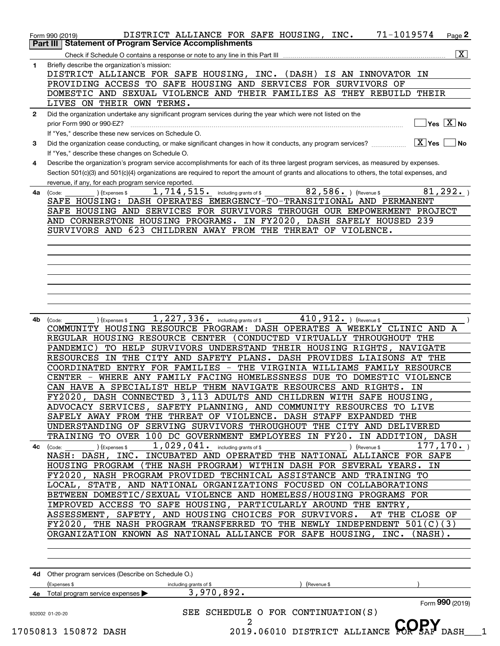| 1  | $\overline{\mathbf{X}}$                                                                                                                       |
|----|-----------------------------------------------------------------------------------------------------------------------------------------------|
|    | Briefly describe the organization's mission:                                                                                                  |
|    | DISTRICT ALLIANCE FOR SAFE HOUSING, INC. (DASH) IS AN INNOVATOR IN                                                                            |
|    | PROVIDING ACCESS TO SAFE HOUSING AND SERVICES FOR SURVIVORS OF                                                                                |
|    | DOMESTIC AND SEXUAL VIOLENCE AND THEIR FAMILIES AS THEY REBUILD THEIR                                                                         |
|    | LIVES ON THEIR OWN TERMS.                                                                                                                     |
| 2  | Did the organization undertake any significant program services during the year which were not listed on the                                  |
|    | $\overline{\mathsf{Yes}\mathrel{\hspace{0.05cm}\mathbf{X}}$ No                                                                                |
|    | If "Yes," describe these new services on Schedule O.                                                                                          |
| 3  | Did the organization cease conducting, or make significant changes in how it conducts, any program services?<br>$ \underline{X} $ Yes<br>l No |
|    | If "Yes," describe these changes on Schedule O.                                                                                               |
| 4  | Describe the organization's program service accomplishments for each of its three largest program services, as measured by expenses.          |
|    | Section 501(c)(3) and 501(c)(4) organizations are required to report the amount of grants and allocations to others, the total expenses, and  |
|    | revenue, if any, for each program service reported.<br>1,714,515. including grants of \$<br>82,586. ) (Revenue \$<br>81,292.                  |
| 4a | (Expenses \$<br>(Code:<br>SAFE HOUSING: DASH OPERATES EMERGENCY-TO-TRANSITIONAL AND PERMANENT                                                 |
|    | SAFE HOUSING AND SERVICES FOR SURVIVORS THROUGH OUR EMPOWERMENT PROJECT                                                                       |
|    | AND CORNERSTONE HOUSING PROGRAMS. IN FY2020, DASH SAFELY HOUSED 239                                                                           |
|    | SURVIVORS AND 623 CHILDREN AWAY FROM THE THREAT OF VIOLENCE.                                                                                  |
|    |                                                                                                                                               |
|    |                                                                                                                                               |
|    |                                                                                                                                               |
|    |                                                                                                                                               |
|    |                                                                                                                                               |
|    |                                                                                                                                               |
|    |                                                                                                                                               |
|    |                                                                                                                                               |
| 4b | 410, 912. ) (Revenue \$<br>1, 227, 336. including grants of \$<br>(Code:<br>(Expenses \$                                                      |
|    | COMMUNITY HOUSING RESOURCE PROGRAM: DASH OPERATES A WEEKLY CLINIC AND A                                                                       |
|    |                                                                                                                                               |
|    | REGULAR HOUSING RESOURCE CENTER (CONDUCTED VIRTUALLY THROUGHOUT THE                                                                           |
|    | TO HELP SURVIVORS UNDERSTAND THEIR HOUSING RIGHTS, NAVIGATE<br>PANDEMIC)                                                                      |
|    | RESOURCES IN THE CITY AND SAFETY PLANS. DASH PROVIDES LIAISONS AT THE                                                                         |
|    | COORDINATED ENTRY FOR FAMILIES - THE VIRGINIA WILLIAMS FAMILY RESOURCE                                                                        |
|    | CENTER - WHERE ANY FAMILY FACING HOMELESSNESS DUE TO DOMESTIC VIOLENCE                                                                        |
|    | CAN HAVE A SPECIALIST HELP THEM NAVIGATE RESOURCES AND RIGHTS.<br>IN                                                                          |
|    | DASH CONNECTED 3,113 ADULTS AND CHILDREN WITH SAFE HOUSING,<br>FY2020,                                                                        |
|    | ADVOCACY SERVICES, SAFETY PLANNING, AND COMMUNITY RESOURCES TO LIVE                                                                           |
|    | SAFELY AWAY FROM THE THREAT OF VIOLENCE. DASH STAFF EXPANDED THE                                                                              |
|    | UNDERSTANDING OF SERVING SURVIVORS THROUGHOUT THE CITY AND DELIVERED                                                                          |
|    | TRAINING TO OVER 100 DC GOVERNMENT EMPLOYEES IN FY20. IN ADDITION, DASH                                                                       |
|    | 1,029,041. including grants of \$<br>177, 170.<br>) (Expenses \$<br>) (Revenue \$<br>4c (Code:                                                |
|    | NASH: DASH, INC. INCUBATED AND OPERATED THE NATIONAL ALLIANCE FOR SAFE                                                                        |
|    | HOUSING PROGRAM (THE NASH PROGRAM) WITHIN DASH FOR SEVERAL YEARS. IN                                                                          |
|    | FY2020, NASH PROGRAM PROVIDED TECHNICAL ASSISTANCE AND TRAINING TO                                                                            |
|    | LOCAL, STATE, AND NATIONAL ORGANIZATIONS FOCUSED ON COLLABORATIONS                                                                            |
|    | BETWEEN DOMESTIC/SEXUAL VIOLENCE AND HOMELESS/HOUSING PROGRAMS FOR                                                                            |
|    | IMPROVED ACCESS TO SAFE HOUSING, PARTICULARLY AROUND THE ENTRY,                                                                               |
|    | ASSESSMENT, SAFETY, AND HOUSING CHOICES FOR SURVIVORS.<br>AT THE CLOSE OF                                                                     |
|    | FY2020, THE NASH PROGRAM TRANSFERRED TO THE NEWLY INDEPENDENT 501(C)(3)                                                                       |
|    | ORGANIZATION KNOWN AS NATIONAL ALLIANCE FOR SAFE HOUSING, INC. (NASH).                                                                        |
|    |                                                                                                                                               |
|    |                                                                                                                                               |
|    |                                                                                                                                               |
|    | 4d Other program services (Describe on Schedule O.)                                                                                           |
|    | (Expenses \$<br>including grants of \$<br>(Revenue \$                                                                                         |
|    | 3,970,892.<br>4e Total program service expenses<br>Form 990 (2019)                                                                            |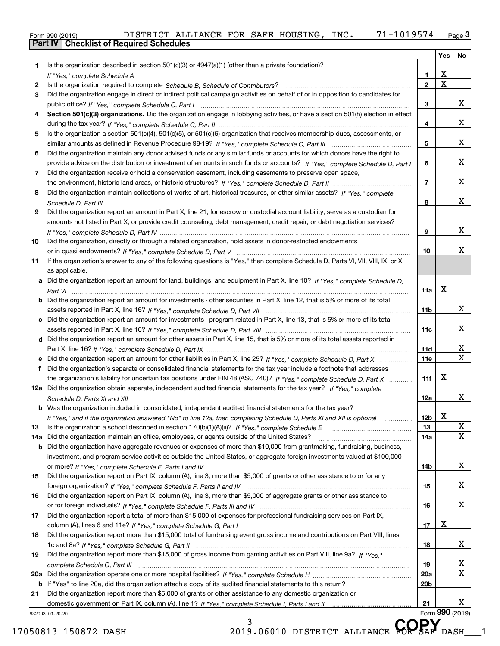|  | Form 990 (2019) |  |
|--|-----------------|--|

|     |                                                                                                                                  |                 | Yes                     | No                      |
|-----|----------------------------------------------------------------------------------------------------------------------------------|-----------------|-------------------------|-------------------------|
| 1   | Is the organization described in section $501(c)(3)$ or $4947(a)(1)$ (other than a private foundation)?                          |                 |                         |                         |
|     |                                                                                                                                  | 1.              | X                       |                         |
| 2   |                                                                                                                                  | $\mathbf{2}$    | $\overline{\mathbf{x}}$ |                         |
| 3   | Did the organization engage in direct or indirect political campaign activities on behalf of or in opposition to candidates for  |                 |                         |                         |
|     |                                                                                                                                  | 3               |                         | x                       |
| 4   | Section 501(c)(3) organizations. Did the organization engage in lobbying activities, or have a section 501(h) election in effect |                 |                         |                         |
|     |                                                                                                                                  | 4               |                         | x                       |
| 5   | Is the organization a section 501(c)(4), 501(c)(5), or 501(c)(6) organization that receives membership dues, assessments, or     |                 |                         |                         |
|     |                                                                                                                                  | 5               |                         | x                       |
| 6   | Did the organization maintain any donor advised funds or any similar funds or accounts for which donors have the right to        |                 |                         |                         |
|     | provide advice on the distribution or investment of amounts in such funds or accounts? If "Yes," complete Schedule D, Part I     | 6               |                         | x                       |
| 7   | Did the organization receive or hold a conservation easement, including easements to preserve open space,                        |                 |                         |                         |
|     |                                                                                                                                  | $\overline{7}$  |                         | x                       |
| 8   | Did the organization maintain collections of works of art, historical treasures, or other similar assets? If "Yes," complete     |                 |                         |                         |
|     |                                                                                                                                  | 8               |                         | x                       |
|     |                                                                                                                                  |                 |                         |                         |
| 9   | Did the organization report an amount in Part X, line 21, for escrow or custodial account liability, serve as a custodian for    |                 |                         |                         |
|     | amounts not listed in Part X; or provide credit counseling, debt management, credit repair, or debt negotiation services?        |                 |                         | x                       |
|     |                                                                                                                                  | 9               |                         |                         |
| 10  | Did the organization, directly or through a related organization, hold assets in donor-restricted endowments                     |                 |                         | x                       |
|     |                                                                                                                                  | 10              |                         |                         |
| 11  | If the organization's answer to any of the following questions is "Yes," then complete Schedule D, Parts VI, VII, VIII, IX, or X |                 |                         |                         |
|     | as applicable.                                                                                                                   |                 |                         |                         |
|     | a Did the organization report an amount for land, buildings, and equipment in Part X, line 10? If "Yes," complete Schedule D,    |                 |                         |                         |
|     |                                                                                                                                  | 11a             | X                       |                         |
|     | b Did the organization report an amount for investments - other securities in Part X, line 12, that is 5% or more of its total   |                 |                         |                         |
|     |                                                                                                                                  | 11b             |                         | x                       |
|     | c Did the organization report an amount for investments - program related in Part X, line 13, that is 5% or more of its total    |                 |                         |                         |
|     |                                                                                                                                  | 11c             |                         | x                       |
|     | d Did the organization report an amount for other assets in Part X, line 15, that is 5% or more of its total assets reported in  |                 |                         |                         |
|     |                                                                                                                                  | 11d             |                         | x                       |
|     | e Did the organization report an amount for other liabilities in Part X, line 25? If "Yes," complete Schedule D, Part X          | <b>11e</b>      |                         | $\overline{\mathbf{x}}$ |
| f   | Did the organization's separate or consolidated financial statements for the tax year include a footnote that addresses          |                 |                         |                         |
|     | the organization's liability for uncertain tax positions under FIN 48 (ASC 740)? If "Yes," complete Schedule D, Part X           | 11f             | X                       |                         |
|     | 12a Did the organization obtain separate, independent audited financial statements for the tax year? If "Yes," complete          |                 |                         |                         |
|     |                                                                                                                                  | 12a             |                         | x                       |
|     | <b>b</b> Was the organization included in consolidated, independent audited financial statements for the tax year?               |                 |                         |                         |
|     | If "Yes," and if the organization answered "No" to line 12a, then completing Schedule D, Parts XI and XII is optional            | 12b             | X                       |                         |
| 13  |                                                                                                                                  | 13              |                         | X                       |
| 14a | Did the organization maintain an office, employees, or agents outside of the United States?                                      | 14a             |                         | $\mathbf x$             |
| b   | Did the organization have aggregate revenues or expenses of more than \$10,000 from grantmaking, fundraising, business,          |                 |                         |                         |
|     | investment, and program service activities outside the United States, or aggregate foreign investments valued at \$100,000       |                 |                         |                         |
|     |                                                                                                                                  | 14b             |                         | х                       |
| 15  | Did the organization report on Part IX, column (A), line 3, more than \$5,000 of grants or other assistance to or for any        |                 |                         |                         |
|     |                                                                                                                                  | 15              |                         | х                       |
| 16  | Did the organization report on Part IX, column (A), line 3, more than \$5,000 of aggregate grants or other assistance to         |                 |                         |                         |
|     |                                                                                                                                  | 16              |                         | х                       |
| 17  | Did the organization report a total of more than \$15,000 of expenses for professional fundraising services on Part IX,          |                 |                         |                         |
|     |                                                                                                                                  | 17              | х                       |                         |
| 18  | Did the organization report more than \$15,000 total of fundraising event gross income and contributions on Part VIII, lines     |                 |                         |                         |
|     |                                                                                                                                  | 18              |                         | x                       |
| 19  | Did the organization report more than \$15,000 of gross income from gaming activities on Part VIII, line 9a? If "Yes."           |                 |                         |                         |
|     |                                                                                                                                  | 19              |                         | X                       |
| 20a |                                                                                                                                  | <b>20a</b>      |                         | $\mathbf X$             |
| b   | If "Yes" to line 20a, did the organization attach a copy of its audited financial statements to this return?                     | 20 <sub>b</sub> |                         |                         |
| 21  | Did the organization report more than \$5,000 of grants or other assistance to any domestic organization or                      |                 |                         |                         |
|     |                                                                                                                                  | 21              |                         | x                       |
|     | 932003 01-20-20                                                                                                                  |                 |                         | Form 990 (2019)         |
|     | ર<br>AARV                                                                                                                        |                 |                         |                         |

3 17050813 150872 DASH 2019.06010 DISTRICT ALLIANCE **COPSAF** DASH 1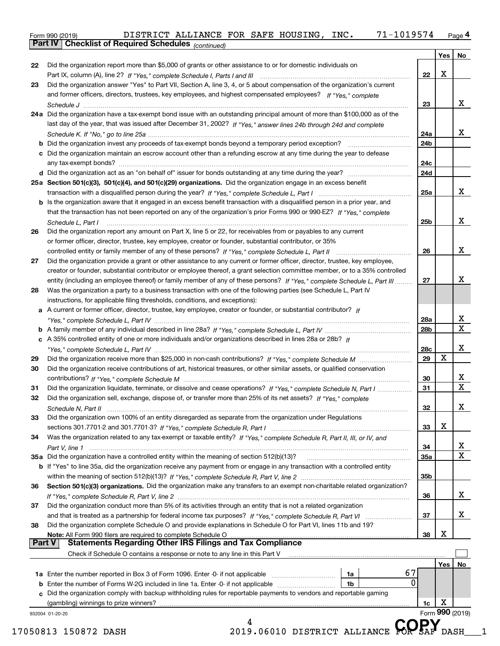Form 990 (2019) DISTRICT ALLIANCE FOR SAFE HOUSING , INC 71–1019574 <sub>Page</sub> 4<br>**Part IV | Checklist of Required Schedules** <sub>(continued)</sub>

*(continued)*

|               |                                                                                                                              |     | Yes   No |                              |
|---------------|------------------------------------------------------------------------------------------------------------------------------|-----|----------|------------------------------|
| 22            | Did the organization report more than \$5,000 of grants or other assistance to or for domestic individuals on                |     |          |                              |
|               |                                                                                                                              | 22  | X        |                              |
| 23            | Did the organization answer "Yes" to Part VII, Section A, line 3, 4, or 5 about compensation of the organization's current   |     |          |                              |
|               | and former officers, directors, trustees, key employees, and highest compensated employees? If "Yes." complete               |     |          |                              |
|               |                                                                                                                              | 23  |          | х                            |
|               | 24a Did the organization have a tax-exempt bond issue with an outstanding principal amount of more than \$100,000 as of the  |     |          |                              |
|               | last day of the year, that was issued after December 31, 2002? If "Yes," answer lines 24b through 24d and complete           |     |          |                              |
|               |                                                                                                                              | 24a |          | x                            |
|               |                                                                                                                              | 24b |          |                              |
|               | c Did the organization maintain an escrow account other than a refunding escrow at any time during the year to defease       |     |          |                              |
|               |                                                                                                                              | 24c |          |                              |
|               |                                                                                                                              | 24d |          |                              |
|               | 25a Section 501(c)(3), 501(c)(4), and 501(c)(29) organizations. Did the organization engage in an excess benefit             |     |          |                              |
|               |                                                                                                                              | 25a |          | х                            |
|               | b Is the organization aware that it engaged in an excess benefit transaction with a disqualified person in a prior year, and |     |          |                              |
|               | that the transaction has not been reported on any of the organization's prior Forms 990 or 990-EZ? If "Yes," complete        |     |          |                              |
|               | Schedule L, Part I                                                                                                           | 25b |          | X                            |
| 26            | Did the organization report any amount on Part X, line 5 or 22, for receivables from or payables to any current              |     |          |                              |
|               | or former officer, director, trustee, key employee, creator or founder, substantial contributor, or 35%                      |     |          |                              |
|               |                                                                                                                              | 26  |          | X                            |
| 27            | Did the organization provide a grant or other assistance to any current or former officer, director, trustee, key employee,  |     |          |                              |
|               | creator or founder, substantial contributor or employee thereof, a grant selection committee member, or to a 35% controlled  |     |          |                              |
|               | entity (including an employee thereof) or family member of any of these persons? If "Yes," complete Schedule L, Part III     | 27  |          | х                            |
| 28            | Was the organization a party to a business transaction with one of the following parties (see Schedule L, Part IV            |     |          |                              |
|               | instructions, for applicable filing thresholds, conditions, and exceptions):                                                 |     |          |                              |
|               | a A current or former officer, director, trustee, key employee, creator or founder, or substantial contributor? If           |     |          |                              |
|               |                                                                                                                              |     |          | х                            |
|               |                                                                                                                              | 28a |          | $\overline{\mathtt{x}}$      |
|               |                                                                                                                              | 28b |          |                              |
|               | c A 35% controlled entity of one or more individuals and/or organizations described in lines 28a or 28b? If                  |     |          |                              |
|               |                                                                                                                              | 28c |          | х                            |
| 29            |                                                                                                                              | 29  | X        |                              |
| 30            | Did the organization receive contributions of art, historical treasures, or other similar assets, or qualified conservation  |     |          |                              |
|               |                                                                                                                              | 30  |          | х<br>$\overline{\mathbf{x}}$ |
| 31            | Did the organization liquidate, terminate, or dissolve and cease operations? If "Yes," complete Schedule N, Part I           | 31  |          |                              |
| 32            | Did the organization sell, exchange, dispose of, or transfer more than 25% of its net assets? If "Yes," complete             |     |          |                              |
|               |                                                                                                                              | 32  |          | х                            |
| 33            | Did the organization own 100% of an entity disregarded as separate from the organization under Regulations                   |     |          |                              |
|               |                                                                                                                              | 33  | х        |                              |
| 34            | Was the organization related to any tax-exempt or taxable entity? If "Yes," complete Schedule R, Part II, III, or IV, and    |     |          |                              |
|               |                                                                                                                              | 34  |          | x                            |
|               | 35a Did the organization have a controlled entity within the meaning of section 512(b)(13)?                                  | 35a |          | $\overline{\mathbf{x}}$      |
|               | b If "Yes" to line 35a, did the organization receive any payment from or engage in any transaction with a controlled entity  |     |          |                              |
|               |                                                                                                                              | 35b |          |                              |
| 36            | Section 501(c)(3) organizations. Did the organization make any transfers to an exempt non-charitable related organization?   |     |          |                              |
|               |                                                                                                                              | 36  |          | X                            |
| 37            | Did the organization conduct more than 5% of its activities through an entity that is not a related organization             |     |          |                              |
|               |                                                                                                                              | 37  |          | x                            |
| 38            | Did the organization complete Schedule O and provide explanations in Schedule O for Part VI, lines 11b and 19?               |     |          |                              |
|               | Note: All Form 990 filers are required to complete Schedule O                                                                | 38  | х        |                              |
| <b>Part V</b> | <b>Statements Regarding Other IRS Filings and Tax Compliance</b>                                                             |     |          |                              |
|               | Check if Schedule O contains a response or note to any line in this Part V                                                   |     |          |                              |
|               |                                                                                                                              |     | Yes      | No                           |
|               | 67<br>1a                                                                                                                     |     |          |                              |
|               | 0<br><b>b</b> Enter the number of Forms W-2G included in line 1a. Enter -0- if not applicable<br>1b                          |     |          |                              |
|               | c Did the organization comply with backup withholding rules for reportable payments to vendors and reportable gaming         |     |          |                              |
|               |                                                                                                                              | 1c  | X        |                              |
|               |                                                                                                                              |     |          | Form 990 (2019)              |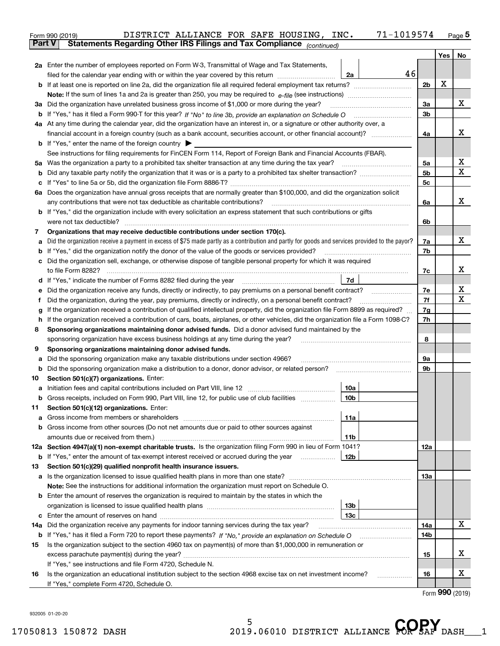| Part V<br>Yes   No<br>2a Enter the number of employees reported on Form W-3, Transmittal of Wage and Tax Statements,<br>46<br>filed for the calendar year ending with or within the year covered by this return<br>2a<br>x<br>2 <sub>b</sub><br>х<br>3a<br>3a Did the organization have unrelated business gross income of \$1,000 or more during the year?<br>3b<br>4a At any time during the calendar year, did the organization have an interest in, or a signature or other authority over, a<br>х<br>4a<br><b>b</b> If "Yes," enter the name of the foreign country $\blacktriangleright$<br>See instructions for filing requirements for FinCEN Form 114, Report of Foreign Bank and Financial Accounts (FBAR).<br>x<br>5a<br>5 <sub>b</sub><br>b<br>5c<br>c<br>6a Does the organization have annual gross receipts that are normally greater than \$100,000, and did the organization solicit<br>6a<br><b>b</b> If "Yes," did the organization include with every solicitation an express statement that such contributions or gifts<br>6b<br>Organizations that may receive deductible contributions under section 170(c).<br>7<br>Did the organization receive a payment in excess of \$75 made partly as a contribution and partly for goods and services provided to the payor?<br>7a<br>а<br>If "Yes," did the organization notify the donor of the value of the goods or services provided?<br>7b<br>b<br>c Did the organization sell, exchange, or otherwise dispose of tangible personal property for which it was required<br>7c<br>7d<br>7e<br>Did the organization receive any funds, directly or indirectly, to pay premiums on a personal benefit contract?<br>е<br>7f<br>Did the organization, during the year, pay premiums, directly or indirectly, on a personal benefit contract?<br>f<br>If the organization received a contribution of qualified intellectual property, did the organization file Form 8899 as required?<br>7g<br>g<br>If the organization received a contribution of cars, boats, airplanes, or other vehicles, did the organization file a Form 1098-C?<br>7h<br>h.<br>Sponsoring organizations maintaining donor advised funds. Did a donor advised fund maintained by the<br>8<br>8<br>sponsoring organization have excess business holdings at any time during the year?<br>Sponsoring organizations maintaining donor advised funds.<br>9<br>Did the sponsoring organization make any taxable distributions under section 4966?<br>9а<br>а<br>9b<br>b<br>Section 501(c)(7) organizations. Enter:<br>10<br>10a<br>а<br> 10b <br>Gross receipts, included on Form 990, Part VIII, line 12, for public use of club facilities<br>Section 501(c)(12) organizations. Enter:<br>11<br>Gross income from members or shareholders<br>11a<br>а<br>b Gross income from other sources (Do not net amounts due or paid to other sources against<br>amounts due or received from them.)<br>11b<br>12a Section 4947(a)(1) non-exempt charitable trusts. Is the organization filing Form 990 in lieu of Form 1041?<br>12a<br><b>b</b> If "Yes," enter the amount of tax-exempt interest received or accrued during the year<br>12b<br>Section 501(c)(29) qualified nonprofit health insurance issuers.<br>13<br>Is the organization licensed to issue qualified health plans in more than one state?<br>13а<br>а<br>Note: See the instructions for additional information the organization must report on Schedule O.<br><b>b</b> Enter the amount of reserves the organization is required to maintain by the states in which the<br>13b<br>13с<br>c<br>14a Did the organization receive any payments for indoor tanning services during the tax year?<br>14a<br><b>b</b> If "Yes," has it filed a Form 720 to report these payments? If "No," provide an explanation on Schedule O<br>14b<br>Is the organization subject to the section 4960 tax on payment(s) of more than \$1,000,000 in remuneration or<br>15<br>15<br>If "Yes," see instructions and file Form 4720, Schedule N.<br>Is the organization an educational institution subject to the section 4968 excise tax on net investment income?<br>16<br>16 | DISTRICT ALLIANCE FOR SAFE HOUSING, INC.<br>71-1019574<br>Form 990 (2019) |  |  | $Page$ <sup>5</sup> |  |  |  |  |
|---------------------------------------------------------------------------------------------------------------------------------------------------------------------------------------------------------------------------------------------------------------------------------------------------------------------------------------------------------------------------------------------------------------------------------------------------------------------------------------------------------------------------------------------------------------------------------------------------------------------------------------------------------------------------------------------------------------------------------------------------------------------------------------------------------------------------------------------------------------------------------------------------------------------------------------------------------------------------------------------------------------------------------------------------------------------------------------------------------------------------------------------------------------------------------------------------------------------------------------------------------------------------------------------------------------------------------------------------------------------------------------------------------------------------------------------------------------------------------------------------------------------------------------------------------------------------------------------------------------------------------------------------------------------------------------------------------------------------------------------------------------------------------------------------------------------------------------------------------------------------------------------------------------------------------------------------------------------------------------------------------------------------------------------------------------------------------------------------------------------------------------------------------------------------------------------------------------------------------------------------------------------------------------------------------------------------------------------------------------------------------------------------------------------------------------------------------------------------------------------------------------------------------------------------------------------------------------------------------------------------------------------------------------------------------------------------------------------------------------------------------------------------------------------------------------------------------------------------------------------------------------------------------------------------------------------------------------------------------------------------------------------------------------------------------------------------------------------------------------------------------------------------------------------------------------------------------------------------------------------------------------------------------------------------------------------------------------------------------------------------------------------------------------------------------------------------------------------------------------------------------------------------------------------------------------------------------------------------------------------------------------------------------------------------------------------------------------------------------------------------------------------------------------------------------------------------------------------------------------------------------------------------------------------------------------------------------------------------------------------------------------------------------------------------------------------------------------------------------------------------------------------------------|---------------------------------------------------------------------------|--|--|---------------------|--|--|--|--|
|                                                                                                                                                                                                                                                                                                                                                                                                                                                                                                                                                                                                                                                                                                                                                                                                                                                                                                                                                                                                                                                                                                                                                                                                                                                                                                                                                                                                                                                                                                                                                                                                                                                                                                                                                                                                                                                                                                                                                                                                                                                                                                                                                                                                                                                                                                                                                                                                                                                                                                                                                                                                                                                                                                                                                                                                                                                                                                                                                                                                                                                                                                                                                                                                                                                                                                                                                                                                                                                                                                                                                                                                                                                                                                                                                                                                                                                                                                                                                                                                                                                                                                                                                         | Statements Regarding Other IRS Filings and Tax Compliance (continued)     |  |  |                     |  |  |  |  |
|                                                                                                                                                                                                                                                                                                                                                                                                                                                                                                                                                                                                                                                                                                                                                                                                                                                                                                                                                                                                                                                                                                                                                                                                                                                                                                                                                                                                                                                                                                                                                                                                                                                                                                                                                                                                                                                                                                                                                                                                                                                                                                                                                                                                                                                                                                                                                                                                                                                                                                                                                                                                                                                                                                                                                                                                                                                                                                                                                                                                                                                                                                                                                                                                                                                                                                                                                                                                                                                                                                                                                                                                                                                                                                                                                                                                                                                                                                                                                                                                                                                                                                                                                         |                                                                           |  |  |                     |  |  |  |  |
|                                                                                                                                                                                                                                                                                                                                                                                                                                                                                                                                                                                                                                                                                                                                                                                                                                                                                                                                                                                                                                                                                                                                                                                                                                                                                                                                                                                                                                                                                                                                                                                                                                                                                                                                                                                                                                                                                                                                                                                                                                                                                                                                                                                                                                                                                                                                                                                                                                                                                                                                                                                                                                                                                                                                                                                                                                                                                                                                                                                                                                                                                                                                                                                                                                                                                                                                                                                                                                                                                                                                                                                                                                                                                                                                                                                                                                                                                                                                                                                                                                                                                                                                                         |                                                                           |  |  |                     |  |  |  |  |
|                                                                                                                                                                                                                                                                                                                                                                                                                                                                                                                                                                                                                                                                                                                                                                                                                                                                                                                                                                                                                                                                                                                                                                                                                                                                                                                                                                                                                                                                                                                                                                                                                                                                                                                                                                                                                                                                                                                                                                                                                                                                                                                                                                                                                                                                                                                                                                                                                                                                                                                                                                                                                                                                                                                                                                                                                                                                                                                                                                                                                                                                                                                                                                                                                                                                                                                                                                                                                                                                                                                                                                                                                                                                                                                                                                                                                                                                                                                                                                                                                                                                                                                                                         |                                                                           |  |  |                     |  |  |  |  |
|                                                                                                                                                                                                                                                                                                                                                                                                                                                                                                                                                                                                                                                                                                                                                                                                                                                                                                                                                                                                                                                                                                                                                                                                                                                                                                                                                                                                                                                                                                                                                                                                                                                                                                                                                                                                                                                                                                                                                                                                                                                                                                                                                                                                                                                                                                                                                                                                                                                                                                                                                                                                                                                                                                                                                                                                                                                                                                                                                                                                                                                                                                                                                                                                                                                                                                                                                                                                                                                                                                                                                                                                                                                                                                                                                                                                                                                                                                                                                                                                                                                                                                                                                         |                                                                           |  |  |                     |  |  |  |  |
|                                                                                                                                                                                                                                                                                                                                                                                                                                                                                                                                                                                                                                                                                                                                                                                                                                                                                                                                                                                                                                                                                                                                                                                                                                                                                                                                                                                                                                                                                                                                                                                                                                                                                                                                                                                                                                                                                                                                                                                                                                                                                                                                                                                                                                                                                                                                                                                                                                                                                                                                                                                                                                                                                                                                                                                                                                                                                                                                                                                                                                                                                                                                                                                                                                                                                                                                                                                                                                                                                                                                                                                                                                                                                                                                                                                                                                                                                                                                                                                                                                                                                                                                                         |                                                                           |  |  |                     |  |  |  |  |
|                                                                                                                                                                                                                                                                                                                                                                                                                                                                                                                                                                                                                                                                                                                                                                                                                                                                                                                                                                                                                                                                                                                                                                                                                                                                                                                                                                                                                                                                                                                                                                                                                                                                                                                                                                                                                                                                                                                                                                                                                                                                                                                                                                                                                                                                                                                                                                                                                                                                                                                                                                                                                                                                                                                                                                                                                                                                                                                                                                                                                                                                                                                                                                                                                                                                                                                                                                                                                                                                                                                                                                                                                                                                                                                                                                                                                                                                                                                                                                                                                                                                                                                                                         |                                                                           |  |  |                     |  |  |  |  |
|                                                                                                                                                                                                                                                                                                                                                                                                                                                                                                                                                                                                                                                                                                                                                                                                                                                                                                                                                                                                                                                                                                                                                                                                                                                                                                                                                                                                                                                                                                                                                                                                                                                                                                                                                                                                                                                                                                                                                                                                                                                                                                                                                                                                                                                                                                                                                                                                                                                                                                                                                                                                                                                                                                                                                                                                                                                                                                                                                                                                                                                                                                                                                                                                                                                                                                                                                                                                                                                                                                                                                                                                                                                                                                                                                                                                                                                                                                                                                                                                                                                                                                                                                         |                                                                           |  |  |                     |  |  |  |  |
|                                                                                                                                                                                                                                                                                                                                                                                                                                                                                                                                                                                                                                                                                                                                                                                                                                                                                                                                                                                                                                                                                                                                                                                                                                                                                                                                                                                                                                                                                                                                                                                                                                                                                                                                                                                                                                                                                                                                                                                                                                                                                                                                                                                                                                                                                                                                                                                                                                                                                                                                                                                                                                                                                                                                                                                                                                                                                                                                                                                                                                                                                                                                                                                                                                                                                                                                                                                                                                                                                                                                                                                                                                                                                                                                                                                                                                                                                                                                                                                                                                                                                                                                                         |                                                                           |  |  |                     |  |  |  |  |
|                                                                                                                                                                                                                                                                                                                                                                                                                                                                                                                                                                                                                                                                                                                                                                                                                                                                                                                                                                                                                                                                                                                                                                                                                                                                                                                                                                                                                                                                                                                                                                                                                                                                                                                                                                                                                                                                                                                                                                                                                                                                                                                                                                                                                                                                                                                                                                                                                                                                                                                                                                                                                                                                                                                                                                                                                                                                                                                                                                                                                                                                                                                                                                                                                                                                                                                                                                                                                                                                                                                                                                                                                                                                                                                                                                                                                                                                                                                                                                                                                                                                                                                                                         |                                                                           |  |  |                     |  |  |  |  |
|                                                                                                                                                                                                                                                                                                                                                                                                                                                                                                                                                                                                                                                                                                                                                                                                                                                                                                                                                                                                                                                                                                                                                                                                                                                                                                                                                                                                                                                                                                                                                                                                                                                                                                                                                                                                                                                                                                                                                                                                                                                                                                                                                                                                                                                                                                                                                                                                                                                                                                                                                                                                                                                                                                                                                                                                                                                                                                                                                                                                                                                                                                                                                                                                                                                                                                                                                                                                                                                                                                                                                                                                                                                                                                                                                                                                                                                                                                                                                                                                                                                                                                                                                         |                                                                           |  |  |                     |  |  |  |  |
|                                                                                                                                                                                                                                                                                                                                                                                                                                                                                                                                                                                                                                                                                                                                                                                                                                                                                                                                                                                                                                                                                                                                                                                                                                                                                                                                                                                                                                                                                                                                                                                                                                                                                                                                                                                                                                                                                                                                                                                                                                                                                                                                                                                                                                                                                                                                                                                                                                                                                                                                                                                                                                                                                                                                                                                                                                                                                                                                                                                                                                                                                                                                                                                                                                                                                                                                                                                                                                                                                                                                                                                                                                                                                                                                                                                                                                                                                                                                                                                                                                                                                                                                                         |                                                                           |  |  |                     |  |  |  |  |
|                                                                                                                                                                                                                                                                                                                                                                                                                                                                                                                                                                                                                                                                                                                                                                                                                                                                                                                                                                                                                                                                                                                                                                                                                                                                                                                                                                                                                                                                                                                                                                                                                                                                                                                                                                                                                                                                                                                                                                                                                                                                                                                                                                                                                                                                                                                                                                                                                                                                                                                                                                                                                                                                                                                                                                                                                                                                                                                                                                                                                                                                                                                                                                                                                                                                                                                                                                                                                                                                                                                                                                                                                                                                                                                                                                                                                                                                                                                                                                                                                                                                                                                                                         |                                                                           |  |  | х                   |  |  |  |  |
|                                                                                                                                                                                                                                                                                                                                                                                                                                                                                                                                                                                                                                                                                                                                                                                                                                                                                                                                                                                                                                                                                                                                                                                                                                                                                                                                                                                                                                                                                                                                                                                                                                                                                                                                                                                                                                                                                                                                                                                                                                                                                                                                                                                                                                                                                                                                                                                                                                                                                                                                                                                                                                                                                                                                                                                                                                                                                                                                                                                                                                                                                                                                                                                                                                                                                                                                                                                                                                                                                                                                                                                                                                                                                                                                                                                                                                                                                                                                                                                                                                                                                                                                                         |                                                                           |  |  |                     |  |  |  |  |
|                                                                                                                                                                                                                                                                                                                                                                                                                                                                                                                                                                                                                                                                                                                                                                                                                                                                                                                                                                                                                                                                                                                                                                                                                                                                                                                                                                                                                                                                                                                                                                                                                                                                                                                                                                                                                                                                                                                                                                                                                                                                                                                                                                                                                                                                                                                                                                                                                                                                                                                                                                                                                                                                                                                                                                                                                                                                                                                                                                                                                                                                                                                                                                                                                                                                                                                                                                                                                                                                                                                                                                                                                                                                                                                                                                                                                                                                                                                                                                                                                                                                                                                                                         |                                                                           |  |  |                     |  |  |  |  |
|                                                                                                                                                                                                                                                                                                                                                                                                                                                                                                                                                                                                                                                                                                                                                                                                                                                                                                                                                                                                                                                                                                                                                                                                                                                                                                                                                                                                                                                                                                                                                                                                                                                                                                                                                                                                                                                                                                                                                                                                                                                                                                                                                                                                                                                                                                                                                                                                                                                                                                                                                                                                                                                                                                                                                                                                                                                                                                                                                                                                                                                                                                                                                                                                                                                                                                                                                                                                                                                                                                                                                                                                                                                                                                                                                                                                                                                                                                                                                                                                                                                                                                                                                         |                                                                           |  |  | х                   |  |  |  |  |
|                                                                                                                                                                                                                                                                                                                                                                                                                                                                                                                                                                                                                                                                                                                                                                                                                                                                                                                                                                                                                                                                                                                                                                                                                                                                                                                                                                                                                                                                                                                                                                                                                                                                                                                                                                                                                                                                                                                                                                                                                                                                                                                                                                                                                                                                                                                                                                                                                                                                                                                                                                                                                                                                                                                                                                                                                                                                                                                                                                                                                                                                                                                                                                                                                                                                                                                                                                                                                                                                                                                                                                                                                                                                                                                                                                                                                                                                                                                                                                                                                                                                                                                                                         |                                                                           |  |  |                     |  |  |  |  |
|                                                                                                                                                                                                                                                                                                                                                                                                                                                                                                                                                                                                                                                                                                                                                                                                                                                                                                                                                                                                                                                                                                                                                                                                                                                                                                                                                                                                                                                                                                                                                                                                                                                                                                                                                                                                                                                                                                                                                                                                                                                                                                                                                                                                                                                                                                                                                                                                                                                                                                                                                                                                                                                                                                                                                                                                                                                                                                                                                                                                                                                                                                                                                                                                                                                                                                                                                                                                                                                                                                                                                                                                                                                                                                                                                                                                                                                                                                                                                                                                                                                                                                                                                         |                                                                           |  |  |                     |  |  |  |  |
|                                                                                                                                                                                                                                                                                                                                                                                                                                                                                                                                                                                                                                                                                                                                                                                                                                                                                                                                                                                                                                                                                                                                                                                                                                                                                                                                                                                                                                                                                                                                                                                                                                                                                                                                                                                                                                                                                                                                                                                                                                                                                                                                                                                                                                                                                                                                                                                                                                                                                                                                                                                                                                                                                                                                                                                                                                                                                                                                                                                                                                                                                                                                                                                                                                                                                                                                                                                                                                                                                                                                                                                                                                                                                                                                                                                                                                                                                                                                                                                                                                                                                                                                                         |                                                                           |  |  |                     |  |  |  |  |
|                                                                                                                                                                                                                                                                                                                                                                                                                                                                                                                                                                                                                                                                                                                                                                                                                                                                                                                                                                                                                                                                                                                                                                                                                                                                                                                                                                                                                                                                                                                                                                                                                                                                                                                                                                                                                                                                                                                                                                                                                                                                                                                                                                                                                                                                                                                                                                                                                                                                                                                                                                                                                                                                                                                                                                                                                                                                                                                                                                                                                                                                                                                                                                                                                                                                                                                                                                                                                                                                                                                                                                                                                                                                                                                                                                                                                                                                                                                                                                                                                                                                                                                                                         |                                                                           |  |  | х                   |  |  |  |  |
|                                                                                                                                                                                                                                                                                                                                                                                                                                                                                                                                                                                                                                                                                                                                                                                                                                                                                                                                                                                                                                                                                                                                                                                                                                                                                                                                                                                                                                                                                                                                                                                                                                                                                                                                                                                                                                                                                                                                                                                                                                                                                                                                                                                                                                                                                                                                                                                                                                                                                                                                                                                                                                                                                                                                                                                                                                                                                                                                                                                                                                                                                                                                                                                                                                                                                                                                                                                                                                                                                                                                                                                                                                                                                                                                                                                                                                                                                                                                                                                                                                                                                                                                                         |                                                                           |  |  |                     |  |  |  |  |
|                                                                                                                                                                                                                                                                                                                                                                                                                                                                                                                                                                                                                                                                                                                                                                                                                                                                                                                                                                                                                                                                                                                                                                                                                                                                                                                                                                                                                                                                                                                                                                                                                                                                                                                                                                                                                                                                                                                                                                                                                                                                                                                                                                                                                                                                                                                                                                                                                                                                                                                                                                                                                                                                                                                                                                                                                                                                                                                                                                                                                                                                                                                                                                                                                                                                                                                                                                                                                                                                                                                                                                                                                                                                                                                                                                                                                                                                                                                                                                                                                                                                                                                                                         |                                                                           |  |  |                     |  |  |  |  |
|                                                                                                                                                                                                                                                                                                                                                                                                                                                                                                                                                                                                                                                                                                                                                                                                                                                                                                                                                                                                                                                                                                                                                                                                                                                                                                                                                                                                                                                                                                                                                                                                                                                                                                                                                                                                                                                                                                                                                                                                                                                                                                                                                                                                                                                                                                                                                                                                                                                                                                                                                                                                                                                                                                                                                                                                                                                                                                                                                                                                                                                                                                                                                                                                                                                                                                                                                                                                                                                                                                                                                                                                                                                                                                                                                                                                                                                                                                                                                                                                                                                                                                                                                         |                                                                           |  |  | х                   |  |  |  |  |
|                                                                                                                                                                                                                                                                                                                                                                                                                                                                                                                                                                                                                                                                                                                                                                                                                                                                                                                                                                                                                                                                                                                                                                                                                                                                                                                                                                                                                                                                                                                                                                                                                                                                                                                                                                                                                                                                                                                                                                                                                                                                                                                                                                                                                                                                                                                                                                                                                                                                                                                                                                                                                                                                                                                                                                                                                                                                                                                                                                                                                                                                                                                                                                                                                                                                                                                                                                                                                                                                                                                                                                                                                                                                                                                                                                                                                                                                                                                                                                                                                                                                                                                                                         |                                                                           |  |  |                     |  |  |  |  |
|                                                                                                                                                                                                                                                                                                                                                                                                                                                                                                                                                                                                                                                                                                                                                                                                                                                                                                                                                                                                                                                                                                                                                                                                                                                                                                                                                                                                                                                                                                                                                                                                                                                                                                                                                                                                                                                                                                                                                                                                                                                                                                                                                                                                                                                                                                                                                                                                                                                                                                                                                                                                                                                                                                                                                                                                                                                                                                                                                                                                                                                                                                                                                                                                                                                                                                                                                                                                                                                                                                                                                                                                                                                                                                                                                                                                                                                                                                                                                                                                                                                                                                                                                         |                                                                           |  |  | х                   |  |  |  |  |
|                                                                                                                                                                                                                                                                                                                                                                                                                                                                                                                                                                                                                                                                                                                                                                                                                                                                                                                                                                                                                                                                                                                                                                                                                                                                                                                                                                                                                                                                                                                                                                                                                                                                                                                                                                                                                                                                                                                                                                                                                                                                                                                                                                                                                                                                                                                                                                                                                                                                                                                                                                                                                                                                                                                                                                                                                                                                                                                                                                                                                                                                                                                                                                                                                                                                                                                                                                                                                                                                                                                                                                                                                                                                                                                                                                                                                                                                                                                                                                                                                                                                                                                                                         |                                                                           |  |  | х                   |  |  |  |  |
|                                                                                                                                                                                                                                                                                                                                                                                                                                                                                                                                                                                                                                                                                                                                                                                                                                                                                                                                                                                                                                                                                                                                                                                                                                                                                                                                                                                                                                                                                                                                                                                                                                                                                                                                                                                                                                                                                                                                                                                                                                                                                                                                                                                                                                                                                                                                                                                                                                                                                                                                                                                                                                                                                                                                                                                                                                                                                                                                                                                                                                                                                                                                                                                                                                                                                                                                                                                                                                                                                                                                                                                                                                                                                                                                                                                                                                                                                                                                                                                                                                                                                                                                                         |                                                                           |  |  |                     |  |  |  |  |
|                                                                                                                                                                                                                                                                                                                                                                                                                                                                                                                                                                                                                                                                                                                                                                                                                                                                                                                                                                                                                                                                                                                                                                                                                                                                                                                                                                                                                                                                                                                                                                                                                                                                                                                                                                                                                                                                                                                                                                                                                                                                                                                                                                                                                                                                                                                                                                                                                                                                                                                                                                                                                                                                                                                                                                                                                                                                                                                                                                                                                                                                                                                                                                                                                                                                                                                                                                                                                                                                                                                                                                                                                                                                                                                                                                                                                                                                                                                                                                                                                                                                                                                                                         |                                                                           |  |  |                     |  |  |  |  |
|                                                                                                                                                                                                                                                                                                                                                                                                                                                                                                                                                                                                                                                                                                                                                                                                                                                                                                                                                                                                                                                                                                                                                                                                                                                                                                                                                                                                                                                                                                                                                                                                                                                                                                                                                                                                                                                                                                                                                                                                                                                                                                                                                                                                                                                                                                                                                                                                                                                                                                                                                                                                                                                                                                                                                                                                                                                                                                                                                                                                                                                                                                                                                                                                                                                                                                                                                                                                                                                                                                                                                                                                                                                                                                                                                                                                                                                                                                                                                                                                                                                                                                                                                         |                                                                           |  |  |                     |  |  |  |  |
|                                                                                                                                                                                                                                                                                                                                                                                                                                                                                                                                                                                                                                                                                                                                                                                                                                                                                                                                                                                                                                                                                                                                                                                                                                                                                                                                                                                                                                                                                                                                                                                                                                                                                                                                                                                                                                                                                                                                                                                                                                                                                                                                                                                                                                                                                                                                                                                                                                                                                                                                                                                                                                                                                                                                                                                                                                                                                                                                                                                                                                                                                                                                                                                                                                                                                                                                                                                                                                                                                                                                                                                                                                                                                                                                                                                                                                                                                                                                                                                                                                                                                                                                                         |                                                                           |  |  |                     |  |  |  |  |
|                                                                                                                                                                                                                                                                                                                                                                                                                                                                                                                                                                                                                                                                                                                                                                                                                                                                                                                                                                                                                                                                                                                                                                                                                                                                                                                                                                                                                                                                                                                                                                                                                                                                                                                                                                                                                                                                                                                                                                                                                                                                                                                                                                                                                                                                                                                                                                                                                                                                                                                                                                                                                                                                                                                                                                                                                                                                                                                                                                                                                                                                                                                                                                                                                                                                                                                                                                                                                                                                                                                                                                                                                                                                                                                                                                                                                                                                                                                                                                                                                                                                                                                                                         |                                                                           |  |  |                     |  |  |  |  |
|                                                                                                                                                                                                                                                                                                                                                                                                                                                                                                                                                                                                                                                                                                                                                                                                                                                                                                                                                                                                                                                                                                                                                                                                                                                                                                                                                                                                                                                                                                                                                                                                                                                                                                                                                                                                                                                                                                                                                                                                                                                                                                                                                                                                                                                                                                                                                                                                                                                                                                                                                                                                                                                                                                                                                                                                                                                                                                                                                                                                                                                                                                                                                                                                                                                                                                                                                                                                                                                                                                                                                                                                                                                                                                                                                                                                                                                                                                                                                                                                                                                                                                                                                         |                                                                           |  |  |                     |  |  |  |  |
|                                                                                                                                                                                                                                                                                                                                                                                                                                                                                                                                                                                                                                                                                                                                                                                                                                                                                                                                                                                                                                                                                                                                                                                                                                                                                                                                                                                                                                                                                                                                                                                                                                                                                                                                                                                                                                                                                                                                                                                                                                                                                                                                                                                                                                                                                                                                                                                                                                                                                                                                                                                                                                                                                                                                                                                                                                                                                                                                                                                                                                                                                                                                                                                                                                                                                                                                                                                                                                                                                                                                                                                                                                                                                                                                                                                                                                                                                                                                                                                                                                                                                                                                                         |                                                                           |  |  |                     |  |  |  |  |
|                                                                                                                                                                                                                                                                                                                                                                                                                                                                                                                                                                                                                                                                                                                                                                                                                                                                                                                                                                                                                                                                                                                                                                                                                                                                                                                                                                                                                                                                                                                                                                                                                                                                                                                                                                                                                                                                                                                                                                                                                                                                                                                                                                                                                                                                                                                                                                                                                                                                                                                                                                                                                                                                                                                                                                                                                                                                                                                                                                                                                                                                                                                                                                                                                                                                                                                                                                                                                                                                                                                                                                                                                                                                                                                                                                                                                                                                                                                                                                                                                                                                                                                                                         |                                                                           |  |  |                     |  |  |  |  |
|                                                                                                                                                                                                                                                                                                                                                                                                                                                                                                                                                                                                                                                                                                                                                                                                                                                                                                                                                                                                                                                                                                                                                                                                                                                                                                                                                                                                                                                                                                                                                                                                                                                                                                                                                                                                                                                                                                                                                                                                                                                                                                                                                                                                                                                                                                                                                                                                                                                                                                                                                                                                                                                                                                                                                                                                                                                                                                                                                                                                                                                                                                                                                                                                                                                                                                                                                                                                                                                                                                                                                                                                                                                                                                                                                                                                                                                                                                                                                                                                                                                                                                                                                         |                                                                           |  |  |                     |  |  |  |  |
|                                                                                                                                                                                                                                                                                                                                                                                                                                                                                                                                                                                                                                                                                                                                                                                                                                                                                                                                                                                                                                                                                                                                                                                                                                                                                                                                                                                                                                                                                                                                                                                                                                                                                                                                                                                                                                                                                                                                                                                                                                                                                                                                                                                                                                                                                                                                                                                                                                                                                                                                                                                                                                                                                                                                                                                                                                                                                                                                                                                                                                                                                                                                                                                                                                                                                                                                                                                                                                                                                                                                                                                                                                                                                                                                                                                                                                                                                                                                                                                                                                                                                                                                                         |                                                                           |  |  |                     |  |  |  |  |
|                                                                                                                                                                                                                                                                                                                                                                                                                                                                                                                                                                                                                                                                                                                                                                                                                                                                                                                                                                                                                                                                                                                                                                                                                                                                                                                                                                                                                                                                                                                                                                                                                                                                                                                                                                                                                                                                                                                                                                                                                                                                                                                                                                                                                                                                                                                                                                                                                                                                                                                                                                                                                                                                                                                                                                                                                                                                                                                                                                                                                                                                                                                                                                                                                                                                                                                                                                                                                                                                                                                                                                                                                                                                                                                                                                                                                                                                                                                                                                                                                                                                                                                                                         |                                                                           |  |  |                     |  |  |  |  |
|                                                                                                                                                                                                                                                                                                                                                                                                                                                                                                                                                                                                                                                                                                                                                                                                                                                                                                                                                                                                                                                                                                                                                                                                                                                                                                                                                                                                                                                                                                                                                                                                                                                                                                                                                                                                                                                                                                                                                                                                                                                                                                                                                                                                                                                                                                                                                                                                                                                                                                                                                                                                                                                                                                                                                                                                                                                                                                                                                                                                                                                                                                                                                                                                                                                                                                                                                                                                                                                                                                                                                                                                                                                                                                                                                                                                                                                                                                                                                                                                                                                                                                                                                         |                                                                           |  |  |                     |  |  |  |  |
|                                                                                                                                                                                                                                                                                                                                                                                                                                                                                                                                                                                                                                                                                                                                                                                                                                                                                                                                                                                                                                                                                                                                                                                                                                                                                                                                                                                                                                                                                                                                                                                                                                                                                                                                                                                                                                                                                                                                                                                                                                                                                                                                                                                                                                                                                                                                                                                                                                                                                                                                                                                                                                                                                                                                                                                                                                                                                                                                                                                                                                                                                                                                                                                                                                                                                                                                                                                                                                                                                                                                                                                                                                                                                                                                                                                                                                                                                                                                                                                                                                                                                                                                                         |                                                                           |  |  |                     |  |  |  |  |
|                                                                                                                                                                                                                                                                                                                                                                                                                                                                                                                                                                                                                                                                                                                                                                                                                                                                                                                                                                                                                                                                                                                                                                                                                                                                                                                                                                                                                                                                                                                                                                                                                                                                                                                                                                                                                                                                                                                                                                                                                                                                                                                                                                                                                                                                                                                                                                                                                                                                                                                                                                                                                                                                                                                                                                                                                                                                                                                                                                                                                                                                                                                                                                                                                                                                                                                                                                                                                                                                                                                                                                                                                                                                                                                                                                                                                                                                                                                                                                                                                                                                                                                                                         |                                                                           |  |  |                     |  |  |  |  |
|                                                                                                                                                                                                                                                                                                                                                                                                                                                                                                                                                                                                                                                                                                                                                                                                                                                                                                                                                                                                                                                                                                                                                                                                                                                                                                                                                                                                                                                                                                                                                                                                                                                                                                                                                                                                                                                                                                                                                                                                                                                                                                                                                                                                                                                                                                                                                                                                                                                                                                                                                                                                                                                                                                                                                                                                                                                                                                                                                                                                                                                                                                                                                                                                                                                                                                                                                                                                                                                                                                                                                                                                                                                                                                                                                                                                                                                                                                                                                                                                                                                                                                                                                         |                                                                           |  |  |                     |  |  |  |  |
|                                                                                                                                                                                                                                                                                                                                                                                                                                                                                                                                                                                                                                                                                                                                                                                                                                                                                                                                                                                                                                                                                                                                                                                                                                                                                                                                                                                                                                                                                                                                                                                                                                                                                                                                                                                                                                                                                                                                                                                                                                                                                                                                                                                                                                                                                                                                                                                                                                                                                                                                                                                                                                                                                                                                                                                                                                                                                                                                                                                                                                                                                                                                                                                                                                                                                                                                                                                                                                                                                                                                                                                                                                                                                                                                                                                                                                                                                                                                                                                                                                                                                                                                                         |                                                                           |  |  |                     |  |  |  |  |
|                                                                                                                                                                                                                                                                                                                                                                                                                                                                                                                                                                                                                                                                                                                                                                                                                                                                                                                                                                                                                                                                                                                                                                                                                                                                                                                                                                                                                                                                                                                                                                                                                                                                                                                                                                                                                                                                                                                                                                                                                                                                                                                                                                                                                                                                                                                                                                                                                                                                                                                                                                                                                                                                                                                                                                                                                                                                                                                                                                                                                                                                                                                                                                                                                                                                                                                                                                                                                                                                                                                                                                                                                                                                                                                                                                                                                                                                                                                                                                                                                                                                                                                                                         |                                                                           |  |  |                     |  |  |  |  |
|                                                                                                                                                                                                                                                                                                                                                                                                                                                                                                                                                                                                                                                                                                                                                                                                                                                                                                                                                                                                                                                                                                                                                                                                                                                                                                                                                                                                                                                                                                                                                                                                                                                                                                                                                                                                                                                                                                                                                                                                                                                                                                                                                                                                                                                                                                                                                                                                                                                                                                                                                                                                                                                                                                                                                                                                                                                                                                                                                                                                                                                                                                                                                                                                                                                                                                                                                                                                                                                                                                                                                                                                                                                                                                                                                                                                                                                                                                                                                                                                                                                                                                                                                         |                                                                           |  |  |                     |  |  |  |  |
|                                                                                                                                                                                                                                                                                                                                                                                                                                                                                                                                                                                                                                                                                                                                                                                                                                                                                                                                                                                                                                                                                                                                                                                                                                                                                                                                                                                                                                                                                                                                                                                                                                                                                                                                                                                                                                                                                                                                                                                                                                                                                                                                                                                                                                                                                                                                                                                                                                                                                                                                                                                                                                                                                                                                                                                                                                                                                                                                                                                                                                                                                                                                                                                                                                                                                                                                                                                                                                                                                                                                                                                                                                                                                                                                                                                                                                                                                                                                                                                                                                                                                                                                                         |                                                                           |  |  |                     |  |  |  |  |
|                                                                                                                                                                                                                                                                                                                                                                                                                                                                                                                                                                                                                                                                                                                                                                                                                                                                                                                                                                                                                                                                                                                                                                                                                                                                                                                                                                                                                                                                                                                                                                                                                                                                                                                                                                                                                                                                                                                                                                                                                                                                                                                                                                                                                                                                                                                                                                                                                                                                                                                                                                                                                                                                                                                                                                                                                                                                                                                                                                                                                                                                                                                                                                                                                                                                                                                                                                                                                                                                                                                                                                                                                                                                                                                                                                                                                                                                                                                                                                                                                                                                                                                                                         |                                                                           |  |  |                     |  |  |  |  |
|                                                                                                                                                                                                                                                                                                                                                                                                                                                                                                                                                                                                                                                                                                                                                                                                                                                                                                                                                                                                                                                                                                                                                                                                                                                                                                                                                                                                                                                                                                                                                                                                                                                                                                                                                                                                                                                                                                                                                                                                                                                                                                                                                                                                                                                                                                                                                                                                                                                                                                                                                                                                                                                                                                                                                                                                                                                                                                                                                                                                                                                                                                                                                                                                                                                                                                                                                                                                                                                                                                                                                                                                                                                                                                                                                                                                                                                                                                                                                                                                                                                                                                                                                         |                                                                           |  |  |                     |  |  |  |  |
|                                                                                                                                                                                                                                                                                                                                                                                                                                                                                                                                                                                                                                                                                                                                                                                                                                                                                                                                                                                                                                                                                                                                                                                                                                                                                                                                                                                                                                                                                                                                                                                                                                                                                                                                                                                                                                                                                                                                                                                                                                                                                                                                                                                                                                                                                                                                                                                                                                                                                                                                                                                                                                                                                                                                                                                                                                                                                                                                                                                                                                                                                                                                                                                                                                                                                                                                                                                                                                                                                                                                                                                                                                                                                                                                                                                                                                                                                                                                                                                                                                                                                                                                                         |                                                                           |  |  |                     |  |  |  |  |
|                                                                                                                                                                                                                                                                                                                                                                                                                                                                                                                                                                                                                                                                                                                                                                                                                                                                                                                                                                                                                                                                                                                                                                                                                                                                                                                                                                                                                                                                                                                                                                                                                                                                                                                                                                                                                                                                                                                                                                                                                                                                                                                                                                                                                                                                                                                                                                                                                                                                                                                                                                                                                                                                                                                                                                                                                                                                                                                                                                                                                                                                                                                                                                                                                                                                                                                                                                                                                                                                                                                                                                                                                                                                                                                                                                                                                                                                                                                                                                                                                                                                                                                                                         |                                                                           |  |  | x                   |  |  |  |  |
|                                                                                                                                                                                                                                                                                                                                                                                                                                                                                                                                                                                                                                                                                                                                                                                                                                                                                                                                                                                                                                                                                                                                                                                                                                                                                                                                                                                                                                                                                                                                                                                                                                                                                                                                                                                                                                                                                                                                                                                                                                                                                                                                                                                                                                                                                                                                                                                                                                                                                                                                                                                                                                                                                                                                                                                                                                                                                                                                                                                                                                                                                                                                                                                                                                                                                                                                                                                                                                                                                                                                                                                                                                                                                                                                                                                                                                                                                                                                                                                                                                                                                                                                                         |                                                                           |  |  |                     |  |  |  |  |
|                                                                                                                                                                                                                                                                                                                                                                                                                                                                                                                                                                                                                                                                                                                                                                                                                                                                                                                                                                                                                                                                                                                                                                                                                                                                                                                                                                                                                                                                                                                                                                                                                                                                                                                                                                                                                                                                                                                                                                                                                                                                                                                                                                                                                                                                                                                                                                                                                                                                                                                                                                                                                                                                                                                                                                                                                                                                                                                                                                                                                                                                                                                                                                                                                                                                                                                                                                                                                                                                                                                                                                                                                                                                                                                                                                                                                                                                                                                                                                                                                                                                                                                                                         |                                                                           |  |  |                     |  |  |  |  |
|                                                                                                                                                                                                                                                                                                                                                                                                                                                                                                                                                                                                                                                                                                                                                                                                                                                                                                                                                                                                                                                                                                                                                                                                                                                                                                                                                                                                                                                                                                                                                                                                                                                                                                                                                                                                                                                                                                                                                                                                                                                                                                                                                                                                                                                                                                                                                                                                                                                                                                                                                                                                                                                                                                                                                                                                                                                                                                                                                                                                                                                                                                                                                                                                                                                                                                                                                                                                                                                                                                                                                                                                                                                                                                                                                                                                                                                                                                                                                                                                                                                                                                                                                         |                                                                           |  |  | X                   |  |  |  |  |
|                                                                                                                                                                                                                                                                                                                                                                                                                                                                                                                                                                                                                                                                                                                                                                                                                                                                                                                                                                                                                                                                                                                                                                                                                                                                                                                                                                                                                                                                                                                                                                                                                                                                                                                                                                                                                                                                                                                                                                                                                                                                                                                                                                                                                                                                                                                                                                                                                                                                                                                                                                                                                                                                                                                                                                                                                                                                                                                                                                                                                                                                                                                                                                                                                                                                                                                                                                                                                                                                                                                                                                                                                                                                                                                                                                                                                                                                                                                                                                                                                                                                                                                                                         |                                                                           |  |  |                     |  |  |  |  |
|                                                                                                                                                                                                                                                                                                                                                                                                                                                                                                                                                                                                                                                                                                                                                                                                                                                                                                                                                                                                                                                                                                                                                                                                                                                                                                                                                                                                                                                                                                                                                                                                                                                                                                                                                                                                                                                                                                                                                                                                                                                                                                                                                                                                                                                                                                                                                                                                                                                                                                                                                                                                                                                                                                                                                                                                                                                                                                                                                                                                                                                                                                                                                                                                                                                                                                                                                                                                                                                                                                                                                                                                                                                                                                                                                                                                                                                                                                                                                                                                                                                                                                                                                         |                                                                           |  |  | х                   |  |  |  |  |
|                                                                                                                                                                                                                                                                                                                                                                                                                                                                                                                                                                                                                                                                                                                                                                                                                                                                                                                                                                                                                                                                                                                                                                                                                                                                                                                                                                                                                                                                                                                                                                                                                                                                                                                                                                                                                                                                                                                                                                                                                                                                                                                                                                                                                                                                                                                                                                                                                                                                                                                                                                                                                                                                                                                                                                                                                                                                                                                                                                                                                                                                                                                                                                                                                                                                                                                                                                                                                                                                                                                                                                                                                                                                                                                                                                                                                                                                                                                                                                                                                                                                                                                                                         | If "Yes," complete Form 4720, Schedule O.                                 |  |  |                     |  |  |  |  |

Form (2019) **990**

932005 01-20-20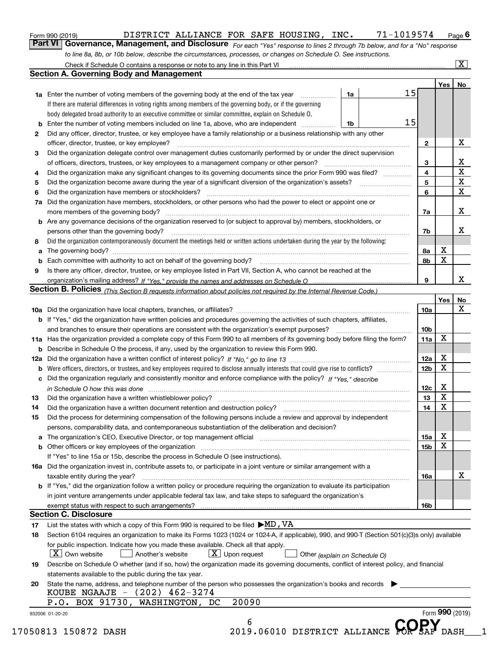| Form 990 (2019) |  |  |
|-----------------|--|--|
|                 |  |  |

### DISTRICT ALLIANCE FOR SAFE HOUSING, INC. 71-1019574 Page 6

*For each "Yes" response to lines 2 through 7b below, and for a "No" response* **6Part VI Governance, Management, and Disclosure**  DISTRICT ALLIANCE FOR SAFE HOUSING, INC. 71-1019574 *to line 8a, 8b, or 10b below, describe the circumstances, processes, or changes on Schedule O. See instructions.*

|                 |                                                                                                                                                                                                                                |    |  |    |                         | Yes <sub>1</sub> | No                      |  |  |
|-----------------|--------------------------------------------------------------------------------------------------------------------------------------------------------------------------------------------------------------------------------|----|--|----|-------------------------|------------------|-------------------------|--|--|
|                 | 1a Enter the number of voting members of the governing body at the end of the tax year                                                                                                                                         | 1a |  | 15 |                         |                  |                         |  |  |
|                 | If there are material differences in voting rights among members of the governing body, or if the governing                                                                                                                    |    |  |    |                         |                  |                         |  |  |
|                 | body delegated broad authority to an executive committee or similar committee, explain on Schedule O.                                                                                                                          |    |  |    |                         |                  |                         |  |  |
| b               | Enter the number of voting members included on line 1a, above, who are independent                                                                                                                                             | 1b |  | 15 |                         |                  |                         |  |  |
| 2               | Did any officer, director, trustee, or key employee have a family relationship or a business relationship with any other                                                                                                       |    |  |    |                         |                  |                         |  |  |
|                 | officer, director, trustee, or key employee?                                                                                                                                                                                   |    |  |    | $\mathbf{2}$            |                  | X                       |  |  |
| З               | Did the organization delegate control over management duties customarily performed by or under the direct supervision                                                                                                          |    |  |    |                         |                  |                         |  |  |
|                 | of officers, directors, trustees, or key employees to a management company or other person?                                                                                                                                    |    |  |    | 3                       |                  | X                       |  |  |
| 4               | Did the organization make any significant changes to its governing documents since the prior Form 990 was filed?                                                                                                               |    |  |    | $\overline{\mathbf{4}}$ |                  | $\overline{\mathbf{x}}$ |  |  |
| 5               |                                                                                                                                                                                                                                |    |  |    | 5                       |                  | $\overline{\mathbf{x}}$ |  |  |
| 6               | Did the organization have members or stockholders?                                                                                                                                                                             |    |  |    | 6                       |                  | $\mathbf X$             |  |  |
| 7a              | Did the organization have members, stockholders, or other persons who had the power to elect or appoint one or                                                                                                                 |    |  |    |                         |                  |                         |  |  |
|                 |                                                                                                                                                                                                                                |    |  |    | 7a                      |                  | X                       |  |  |
|                 | <b>b</b> Are any governance decisions of the organization reserved to (or subject to approval by) members, stockholders, or                                                                                                    |    |  |    |                         |                  |                         |  |  |
|                 | persons other than the governing body?                                                                                                                                                                                         |    |  |    | 7b                      |                  | х                       |  |  |
| 8               | Did the organization contemporaneously document the meetings held or written actions undertaken during the year by the following:                                                                                              |    |  |    |                         |                  |                         |  |  |
| a               |                                                                                                                                                                                                                                |    |  |    | 8а                      | X                |                         |  |  |
| b               |                                                                                                                                                                                                                                |    |  |    | 8b                      | X                |                         |  |  |
| 9               | Is there any officer, director, trustee, or key employee listed in Part VII, Section A, who cannot be reached at the                                                                                                           |    |  |    |                         |                  |                         |  |  |
|                 |                                                                                                                                                                                                                                |    |  |    | 9                       |                  | X                       |  |  |
|                 | Section B. Policies (This Section B requests information about policies not required by the Internal Revenue Code.)                                                                                                            |    |  |    |                         |                  |                         |  |  |
|                 |                                                                                                                                                                                                                                |    |  |    |                         | Yes              | No                      |  |  |
|                 |                                                                                                                                                                                                                                |    |  |    | 10a                     |                  | X                       |  |  |
|                 | <b>b</b> If "Yes," did the organization have written policies and procedures governing the activities of such chapters, affiliates,                                                                                            |    |  |    |                         |                  |                         |  |  |
|                 |                                                                                                                                                                                                                                |    |  |    |                         |                  |                         |  |  |
|                 |                                                                                                                                                                                                                                |    |  |    | 10 <sub>b</sub>         | X                |                         |  |  |
|                 | 11a Has the organization provided a complete copy of this Form 990 to all members of its governing body before filing the form?                                                                                                |    |  |    | 11a                     |                  |                         |  |  |
|                 | <b>b</b> Describe in Schedule O the process, if any, used by the organization to review this Form 990.                                                                                                                         |    |  |    | 12a                     | X                |                         |  |  |
|                 |                                                                                                                                                                                                                                |    |  |    |                         |                  |                         |  |  |
|                 | <b>b</b> Were officers, directors, or trustees, and key employees required to disclose annually interests that could give rise to conflicts?                                                                                   |    |  |    |                         |                  |                         |  |  |
|                 | c Did the organization regularly and consistently monitor and enforce compliance with the policy? If "Yes," describe                                                                                                           |    |  |    |                         |                  |                         |  |  |
|                 | in Schedule O how this was done manufactured and continuum control of the Schedule O how this was done manufactured and continuum control of the Schedule O how this was done                                                  |    |  |    | 12c                     | X                |                         |  |  |
| 13              |                                                                                                                                                                                                                                |    |  |    | 13                      | X                |                         |  |  |
| 14              |                                                                                                                                                                                                                                |    |  |    | 14                      | X                |                         |  |  |
| 15              | Did the process for determining compensation of the following persons include a review and approval by independent                                                                                                             |    |  |    |                         |                  |                         |  |  |
|                 | persons, comparability data, and contemporaneous substantiation of the deliberation and decision?                                                                                                                              |    |  |    |                         |                  |                         |  |  |
|                 | a The organization's CEO, Executive Director, or top management official manufactured content content of the organization's CEO, Executive Director, or top management official manufactured content of the state of the conte |    |  |    | 15a                     | х                |                         |  |  |
|                 |                                                                                                                                                                                                                                |    |  |    | 15b                     | X                |                         |  |  |
|                 | If "Yes" to line 15a or 15b, describe the process in Schedule O (see instructions).                                                                                                                                            |    |  |    |                         |                  |                         |  |  |
|                 | 16a Did the organization invest in, contribute assets to, or participate in a joint venture or similar arrangement with a                                                                                                      |    |  |    |                         |                  |                         |  |  |
|                 | taxable entity during the year?                                                                                                                                                                                                |    |  |    | 16a                     |                  | X                       |  |  |
|                 | b If "Yes," did the organization follow a written policy or procedure requiring the organization to evaluate its participation                                                                                                 |    |  |    |                         |                  |                         |  |  |
|                 | in joint venture arrangements under applicable federal tax law, and take steps to safequard the organization's                                                                                                                 |    |  |    |                         |                  |                         |  |  |
|                 | exempt status with respect to such arrangements?                                                                                                                                                                               |    |  |    | 16b                     |                  |                         |  |  |
|                 | <b>Section C. Disclosure</b>                                                                                                                                                                                                   |    |  |    |                         |                  |                         |  |  |
| 17              | List the states with which a copy of this Form 990 is required to be filed $\blacktriangleright$ MD, VA                                                                                                                        |    |  |    |                         |                  |                         |  |  |
| 18              | Section 6104 requires an organization to make its Forms 1023 (1024 or 1024-A, if applicable), 990, and 990-T (Section 501(c)(3)s only) available                                                                               |    |  |    |                         |                  |                         |  |  |
|                 | for public inspection. Indicate how you made these available. Check all that apply.                                                                                                                                            |    |  |    |                         |                  |                         |  |  |
|                 | $X$ Upon request<br>$\lfloor x \rfloor$ Own website<br>Another's website<br>Other (explain on Schedule O)                                                                                                                      |    |  |    |                         |                  |                         |  |  |
| 19              | Describe on Schedule O whether (and if so, how) the organization made its governing documents, conflict of interest policy, and financial                                                                                      |    |  |    |                         |                  |                         |  |  |
|                 | statements available to the public during the tax year.                                                                                                                                                                        |    |  |    |                         |                  |                         |  |  |
| 20              | State the name, address, and telephone number of the person who possesses the organization's books and records $\blacktriangleright$                                                                                           |    |  |    |                         |                  |                         |  |  |
|                 | KOUBE NGAAJE - (202) 462-3274                                                                                                                                                                                                  |    |  |    |                         |                  |                         |  |  |
|                 | 20090<br>P.O. BOX 91730, WASHINGTON, DC                                                                                                                                                                                        |    |  |    |                         |                  |                         |  |  |
| 932006 01-20-20 |                                                                                                                                                                                                                                |    |  |    |                         | Form 990 (2019)  |                         |  |  |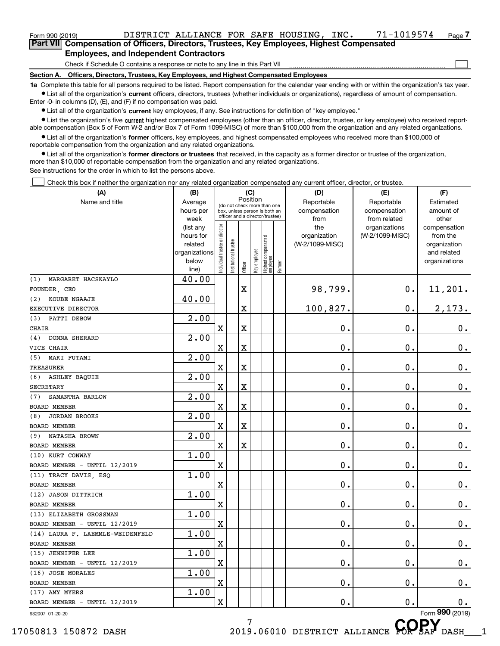Form 990 (2019) DISTRICT\_ALLIANCE\_FOR\_SAFE\_HOUSING,INC. 71-1019574 <sub>Page</sub><br>Part VIII Compensation of Officers\_Directors\_Trustees\_Key Employees\_Highest Compensated **7Part VII Compensation of Officers, Directors, Trustees, Key Employees, Highest Compensated Employees, and Independent Contractors**

Check if Schedule O contains a response or note to any line in this Part VII

**Section A. Officers, Directors, Trustees, Key Employees, and Highest Compensated Employees**

**1a**  Complete this table for all persons required to be listed. Report compensation for the calendar year ending with or within the organization's tax year. **•** List all of the organization's current officers, directors, trustees (whether individuals or organizations), regardless of amount of compensation.

 $\mathcal{L}^{\text{max}}$ 

 $\bullet$  List all of the organization's  $\,$ current key employees, if any. See instructions for definition of "key employee." Enter -0- in columns (D), (E), and (F) if no compensation was paid.

• List the organization's five current highest compensated employees (other than an officer, director, trustee, or key employee) who received report-■ List the organization's five current highest compensated employees (other than an officer, director, trustee, or key employee) who received report-<br>able compensation (Box 5 of Form W-2 and/or Box 7 of Form 1099-MISC) of

**•** List all of the organization's former officers, key employees, and highest compensated employees who received more than \$100,000 of reportable compensation from the organization and any related organizations.

**former directors or trustees**  ¥ List all of the organization's that received, in the capacity as a former director or trustee of the organization, more than \$10,000 of reportable compensation from the organization and any related organizations.

See instructions for the order in which to list the persons above.

Check this box if neither the organization nor any related organization compensated any current officer, director, or trustee.  $\mathcal{L}^{\text{max}}$ 

| (A)                              | (B)                                                |                                |                                                                  |                         | (C)          |                                   |        | (D)             | (E)             | (F)                          |
|----------------------------------|----------------------------------------------------|--------------------------------|------------------------------------------------------------------|-------------------------|--------------|-----------------------------------|--------|-----------------|-----------------|------------------------------|
| Name and title                   | Position<br>Average<br>(do not check more than one |                                |                                                                  |                         |              |                                   |        | Reportable      | Reportable      | Estimated                    |
|                                  | hours per                                          |                                | box, unless person is both an<br>officer and a director/trustee) |                         |              |                                   |        | compensation    | compensation    | amount of                    |
|                                  | week                                               |                                |                                                                  |                         |              |                                   |        | from            | from related    | other                        |
|                                  | (list any                                          |                                |                                                                  |                         |              |                                   |        | the             | organizations   | compensation                 |
|                                  | hours for                                          |                                |                                                                  |                         |              |                                   |        | organization    | (W-2/1099-MISC) | from the                     |
|                                  | related                                            |                                |                                                                  |                         |              |                                   |        | (W-2/1099-MISC) |                 | organization                 |
|                                  | organizations<br>below                             |                                |                                                                  |                         |              |                                   |        |                 |                 | and related<br>organizations |
|                                  | line)                                              | Individual trustee or director | Institutional trustee                                            | Officer                 | Key employee | Highest compensated<br>  employee | Former |                 |                 |                              |
| MARGARET HACSKAYLO<br>(1)        | 40.00                                              |                                |                                                                  |                         |              |                                   |        |                 |                 |                              |
| FOUNDER, CEO                     |                                                    |                                |                                                                  | X                       |              |                                   |        | 98,799.         | $\mathbf 0$ .   | 11,201.                      |
| KOUBE NGAAJE<br>(2)              | 40.00                                              |                                |                                                                  |                         |              |                                   |        |                 |                 |                              |
| EXECUTIVE DIRECTOR               |                                                    |                                |                                                                  | $\overline{\textbf{X}}$ |              |                                   |        | 100,827.        | 0.              | 2,173.                       |
| PATTI DEBOW<br>(3)               | 2.00                                               |                                |                                                                  |                         |              |                                   |        |                 |                 |                              |
| CHAIR                            |                                                    | $\mathbf X$                    |                                                                  | X                       |              |                                   |        | 0.              | $\mathbf 0$ .   | 0.                           |
| DONNA SHERARD<br>(4)             | $\overline{2.00}$                                  |                                |                                                                  |                         |              |                                   |        |                 |                 |                              |
| VICE CHAIR                       |                                                    | X                              |                                                                  | X                       |              |                                   |        | 0.              | $\mathbf 0$ .   | 0.                           |
| (5)<br>MAKI FUTAMI               | $\overline{2.00}$                                  |                                |                                                                  |                         |              |                                   |        |                 |                 |                              |
| <b>TREASURER</b>                 |                                                    | X                              |                                                                  | $\overline{\textbf{X}}$ |              |                                   |        | 0.              | $\mathbf 0$ .   | 0.                           |
| ASHLEY BAQUIE<br>(6)             | $\overline{2.00}$                                  |                                |                                                                  |                         |              |                                   |        |                 |                 |                              |
| <b>SECRETARY</b>                 |                                                    | X                              |                                                                  | $\overline{\textbf{X}}$ |              |                                   |        | 0.              | $\mathbf 0$ .   | 0.                           |
| SAMANTHA BARLOW<br>(7)           | $\overline{2.00}$                                  |                                |                                                                  |                         |              |                                   |        |                 |                 |                              |
| BOARD MEMBER                     |                                                    | X                              |                                                                  | $\overline{\textbf{X}}$ |              |                                   |        | 0.              | $\mathbf 0$ .   | $\mathbf 0$ .                |
| <b>JORDAN BROOKS</b><br>(8)      | $\overline{2.00}$                                  |                                |                                                                  |                         |              |                                   |        |                 |                 |                              |
| BOARD MEMBER                     |                                                    | X                              |                                                                  | $\overline{\textbf{X}}$ |              |                                   |        | 0.              | $\mathbf 0$ .   | $\mathbf 0$ .                |
| NATASHA BROWN<br>(9)             | $\overline{2.00}$                                  |                                |                                                                  |                         |              |                                   |        |                 |                 |                              |
| BOARD MEMBER                     |                                                    | X                              |                                                                  | $\overline{\textbf{X}}$ |              |                                   |        | 0.              | $\mathbf 0$ .   | $\mathbf 0$ .                |
| (10) KURT CONWAY                 | 1.00                                               |                                |                                                                  |                         |              |                                   |        |                 |                 |                              |
| BOARD MEMBER - UNTIL 12/2019     |                                                    | X                              |                                                                  |                         |              |                                   |        | 0.              | $\mathbf 0$ .   | $\mathbf 0$ .                |
| (11) TRACY DAVIS, ESQ            | 1.00                                               |                                |                                                                  |                         |              |                                   |        |                 |                 |                              |
| BOARD MEMBER                     |                                                    | X                              |                                                                  |                         |              |                                   |        | 0.              | $\mathbf 0$ .   | $\mathbf 0$ .                |
| (12) JASON DITTRICH              | 1.00                                               |                                |                                                                  |                         |              |                                   |        |                 |                 |                              |
| BOARD MEMBER                     |                                                    | X                              |                                                                  |                         |              |                                   |        | 0.              | $\mathbf 0$ .   | 0.                           |
| (13) ELIZABETH GROSSMAN          | 1.00                                               |                                |                                                                  |                         |              |                                   |        |                 |                 |                              |
| BOARD MEMBER - UNTIL 12/2019     |                                                    | X                              |                                                                  |                         |              |                                   |        | 0.              | $\mathbf 0$ .   | 0.                           |
| (14) LAURA F. LAEMMLE-WEIDENFELD | 1.00                                               |                                |                                                                  |                         |              |                                   |        |                 |                 |                              |
| BOARD MEMBER                     |                                                    | X                              |                                                                  |                         |              |                                   |        | 0.              | $\mathbf 0$ .   | 0.                           |
| (15) JENNIFER LEE                | 1.00                                               |                                |                                                                  |                         |              |                                   |        |                 |                 |                              |
| BOARD MEMBER - UNTIL 12/2019     |                                                    | X                              |                                                                  |                         |              |                                   |        | $\mathbf 0$ .   | $\mathbf 0$ .   | $0_{.}$                      |
| (16) JOSE MORALES                | 1.00                                               | X                              |                                                                  |                         |              |                                   |        | $\mathbf 0$ .   | $\mathbf 0$ .   |                              |
| BOARD MEMBER<br>(17) AMY MYERS   | 1.00                                               |                                |                                                                  |                         |              |                                   |        |                 |                 | 0.                           |
| BOARD MEMBER - UNTIL 12/2019     |                                                    | X                              |                                                                  |                         |              |                                   |        | 0.              | 0.              | 0.                           |
|                                  |                                                    |                                |                                                                  |                         |              |                                   |        |                 |                 | Form 990 (2019)              |
| 932007 01-20-20                  |                                                    |                                |                                                                  | 7                       |              |                                   |        |                 |                 | <b>AARV</b>                  |

7

17050813 150872 DASH 2019.06010 DISTRICT ALLIANCE **COPSAF** DASH 1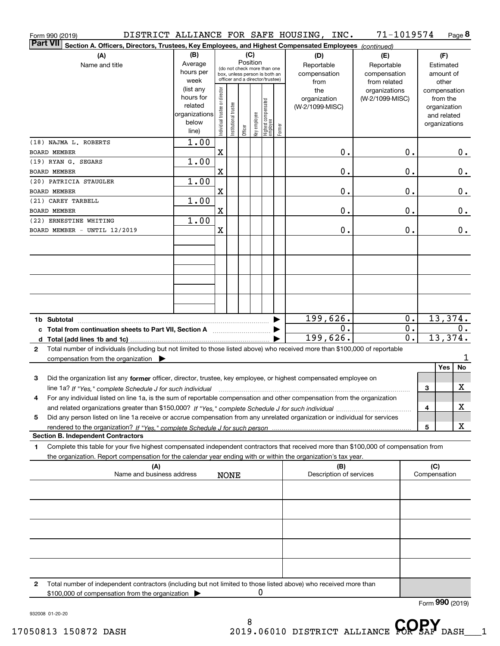|                 | Form 990 (2019)                                        |                                                                                                                                                                                                                                                                           |                                                         |                                                                                                                    |                       |         |              |                                  |        | DISTRICT ALLIANCE FOR SAFE HOUSING, INC.         | 71-1019574                                                         |                           |                     |                                                          | Page 8           |
|-----------------|--------------------------------------------------------|---------------------------------------------------------------------------------------------------------------------------------------------------------------------------------------------------------------------------------------------------------------------------|---------------------------------------------------------|--------------------------------------------------------------------------------------------------------------------|-----------------------|---------|--------------|----------------------------------|--------|--------------------------------------------------|--------------------------------------------------------------------|---------------------------|---------------------|----------------------------------------------------------|------------------|
| <b>Part VII</b> |                                                        | Section A. Officers, Directors, Trustees, Key Employees, and Highest Compensated Employees (continued)                                                                                                                                                                    |                                                         |                                                                                                                    |                       |         |              |                                  |        |                                                  |                                                                    |                           |                     |                                                          |                  |
|                 |                                                        | (A)<br>Name and title                                                                                                                                                                                                                                                     | (B)<br>Average<br>hours per<br>week<br>(list any        | (C)<br>Position<br>(do not check more than one<br>box, unless person is both an<br>officer and a director/trustee) |                       |         |              |                                  |        | (D)<br>Reportable<br>compensation<br>from<br>the | (E)<br>Reportable<br>compensation<br>from related<br>organizations |                           |                     | (F)<br>Estimated<br>amount of<br>other<br>compensation   |                  |
|                 |                                                        |                                                                                                                                                                                                                                                                           | hours for<br>related<br>organizations<br>below<br>line) | Individual trustee or director                                                                                     | Institutional trustee | Officer | Key employee | Highest compensated<br> employee | Former | organization<br>(W-2/1099-MISC)                  | (W-2/1099-MISC)                                                    |                           |                     | from the<br>organization<br>and related<br>organizations |                  |
|                 | (18) NAJMA L. ROBERTS<br><b>BOARD MEMBER</b>           |                                                                                                                                                                                                                                                                           | 1.00                                                    | X                                                                                                                  |                       |         |              |                                  |        | 0.                                               |                                                                    | 0.                        |                     |                                                          | О.               |
|                 | (19) RYAN G. SEGARS<br><b>BOARD MEMBER</b>             |                                                                                                                                                                                                                                                                           | 1.00                                                    | X                                                                                                                  |                       |         |              |                                  |        | 0.                                               |                                                                    | 0.                        |                     |                                                          | 0.               |
|                 | (20) PATRICIA STAUGLER<br>BOARD MEMBER                 |                                                                                                                                                                                                                                                                           | 1.00                                                    | X                                                                                                                  |                       |         |              |                                  |        | 0.                                               |                                                                    | 0.                        |                     |                                                          | 0.               |
|                 | (21) CAREY TARBELL<br>BOARD MEMBER                     |                                                                                                                                                                                                                                                                           | 1.00                                                    | X                                                                                                                  |                       |         |              |                                  |        | 0.                                               |                                                                    | 0.                        |                     |                                                          | 0.               |
|                 | (22) ERNESTINE WHITING<br>BOARD MEMBER - UNTIL 12/2019 |                                                                                                                                                                                                                                                                           | 1.00                                                    | X                                                                                                                  |                       |         |              |                                  |        | 0.                                               |                                                                    | 0.                        |                     |                                                          | $0$ .            |
|                 |                                                        |                                                                                                                                                                                                                                                                           |                                                         |                                                                                                                    |                       |         |              |                                  |        |                                                  |                                                                    |                           |                     |                                                          |                  |
|                 |                                                        |                                                                                                                                                                                                                                                                           |                                                         |                                                                                                                    |                       |         |              |                                  |        |                                                  |                                                                    |                           |                     |                                                          |                  |
|                 |                                                        |                                                                                                                                                                                                                                                                           |                                                         |                                                                                                                    |                       |         |              |                                  |        |                                                  |                                                                    |                           |                     |                                                          |                  |
|                 |                                                        |                                                                                                                                                                                                                                                                           |                                                         |                                                                                                                    |                       |         |              |                                  |        |                                                  |                                                                    |                           |                     |                                                          |                  |
|                 |                                                        | c Total from continuation sheets to Part VII, Section A                                                                                                                                                                                                                   |                                                         |                                                                                                                    |                       |         |              |                                  |        | 199,626.<br>0.                                   |                                                                    | $0$ .<br>$\overline{0}$ . |                     |                                                          | 13,374.<br>$0$ . |
| $\mathbf{2}$    |                                                        | Total number of individuals (including but not limited to those listed above) who received more than \$100,000 of reportable                                                                                                                                              |                                                         |                                                                                                                    |                       |         |              |                                  |        | 199,626.                                         |                                                                    | $\overline{0}$ .          |                     | 13,374.                                                  |                  |
|                 |                                                        | compensation from the organization $\blacktriangleright$                                                                                                                                                                                                                  |                                                         |                                                                                                                    |                       |         |              |                                  |        |                                                  |                                                                    |                           |                     | Yes                                                      | 1<br>No          |
| 3               |                                                        | Did the organization list any former officer, director, trustee, key employee, or highest compensated employee on<br>line 1a? If "Yes," complete Schedule J for such individual manufactured contained and the line 1a? If "Yes," complete Schedule J for such individual |                                                         |                                                                                                                    |                       |         |              |                                  |        |                                                  |                                                                    |                           | 3                   |                                                          | X                |
|                 |                                                        | For any individual listed on line 1a, is the sum of reportable compensation and other compensation from the organization                                                                                                                                                  |                                                         |                                                                                                                    |                       |         |              |                                  |        |                                                  |                                                                    |                           | 4                   |                                                          | х                |
| 5               |                                                        | Did any person listed on line 1a receive or accrue compensation from any unrelated organization or individual for services                                                                                                                                                |                                                         |                                                                                                                    |                       |         |              |                                  |        |                                                  |                                                                    |                           |                     |                                                          | х                |
|                 |                                                        | <b>Section B. Independent Contractors</b>                                                                                                                                                                                                                                 |                                                         |                                                                                                                    |                       |         |              |                                  |        |                                                  |                                                                    |                           | 5                   |                                                          |                  |
| 1               |                                                        | Complete this table for your five highest compensated independent contractors that received more than \$100,000 of compensation from<br>the organization. Report compensation for the calendar year ending with or within the organization's tax year.                    |                                                         |                                                                                                                    |                       |         |              |                                  |        |                                                  |                                                                    |                           |                     |                                                          |                  |
|                 |                                                        | (A)<br>Name and business address                                                                                                                                                                                                                                          |                                                         |                                                                                                                    | <b>NONE</b>           |         |              |                                  |        | (B)<br>Description of services                   |                                                                    |                           | (C)<br>Compensation |                                                          |                  |
|                 |                                                        |                                                                                                                                                                                                                                                                           |                                                         |                                                                                                                    |                       |         |              |                                  |        |                                                  |                                                                    |                           |                     |                                                          |                  |
|                 |                                                        |                                                                                                                                                                                                                                                                           |                                                         |                                                                                                                    |                       |         |              |                                  |        |                                                  |                                                                    |                           |                     |                                                          |                  |
|                 |                                                        |                                                                                                                                                                                                                                                                           |                                                         |                                                                                                                    |                       |         |              |                                  |        |                                                  |                                                                    |                           |                     |                                                          |                  |
|                 |                                                        |                                                                                                                                                                                                                                                                           |                                                         |                                                                                                                    |                       |         |              |                                  |        |                                                  |                                                                    |                           |                     |                                                          |                  |
|                 |                                                        |                                                                                                                                                                                                                                                                           |                                                         |                                                                                                                    |                       |         |              |                                  |        |                                                  |                                                                    |                           |                     |                                                          |                  |
| 2               |                                                        | Total number of independent contractors (including but not limited to those listed above) who received more than<br>\$100,000 of compensation from the organization                                                                                                       |                                                         |                                                                                                                    |                       |         | 0            |                                  |        |                                                  |                                                                    |                           |                     |                                                          |                  |
|                 |                                                        |                                                                                                                                                                                                                                                                           |                                                         |                                                                                                                    |                       |         |              |                                  |        |                                                  |                                                                    |                           | Form 990 (2019)     |                                                          |                  |

932008 01-20-20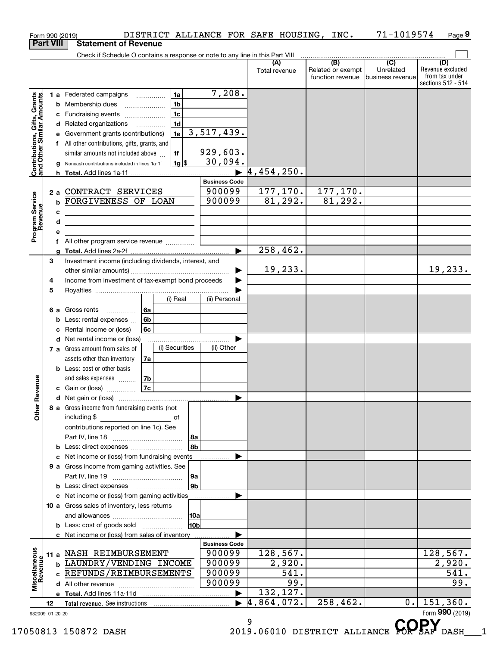|                                                           | Form 990 (2019)   |                                                                                                                                                                                                                                                                                                                    |                                                                                 |                                                                     | DISTRICT ALLIANCE FOR SAFE HOUSING, INC. |                                                                                              | 71-1019574                    | Page 9                                                          |
|-----------------------------------------------------------|-------------------|--------------------------------------------------------------------------------------------------------------------------------------------------------------------------------------------------------------------------------------------------------------------------------------------------------------------|---------------------------------------------------------------------------------|---------------------------------------------------------------------|------------------------------------------|----------------------------------------------------------------------------------------------|-------------------------------|-----------------------------------------------------------------|
|                                                           | <b>Part VIII</b>  | <b>Statement of Revenue</b>                                                                                                                                                                                                                                                                                        |                                                                                 |                                                                     |                                          |                                                                                              |                               |                                                                 |
|                                                           |                   | Check if Schedule O contains a response or note to any line in this Part VIII                                                                                                                                                                                                                                      |                                                                                 |                                                                     | (A)<br>Total revenue                     | $\overline{(\mathsf{B})}$ $\overline{(\mathsf{C})}$<br>Related or exempt<br>function revenue | Unrelated<br>business revenue | (D)<br>Revenue excluded<br>from tax under<br>sections 512 - 514 |
| Contributions, Gifts, Grants<br>and Other Similar Amounts | b<br>е<br>a<br>h. | 1 a Federated campaigns<br>Membership dues<br>$\ldots \ldots \ldots \ldots \ldots$<br>c Fundraising events<br>d Related organizations<br>Government grants (contributions)<br>f All other contributions, gifts, grants, and<br>similar amounts not included above<br>Noncash contributions included in lines 1a-1f | 1a<br>1 <sub>b</sub><br>1 <sub>c</sub><br>1 <sub>d</sub><br>1e<br>1f<br>$1g$ \$ | 7,208.<br>3,517,439.<br>929,603.<br>30,094.<br><b>Business Code</b> | 4,454,250.                               |                                                                                              |                               |                                                                 |
| Program Service<br>Revenue                                | с<br>d<br>е       | 2 a CONTRACT SERVICES<br><b>b FORGIVENESS OF LOAN</b><br><u> 1989 - Johann Barn, mars ann an t-Amhain Aonaich ann an t-Aonaich an t-Aonaich ann an t-Aonaich ann an t-Aon</u><br><u> 1989 - Johann Stein, marwolaethau a bhann an t-Amhair an t-Amhair an t-Amhair an t-Amhair an t-Amhair an t-A</u>              |                                                                                 | 900099<br>900099                                                    | 177,170.<br>81, 292.                     | 177,170.<br>81,292.                                                                          |                               |                                                                 |
|                                                           |                   | f All other program service revenue                                                                                                                                                                                                                                                                                |                                                                                 |                                                                     | 258,462.                                 |                                                                                              |                               |                                                                 |
|                                                           | a<br>3<br>4       | Investment income (including dividends, interest, and<br>Income from investment of tax-exempt bond proceeds                                                                                                                                                                                                        |                                                                                 |                                                                     | 19,233.                                  |                                                                                              |                               | 19,233.                                                         |
|                                                           | 5<br>b<br>c       | 6а<br>6 a Gross rents<br>.<br>6b<br>Less: rental expenses<br>Rental income or (loss)<br>6c<br><b>d</b> Net rental income or (loss)                                                                                                                                                                                 | (i) Real                                                                        | (ii) Personal                                                       |                                          |                                                                                              |                               |                                                                 |
| evenue                                                    |                   | 7 a Gross amount from sales of<br>assets other than inventory<br>7a<br><b>b</b> Less: cost or other basis<br>7b<br>and sales expenses <b>contained</b>                                                                                                                                                             | (i) Securities                                                                  | (ii) Other                                                          |                                          |                                                                                              |                               |                                                                 |
|                                                           |                   | 7c<br>c Gain or (loss)                                                                                                                                                                                                                                                                                             |                                                                                 |                                                                     |                                          |                                                                                              |                               |                                                                 |
| Œ<br>Other                                                |                   | 8 a Gross income from fundraising events (not<br>including \$<br><u>of</u> of<br>contributions reported on line 1c). See                                                                                                                                                                                           | 8a                                                                              |                                                                     |                                          |                                                                                              |                               |                                                                 |
|                                                           |                   | <b>b</b> Less: direct expenses <i>manually contained</i>                                                                                                                                                                                                                                                           | 8b                                                                              |                                                                     |                                          |                                                                                              |                               |                                                                 |
|                                                           |                   | c Net income or (loss) from fundraising events<br>9 a Gross income from gaming activities. See<br><b>b</b> Less: direct expenses <b>manually</b>                                                                                                                                                                   | 9a<br>9b                                                                        |                                                                     |                                          |                                                                                              |                               |                                                                 |
|                                                           |                   | c Net income or (loss) from gaming activities<br>10 a Gross sales of inventory, less returns                                                                                                                                                                                                                       |                                                                                 |                                                                     |                                          |                                                                                              |                               |                                                                 |
|                                                           |                   | <b>b</b> Less: cost of goods sold                                                                                                                                                                                                                                                                                  | 10a<br>10 <sub>b</sub>                                                          |                                                                     |                                          |                                                                                              |                               |                                                                 |
|                                                           |                   | c Net income or (loss) from sales of inventory                                                                                                                                                                                                                                                                     |                                                                                 |                                                                     |                                          |                                                                                              |                               |                                                                 |
| Miscellaneous<br>Revenue                                  |                   | 11 a NASH REIMBURSEMENT<br><b>b LAUNDRY/VENDING INCOME</b><br>c REFUNDS/REIMBURSEMENTS                                                                                                                                                                                                                             |                                                                                 | <b>Business Code</b><br>900099<br>900099<br>900099<br>900099        | 128,567.<br>2,920.<br>541.<br>99.        |                                                                                              |                               | 128,567.<br>2,920.<br>541.<br>99.                               |
|                                                           |                   |                                                                                                                                                                                                                                                                                                                    |                                                                                 |                                                                     | 132,127.                                 |                                                                                              |                               |                                                                 |
|                                                           | 12                |                                                                                                                                                                                                                                                                                                                    |                                                                                 | $\blacktriangleright$                                               | $\sqrt{4,864}$ , 072.                    | 258,462.                                                                                     | $0$ .                         | 151, 360.                                                       |
|                                                           | 932009 01-20-20   |                                                                                                                                                                                                                                                                                                                    |                                                                                 |                                                                     | 9                                        |                                                                                              |                               | Form 990 (2019)<br>CODV                                         |

17050813 150872 DASH 2019.06010 DISTRICT ALLIANCE **COPSAF** DASH 1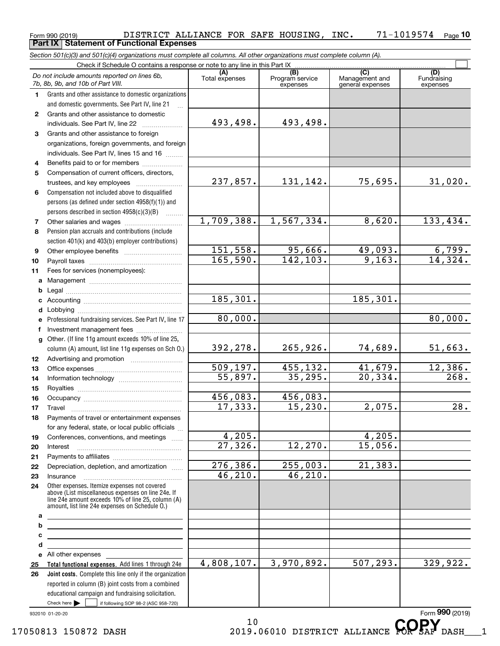#### Form 990 (2019) DISTRICT\_ALLIANCE\_FOR\_SAFE\_HOUSING,INC。 71-1019574 <sub>Page</sub><br>Part IX | Statement of Functional Expenses **10 Part IX Statement of Functional Expenses**

*Section 501(c)(3) and 501(c)(4) organizations must complete all columns. All other organizations must complete column (A).*

|              | Do not include amounts reported on lines 6b,<br>7b, 8b, 9b, and 10b of Part VIII.                                                                                                                          | (A)<br>Total expenses | (B)<br>Program service<br>expenses | $\overline{C}$<br>Management and<br>general expenses | (D)<br>Fundraising<br>expenses |
|--------------|------------------------------------------------------------------------------------------------------------------------------------------------------------------------------------------------------------|-----------------------|------------------------------------|------------------------------------------------------|--------------------------------|
| 1.           | Grants and other assistance to domestic organizations                                                                                                                                                      |                       |                                    |                                                      |                                |
|              | and domestic governments. See Part IV, line 21                                                                                                                                                             |                       |                                    |                                                      |                                |
| $\mathbf{2}$ | Grants and other assistance to domestic                                                                                                                                                                    |                       |                                    |                                                      |                                |
|              | individuals. See Part IV, line 22                                                                                                                                                                          | 493,498.              | 493,498.                           |                                                      |                                |
| 3            | Grants and other assistance to foreign                                                                                                                                                                     |                       |                                    |                                                      |                                |
|              | organizations, foreign governments, and foreign                                                                                                                                                            |                       |                                    |                                                      |                                |
|              | individuals. See Part IV, lines 15 and 16                                                                                                                                                                  |                       |                                    |                                                      |                                |
| 4            | Benefits paid to or for members                                                                                                                                                                            |                       |                                    |                                                      |                                |
| 5            | Compensation of current officers, directors,                                                                                                                                                               |                       |                                    |                                                      |                                |
|              |                                                                                                                                                                                                            | 237,857.              | 131,142.                           | 75,695.                                              | 31,020.                        |
| 6            | Compensation not included above to disqualified                                                                                                                                                            |                       |                                    |                                                      |                                |
|              | persons (as defined under section 4958(f)(1)) and                                                                                                                                                          |                       |                                    |                                                      |                                |
|              | persons described in section 4958(c)(3)(B)                                                                                                                                                                 |                       |                                    |                                                      |                                |
| 7            |                                                                                                                                                                                                            | 1,709,388.            | 1,567,334.                         | 8,620.                                               | 133,434.                       |
| 8            | Pension plan accruals and contributions (include                                                                                                                                                           |                       |                                    |                                                      |                                |
|              | section 401(k) and 403(b) employer contributions)                                                                                                                                                          |                       |                                    |                                                      |                                |
| 9            |                                                                                                                                                                                                            | 151,558.              | 95,666.                            | 49,093.                                              | $\frac{6,799.}{14,324.}$       |
| 10           |                                                                                                                                                                                                            | 165,590.              | 142, 103.                          | 9,163.                                               |                                |
| 11           | Fees for services (nonemployees):                                                                                                                                                                          |                       |                                    |                                                      |                                |
| a            |                                                                                                                                                                                                            |                       |                                    |                                                      |                                |
| b            |                                                                                                                                                                                                            |                       |                                    | 185, 301.                                            |                                |
| c            |                                                                                                                                                                                                            | 185,301.              |                                    |                                                      |                                |
| d            |                                                                                                                                                                                                            | 80,000.               |                                    |                                                      | 80,000.                        |
| e            | Professional fundraising services. See Part IV, line 17                                                                                                                                                    |                       |                                    |                                                      |                                |
| f            | Investment management fees                                                                                                                                                                                 |                       |                                    |                                                      |                                |
| g            | Other. (If line 11g amount exceeds 10% of line 25,                                                                                                                                                         | 392, 278.             | 265,926.                           | 74,689.                                              | 51,663.                        |
|              | column (A) amount, list line 11g expenses on Sch 0.)                                                                                                                                                       |                       |                                    |                                                      |                                |
| 12           |                                                                                                                                                                                                            | 509, 197.             | 455,132.                           | 41,679.                                              | 12,386.                        |
| 13           |                                                                                                                                                                                                            | 55,897.               | 35, 295.                           | 20, 334.                                             | 268.                           |
| 14           |                                                                                                                                                                                                            |                       |                                    |                                                      |                                |
| 15<br>16     |                                                                                                                                                                                                            | 456,083.              | 456,083.                           |                                                      |                                |
| 17           | Travel                                                                                                                                                                                                     | 17,333.               | 15, 230.                           | 2,075.                                               | 28.                            |
| 18           | Payments of travel or entertainment expenses                                                                                                                                                               |                       |                                    |                                                      |                                |
|              | for any federal, state, or local public officials                                                                                                                                                          |                       |                                    |                                                      |                                |
| 19           | Conferences, conventions, and meetings                                                                                                                                                                     | 4,205.                |                                    | 4,205.                                               |                                |
| 20           | Interest                                                                                                                                                                                                   | 27,326.               | 12,270.                            | 15,056.                                              |                                |
| 21           |                                                                                                                                                                                                            |                       |                                    |                                                      |                                |
| 22           | Depreciation, depletion, and amortization                                                                                                                                                                  | 276, 386.             | 255,003.                           | 21, 383.                                             |                                |
| 23           | Insurance                                                                                                                                                                                                  | 46,210.               | 46, 210.                           |                                                      |                                |
| 24           | Other expenses. Itemize expenses not covered<br>above (List miscellaneous expenses on line 24e. If<br>line 24e amount exceeds 10% of line 25, column (A)<br>amount, list line 24e expenses on Schedule O.) |                       |                                    |                                                      |                                |
| a            |                                                                                                                                                                                                            |                       |                                    |                                                      |                                |
| b            | <u> 1989 - Johann Barbara, martin amerikan basar dan berasal dan berasal dalam basar dalam basar dalam basar dala</u>                                                                                      |                       |                                    |                                                      |                                |
| c            | <u> 1989 - Johann Stein, mars an deus Amerikaansk kommunister (</u>                                                                                                                                        |                       |                                    |                                                      |                                |
| d            | <u> 1989 - Johann Barbara, martin amerikan basar dan berasal dan berasal dalam basar dalam basar dalam basar dala</u>                                                                                      |                       |                                    |                                                      |                                |
|              | e All other expenses                                                                                                                                                                                       |                       |                                    |                                                      |                                |
| 25           | Total functional expenses. Add lines 1 through 24e                                                                                                                                                         | 4,808,107.            | 3,970,892.                         | $\overline{507,293}$ .                               | 329,922.                       |
| 26           | Joint costs. Complete this line only if the organization                                                                                                                                                   |                       |                                    |                                                      |                                |
|              | reported in column (B) joint costs from a combined                                                                                                                                                         |                       |                                    |                                                      |                                |
|              | educational campaign and fundraising solicitation.                                                                                                                                                         |                       |                                    |                                                      |                                |
|              | Check here $\blacktriangleright$<br>if following SOP 98-2 (ASC 958-720)                                                                                                                                    |                       |                                    |                                                      |                                |
|              | 932010 01-20-20                                                                                                                                                                                            |                       |                                    |                                                      | Form 990 (2019)                |
|              |                                                                                                                                                                                                            | 1 N                   |                                    |                                                      | <b>AARV</b>                    |

 $10$   $CDV$ 17050813 150872 DASH 2019.06010 DISTRICT ALLIANCE **COPSAF** DASH 1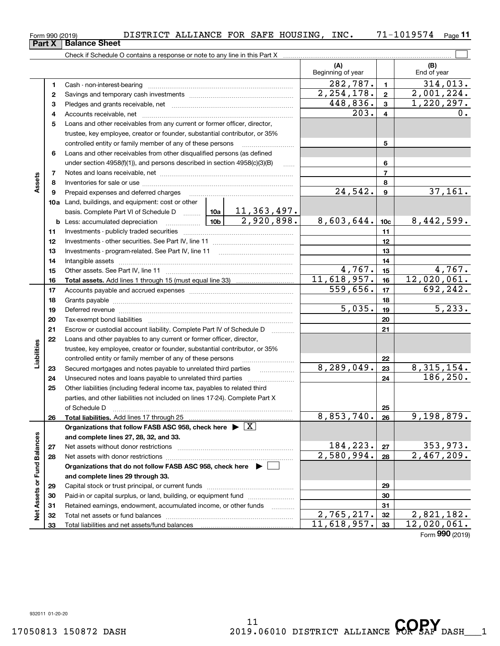| Form 990 (2019)               | DISTRICT ALLIANCE FOR SAFE HOUSING, |  | INC. | 71-1019574 | Page 11 |
|-------------------------------|-------------------------------------|--|------|------------|---------|
| <b>Part X   Balance Sheet</b> |                                     |  |      |            |         |

|                             |                         | Check if Schedule O contains a response or note to any line in this Part X                                                                                                                                                     |                          |                  |                           |
|-----------------------------|-------------------------|--------------------------------------------------------------------------------------------------------------------------------------------------------------------------------------------------------------------------------|--------------------------|------------------|---------------------------|
|                             |                         |                                                                                                                                                                                                                                | (A)<br>Beginning of year |                  | (B)<br>End of year        |
|                             | 1                       |                                                                                                                                                                                                                                | 282,787.                 | $\mathbf{1}$     | 314,013.                  |
|                             | 2                       |                                                                                                                                                                                                                                | 2, 254, 178.             | $\overline{2}$   | 2,001,224.                |
|                             | з                       |                                                                                                                                                                                                                                | 448,836.                 | $\mathbf{3}$     | 1,220,297.                |
|                             | 4                       |                                                                                                                                                                                                                                | 203.                     | 4                | 0.                        |
|                             | 5                       | Loans and other receivables from any current or former officer, director,                                                                                                                                                      |                          |                  |                           |
|                             |                         | trustee, key employee, creator or founder, substantial contributor, or 35%                                                                                                                                                     |                          |                  |                           |
|                             |                         | controlled entity or family member of any of these persons                                                                                                                                                                     |                          | 5                |                           |
|                             | 6                       | Loans and other receivables from other disqualified persons (as defined                                                                                                                                                        |                          |                  |                           |
|                             |                         | under section $4958(f)(1)$ , and persons described in section $4958(c)(3)(B)$                                                                                                                                                  | $\ldots$                 | 6                |                           |
|                             | $\overline{\mathbf{r}}$ |                                                                                                                                                                                                                                |                          | $\overline{7}$   |                           |
| Assets                      | 8                       |                                                                                                                                                                                                                                |                          | 8                |                           |
|                             | 9                       | Prepaid expenses and deferred charges                                                                                                                                                                                          | 24,542.                  | $\boldsymbol{9}$ | 37,161.                   |
|                             |                         | 10a Land, buildings, and equipment: cost or other                                                                                                                                                                              |                          |                  |                           |
|                             |                         | basis. Complete Part VI of Schedule D  10a   11, 363, 497.                                                                                                                                                                     |                          |                  |                           |
|                             | b                       | 2,920,898.<br>10 <sub>b</sub><br>Less: accumulated depreciation<br>. 1                                                                                                                                                         | 8,603,644.               | 10 <sub>c</sub>  | 8,442,599.                |
|                             | 11                      |                                                                                                                                                                                                                                |                          | 11               |                           |
|                             | 12                      |                                                                                                                                                                                                                                |                          | 12               |                           |
|                             | 13                      |                                                                                                                                                                                                                                |                          | 13               |                           |
|                             | 14                      |                                                                                                                                                                                                                                | 4,767.                   | 14<br>15         | 4,767.                    |
|                             | 15<br>16                |                                                                                                                                                                                                                                | 11,618,957.              | 16               | 12,020,061.               |
|                             | 17                      |                                                                                                                                                                                                                                | 559,656.                 | 17               | 692, 242.                 |
|                             | 18                      |                                                                                                                                                                                                                                |                          | 18               |                           |
|                             | 19                      | Deferred revenue manual contracts and contracts are contracted and contract and contract are contracted and contract are contracted and contract are contracted and contract are contracted and contract are contracted and co | 5,035.                   | 19               | $\overline{5,233}$ .      |
|                             | 20                      |                                                                                                                                                                                                                                |                          | 20               |                           |
|                             | 21                      | Escrow or custodial account liability. Complete Part IV of Schedule D<br>1.1.1.1.1.1.1.1.1                                                                                                                                     |                          | 21               |                           |
|                             | 22                      | Loans and other payables to any current or former officer, director,                                                                                                                                                           |                          |                  |                           |
| Liabilities                 |                         | trustee, key employee, creator or founder, substantial contributor, or 35%                                                                                                                                                     |                          |                  |                           |
|                             |                         | controlled entity or family member of any of these persons                                                                                                                                                                     |                          | 22               |                           |
|                             | 23                      | Secured mortgages and notes payable to unrelated third parties                                                                                                                                                                 | 8,289,049.               | 23               | 8, 315, 154.              |
|                             | 24                      | Unsecured notes and loans payable to unrelated third parties                                                                                                                                                                   |                          | 24               | 186, 250.                 |
|                             | 25                      | Other liabilities (including federal income tax, payables to related third                                                                                                                                                     |                          |                  |                           |
|                             |                         | parties, and other liabilities not included on lines 17-24). Complete Part X                                                                                                                                                   |                          |                  |                           |
|                             |                         | of Schedule D                                                                                                                                                                                                                  |                          | 25               |                           |
|                             | 26                      | Total liabilities. Add lines 17 through 25<br><u></u>                                                                                                                                                                          | 8,853,740.               | 26               | 9,198,879.                |
|                             |                         | Organizations that follow FASB ASC 958, check here $\blacktriangleright \boxed{X}$                                                                                                                                             |                          |                  |                           |
|                             |                         | and complete lines 27, 28, 32, and 33.                                                                                                                                                                                         | 184,223.                 |                  | 353,973.                  |
|                             | 27                      | Net assets without donor restrictions                                                                                                                                                                                          | 2,580,994.               | 27               | $\overline{2,467,209}$ .  |
|                             | 28                      | Net assets with donor restrictions<br>Organizations that do not follow FASB ASC 958, check here $\triangleright$                                                                                                               |                          | 28               |                           |
|                             |                         | and complete lines 29 through 33.                                                                                                                                                                                              |                          |                  |                           |
|                             | 29                      |                                                                                                                                                                                                                                |                          | 29               |                           |
|                             | 30                      | Paid-in or capital surplus, or land, building, or equipment fund                                                                                                                                                               |                          | 30               |                           |
|                             | 31                      | Retained earnings, endowment, accumulated income, or other funds                                                                                                                                                               |                          | 31               |                           |
| Net Assets or Fund Balances | 32                      |                                                                                                                                                                                                                                | 2,765,217.               | 32               | 2,821,182.                |
|                             | 33                      |                                                                                                                                                                                                                                | 11,618,957.              | 33               | $\overline{12,020,061}$ . |
|                             |                         |                                                                                                                                                                                                                                |                          |                  | Form 990 (2019)           |

 $\overline{\Box}$ 

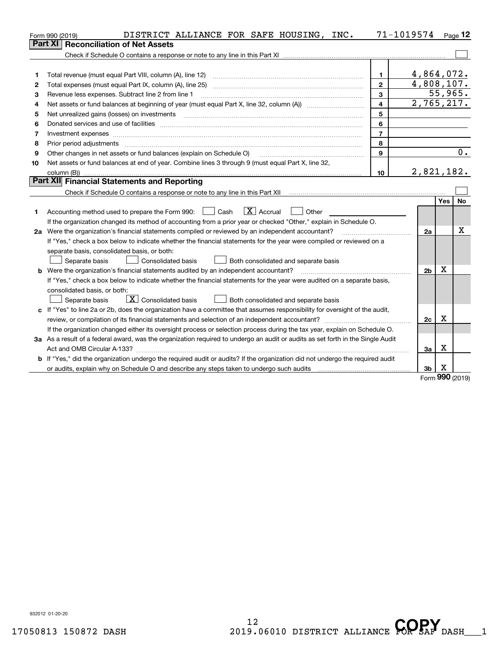|    | DISTRICT ALLIANCE FOR SAFE HOUSING, INC.<br>Form 990 (2019)                                                                     |                         | 71-1019574 Page 12 |         |           |
|----|---------------------------------------------------------------------------------------------------------------------------------|-------------------------|--------------------|---------|-----------|
|    | <b>Reconciliation of Net Assets</b><br>Part XI                                                                                  |                         |                    |         |           |
|    |                                                                                                                                 |                         |                    |         |           |
|    |                                                                                                                                 |                         |                    |         |           |
| 1  | Total revenue (must equal Part VIII, column (A), line 12)                                                                       | $\mathbf{1}$            | 4,864,072.         |         |           |
| 2  |                                                                                                                                 | $\mathbf{2}$            | 4,808,107.         |         |           |
| 3  | Revenue less expenses. Subtract line 2 from line 1                                                                              | 3                       |                    | 55,965. |           |
| 4  |                                                                                                                                 | $\overline{\mathbf{4}}$ | 2,765,217.         |         |           |
| 5  | Net unrealized gains (losses) on investments                                                                                    | 5                       |                    |         |           |
| 6  |                                                                                                                                 | 6                       |                    |         |           |
| 7  | Investment expenses www.communication.com/www.communication.com/www.communication.com/www.communication.com/ww                  | $\overline{7}$          |                    |         |           |
| 8  | Prior period adjustments                                                                                                        | 8                       |                    |         |           |
| 9  | Other changes in net assets or fund balances (explain on Schedule O)                                                            | 9                       |                    |         | $0$ .     |
| 10 | Net assets or fund balances at end of year. Combine lines 3 through 9 (must equal Part X, line 32,                              |                         |                    |         |           |
|    |                                                                                                                                 | 10                      | 2,821,182.         |         |           |
|    | Part XII Financial Statements and Reporting                                                                                     |                         |                    |         |           |
|    |                                                                                                                                 |                         |                    |         |           |
|    |                                                                                                                                 |                         |                    | Yes     | <b>No</b> |
| 1  | $\boxed{\mathbf{X}}$ Accrual<br>$\Box$ Cash<br>Accounting method used to prepare the Form 990:<br>Other                         |                         |                    |         |           |
|    | If the organization changed its method of accounting from a prior year or checked "Other," explain in Schedule O.               |                         |                    |         |           |
|    | 2a Were the organization's financial statements compiled or reviewed by an independent accountant?                              |                         | 2a                 |         | x         |
|    | If "Yes," check a box below to indicate whether the financial statements for the year were compiled or reviewed on a            |                         |                    |         |           |
|    | separate basis, consolidated basis, or both:                                                                                    |                         |                    |         |           |
|    | Separate basis<br><b>Consolidated basis</b><br>Both consolidated and separate basis                                             |                         |                    |         |           |
|    | <b>b</b> Were the organization's financial statements audited by an independent accountant?                                     |                         | 2 <sub>b</sub>     | X       |           |
|    | If "Yes," check a box below to indicate whether the financial statements for the year were audited on a separate basis,         |                         |                    |         |           |
|    | consolidated basis, or both:                                                                                                    |                         |                    |         |           |
|    | $\boxed{\mathbf{X}}$ Consolidated basis<br>Separate basis<br>Both consolidated and separate basis                               |                         |                    |         |           |
|    | c If "Yes" to line 2a or 2b, does the organization have a committee that assumes responsibility for oversight of the audit,     |                         |                    |         |           |
|    |                                                                                                                                 |                         | 2c                 | Χ       |           |
|    | If the organization changed either its oversight process or selection process during the tax year, explain on Schedule O.       |                         |                    |         |           |
|    | 3a As a result of a federal award, was the organization required to undergo an audit or audits as set forth in the Single Audit |                         |                    |         |           |
|    |                                                                                                                                 |                         | За                 | X       |           |
|    | b If "Yes," did the organization undergo the required audit or audits? If the organization did not undergo the required audit   |                         |                    |         |           |
|    |                                                                                                                                 |                         | 3 <sub>b</sub>     | X<br>č  |           |

Form (2019) **990**

932012 01-20-20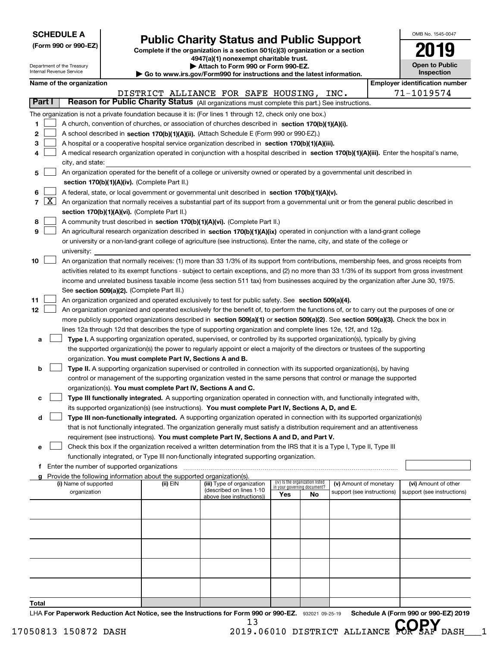| <b>SCHEDULE A</b> |  |
|-------------------|--|
|-------------------|--|

Department of the Treasury Internal Revenue Service

**(Form 990 or 990-EZ)**

### **Public Charity Status and Public Support**

**Complete if the organization is a section 501(c)(3) organization or a section 4947(a)(1) nonexempt charitable trust. | Attach to Form 990 or Form 990-EZ.** 

**| Go to www.irs.gov/Form990 for instructions and the latest information.**

| OMB No. 1545-0047     |
|-----------------------|
| 2019                  |
| <b>Open to Public</b> |

**Inspection**

|               |                  | Name of the organization                                                                                                                      |          |                                                       |     |                                                                |                            |  | <b>Employer identification number</b> |  |  |  |
|---------------|------------------|-----------------------------------------------------------------------------------------------------------------------------------------------|----------|-------------------------------------------------------|-----|----------------------------------------------------------------|----------------------------|--|---------------------------------------|--|--|--|
|               |                  |                                                                                                                                               |          | DISTRICT ALLIANCE FOR SAFE HOUSING,                   |     |                                                                | INC.                       |  | 71-1019574                            |  |  |  |
| <b>Part I</b> |                  | Reason for Public Charity Status (All organizations must complete this part.) See instructions.                                               |          |                                                       |     |                                                                |                            |  |                                       |  |  |  |
|               |                  | The organization is not a private foundation because it is: (For lines 1 through 12, check only one box.)                                     |          |                                                       |     |                                                                |                            |  |                                       |  |  |  |
| 1             |                  | A church, convention of churches, or association of churches described in section 170(b)(1)(A)(i).                                            |          |                                                       |     |                                                                |                            |  |                                       |  |  |  |
| $\mathbf{2}$  |                  | A school described in section 170(b)(1)(A)(ii). (Attach Schedule E (Form 990 or 990-EZ).)                                                     |          |                                                       |     |                                                                |                            |  |                                       |  |  |  |
| 3             |                  | A hospital or a cooperative hospital service organization described in section 170(b)(1)(A)(iii).                                             |          |                                                       |     |                                                                |                            |  |                                       |  |  |  |
| 4             |                  | A medical research organization operated in conjunction with a hospital described in section 170(b)(1)(A)(iii). Enter the hospital's name,    |          |                                                       |     |                                                                |                            |  |                                       |  |  |  |
|               | city, and state: |                                                                                                                                               |          |                                                       |     |                                                                |                            |  |                                       |  |  |  |
| 5             |                  | An organization operated for the benefit of a college or university owned or operated by a governmental unit described in                     |          |                                                       |     |                                                                |                            |  |                                       |  |  |  |
|               |                  | section 170(b)(1)(A)(iv). (Complete Part II.)                                                                                                 |          |                                                       |     |                                                                |                            |  |                                       |  |  |  |
| 6             |                  | A federal, state, or local government or governmental unit described in section 170(b)(1)(A)(v).                                              |          |                                                       |     |                                                                |                            |  |                                       |  |  |  |
| 7             |                  | $X$ An organization that normally receives a substantial part of its support from a governmental unit or from the general public described in |          |                                                       |     |                                                                |                            |  |                                       |  |  |  |
|               |                  | section 170(b)(1)(A)(vi). (Complete Part II.)                                                                                                 |          |                                                       |     |                                                                |                            |  |                                       |  |  |  |
| 8             |                  | A community trust described in section 170(b)(1)(A)(vi). (Complete Part II.)                                                                  |          |                                                       |     |                                                                |                            |  |                                       |  |  |  |
| 9             |                  | An agricultural research organization described in section 170(b)(1)(A)(ix) operated in conjunction with a land-grant college                 |          |                                                       |     |                                                                |                            |  |                                       |  |  |  |
|               |                  | or university or a non-land-grant college of agriculture (see instructions). Enter the name, city, and state of the college or<br>university: |          |                                                       |     |                                                                |                            |  |                                       |  |  |  |
| 10            |                  | An organization that normally receives: (1) more than 33 1/3% of its support from contributions, membership fees, and gross receipts from     |          |                                                       |     |                                                                |                            |  |                                       |  |  |  |
|               |                  | activities related to its exempt functions - subject to certain exceptions, and (2) no more than 33 1/3% of its support from gross investment |          |                                                       |     |                                                                |                            |  |                                       |  |  |  |
|               |                  | income and unrelated business taxable income (less section 511 tax) from businesses acquired by the organization after June 30, 1975.         |          |                                                       |     |                                                                |                            |  |                                       |  |  |  |
|               |                  | See section 509(a)(2). (Complete Part III.)                                                                                                   |          |                                                       |     |                                                                |                            |  |                                       |  |  |  |
| 11            |                  | An organization organized and operated exclusively to test for public safety. See section 509(a)(4).                                          |          |                                                       |     |                                                                |                            |  |                                       |  |  |  |
| 12            |                  | An organization organized and operated exclusively for the benefit of, to perform the functions of, or to carry out the purposes of one or    |          |                                                       |     |                                                                |                            |  |                                       |  |  |  |
|               |                  | more publicly supported organizations described in section 509(a)(1) or section 509(a)(2). See section 509(a)(3). Check the box in            |          |                                                       |     |                                                                |                            |  |                                       |  |  |  |
|               |                  | lines 12a through 12d that describes the type of supporting organization and complete lines 12e, 12f, and 12g.                                |          |                                                       |     |                                                                |                            |  |                                       |  |  |  |
| a             |                  | Type I. A supporting organization operated, supervised, or controlled by its supported organization(s), typically by giving                   |          |                                                       |     |                                                                |                            |  |                                       |  |  |  |
|               |                  | the supported organization(s) the power to regularly appoint or elect a majority of the directors or trustees of the supporting               |          |                                                       |     |                                                                |                            |  |                                       |  |  |  |
|               |                  | organization. You must complete Part IV, Sections A and B.                                                                                    |          |                                                       |     |                                                                |                            |  |                                       |  |  |  |
| b             |                  | Type II. A supporting organization supervised or controlled in connection with its supported organization(s), by having                       |          |                                                       |     |                                                                |                            |  |                                       |  |  |  |
|               |                  | control or management of the supporting organization vested in the same persons that control or manage the supported                          |          |                                                       |     |                                                                |                            |  |                                       |  |  |  |
|               |                  | organization(s). You must complete Part IV, Sections A and C.                                                                                 |          |                                                       |     |                                                                |                            |  |                                       |  |  |  |
| с             |                  | Type III functionally integrated. A supporting organization operated in connection with, and functionally integrated with,                    |          |                                                       |     |                                                                |                            |  |                                       |  |  |  |
|               |                  | its supported organization(s) (see instructions). You must complete Part IV, Sections A, D, and E.                                            |          |                                                       |     |                                                                |                            |  |                                       |  |  |  |
| d             |                  | Type III non-functionally integrated. A supporting organization operated in connection with its supported organization(s)                     |          |                                                       |     |                                                                |                            |  |                                       |  |  |  |
|               |                  | that is not functionally integrated. The organization generally must satisfy a distribution requirement and an attentiveness                  |          |                                                       |     |                                                                |                            |  |                                       |  |  |  |
|               |                  | requirement (see instructions). You must complete Part IV, Sections A and D, and Part V.                                                      |          |                                                       |     |                                                                |                            |  |                                       |  |  |  |
|               |                  | Check this box if the organization received a written determination from the IRS that it is a Type I, Type II, Type III                       |          |                                                       |     |                                                                |                            |  |                                       |  |  |  |
|               |                  | functionally integrated, or Type III non-functionally integrated supporting organization.<br>f Enter the number of supported organizations    |          |                                                       |     |                                                                |                            |  |                                       |  |  |  |
|               |                  | Provide the following information about the supported organization(s).                                                                        |          |                                                       |     |                                                                |                            |  |                                       |  |  |  |
|               |                  | (i) Name of supported                                                                                                                         | (ii) EIN | (iii) Type of organization                            |     | (iv) Is the organization listed<br>in your governing document? | (v) Amount of monetary     |  | (vi) Amount of other                  |  |  |  |
|               |                  | organization                                                                                                                                  |          | (described on lines 1-10<br>above (see instructions)) | Yes | No                                                             | support (see instructions) |  | support (see instructions)            |  |  |  |
|               |                  |                                                                                                                                               |          |                                                       |     |                                                                |                            |  |                                       |  |  |  |
|               |                  |                                                                                                                                               |          |                                                       |     |                                                                |                            |  |                                       |  |  |  |
|               |                  |                                                                                                                                               |          |                                                       |     |                                                                |                            |  |                                       |  |  |  |
|               |                  |                                                                                                                                               |          |                                                       |     |                                                                |                            |  |                                       |  |  |  |
|               |                  |                                                                                                                                               |          |                                                       |     |                                                                |                            |  |                                       |  |  |  |
|               |                  |                                                                                                                                               |          |                                                       |     |                                                                |                            |  |                                       |  |  |  |
|               |                  |                                                                                                                                               |          |                                                       |     |                                                                |                            |  |                                       |  |  |  |
|               |                  |                                                                                                                                               |          |                                                       |     |                                                                |                            |  |                                       |  |  |  |
| Total         |                  |                                                                                                                                               |          |                                                       |     |                                                                |                            |  |                                       |  |  |  |

LHA For Paperwork Reduction Act Notice, see the Instructions for Form 990 or 990-EZ. 932021 09-25-19 Schedule A (Form 990 or 990-EZ) 2019 13

17050813 150872 DASH 2019.06010 DISTRICT ALLIANCE **COPSAF** DASH 1<br>2019.06010 DISTRICT ALLIANCE **COPSAF** DASH 1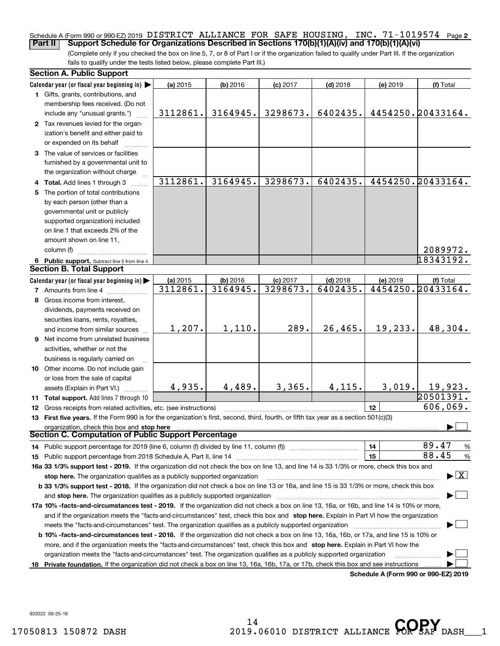#### Schedule A (Form 990 or 990-EZ) 2019 DISTRICT ALLIANCE FOR SAFE HOUSING , INC • 71–1019574 Page 2<br>| Part II | Support Schedule for Organizations Described in Sections 170(b)(1)(A)(iv) and 170(b)(1)(A)(vi **Part II Support Schedule for Organizations Described in Sections 170(b)(1)(A)(iv) and 170(b)(1)(A)(vi)**

(Complete only if you checked the box on line 5, 7, or 8 of Part I or if the organization failed to qualify under Part III. If the organization fails to qualify under the tests listed below, please complete Part III.)

| <b>Section A. Public Support</b>                                                                                                                                                                                                                                                                                                                                            |                      |                      |                        |                        |          |                                          |
|-----------------------------------------------------------------------------------------------------------------------------------------------------------------------------------------------------------------------------------------------------------------------------------------------------------------------------------------------------------------------------|----------------------|----------------------|------------------------|------------------------|----------|------------------------------------------|
| Calendar year (or fiscal year beginning in) $\blacktriangleright$                                                                                                                                                                                                                                                                                                           | (a) 2015             | (b) 2016             | $(c)$ 2017             | $(d)$ 2018             | (e) 2019 | (f) Total                                |
| 1 Gifts, grants, contributions, and                                                                                                                                                                                                                                                                                                                                         |                      |                      |                        |                        |          |                                          |
| membership fees received. (Do not                                                                                                                                                                                                                                                                                                                                           |                      |                      |                        |                        |          |                                          |
| include any "unusual grants.")                                                                                                                                                                                                                                                                                                                                              | 3112861.             | 3164945.             | 3298673.               | 6402435.               |          | 4454250.20433164.                        |
| 2 Tax revenues levied for the organ-                                                                                                                                                                                                                                                                                                                                        |                      |                      |                        |                        |          |                                          |
| ization's benefit and either paid to                                                                                                                                                                                                                                                                                                                                        |                      |                      |                        |                        |          |                                          |
| or expended on its behalf                                                                                                                                                                                                                                                                                                                                                   |                      |                      |                        |                        |          |                                          |
| 3 The value of services or facilities                                                                                                                                                                                                                                                                                                                                       |                      |                      |                        |                        |          |                                          |
| furnished by a governmental unit to                                                                                                                                                                                                                                                                                                                                         |                      |                      |                        |                        |          |                                          |
| the organization without charge                                                                                                                                                                                                                                                                                                                                             |                      |                      |                        |                        |          |                                          |
| 4 Total. Add lines 1 through 3                                                                                                                                                                                                                                                                                                                                              | 3112861.             | 3164945.             | 3298673.               | 6402435.               |          | 4454250.20433164.                        |
| 5 The portion of total contributions                                                                                                                                                                                                                                                                                                                                        |                      |                      |                        |                        |          |                                          |
| by each person (other than a                                                                                                                                                                                                                                                                                                                                                |                      |                      |                        |                        |          |                                          |
| governmental unit or publicly                                                                                                                                                                                                                                                                                                                                               |                      |                      |                        |                        |          |                                          |
| supported organization) included                                                                                                                                                                                                                                                                                                                                            |                      |                      |                        |                        |          |                                          |
| on line 1 that exceeds 2% of the                                                                                                                                                                                                                                                                                                                                            |                      |                      |                        |                        |          |                                          |
| amount shown on line 11,                                                                                                                                                                                                                                                                                                                                                    |                      |                      |                        |                        |          |                                          |
| column (f)                                                                                                                                                                                                                                                                                                                                                                  |                      |                      |                        |                        |          | 2089972.                                 |
| 6 Public support. Subtract line 5 from line 4.<br><b>Section B. Total Support</b>                                                                                                                                                                                                                                                                                           |                      |                      |                        |                        |          | 18343192.                                |
|                                                                                                                                                                                                                                                                                                                                                                             |                      |                      |                        |                        |          |                                          |
| Calendar year (or fiscal year beginning in)                                                                                                                                                                                                                                                                                                                                 | (a) 2015<br>3112861. | (b) 2016<br>3164945. | $(c)$ 2017<br>3298673. | $(d)$ 2018<br>6402435. | (e) 2019 | (f) Total<br>4454250. 20433164.          |
| <b>7</b> Amounts from line 4                                                                                                                                                                                                                                                                                                                                                |                      |                      |                        |                        |          |                                          |
| 8 Gross income from interest,                                                                                                                                                                                                                                                                                                                                               |                      |                      |                        |                        |          |                                          |
| dividends, payments received on                                                                                                                                                                                                                                                                                                                                             |                      |                      |                        |                        |          |                                          |
| securities loans, rents, royalties,                                                                                                                                                                                                                                                                                                                                         |                      |                      |                        |                        |          |                                          |
| and income from similar sources                                                                                                                                                                                                                                                                                                                                             | 1,207.               | 1,110.               | 289.                   | 26,465.                | 19,233.  | 48,304.                                  |
| 9 Net income from unrelated business                                                                                                                                                                                                                                                                                                                                        |                      |                      |                        |                        |          |                                          |
| activities, whether or not the                                                                                                                                                                                                                                                                                                                                              |                      |                      |                        |                        |          |                                          |
| business is regularly carried on                                                                                                                                                                                                                                                                                                                                            |                      |                      |                        |                        |          |                                          |
| 10 Other income. Do not include gain                                                                                                                                                                                                                                                                                                                                        |                      |                      |                        |                        |          |                                          |
| or loss from the sale of capital                                                                                                                                                                                                                                                                                                                                            |                      |                      |                        |                        |          |                                          |
| assets (Explain in Part VI.)                                                                                                                                                                                                                                                                                                                                                | 4,935.               | 4,489.               | 3,365.                 | 4,115.                 | 3,019.   | 19,923.                                  |
| 11 Total support. Add lines 7 through 10                                                                                                                                                                                                                                                                                                                                    |                      |                      |                        |                        |          | 20501391.                                |
| 12 Gross receipts from related activities, etc. (see instructions)                                                                                                                                                                                                                                                                                                          |                      |                      |                        |                        | 12       | 606,069.                                 |
| 13 First five years. If the Form 990 is for the organization's first, second, third, fourth, or fifth tax year as a section 501(c)(3)                                                                                                                                                                                                                                       |                      |                      |                        |                        |          |                                          |
| organization, check this box and stop here<br>Section C. Computation of Public Support Percentage                                                                                                                                                                                                                                                                           |                      |                      |                        |                        |          |                                          |
|                                                                                                                                                                                                                                                                                                                                                                             |                      |                      |                        |                        |          | 89.47                                    |
| 14 Public support percentage for 2019 (line 6, column (f) divided by line 11, column (f) <i></i>                                                                                                                                                                                                                                                                            |                      |                      |                        |                        | 14<br>15 | %<br>88.45                               |
| 15 Public support percentage from 2018 Schedule A, Part II, line 14 [11] [11] manument continuum manument of Public support percentage from 2018 Schedule A, Part II, line 14 [11] manument continuum manument of Public suppo<br>16a 33 1/3% support test - 2019. If the organization did not check the box on line 13, and line 14 is 33 1/3% or more, check this box and |                      |                      |                        |                        |          | $\%$                                     |
| stop here. The organization qualifies as a publicly supported organization                                                                                                                                                                                                                                                                                                  |                      |                      |                        |                        |          | $\blacktriangleright$ $\boxed{\text{X}}$ |
| b 33 1/3% support test - 2018. If the organization did not check a box on line 13 or 16a, and line 15 is 33 1/3% or more, check this box                                                                                                                                                                                                                                    |                      |                      |                        |                        |          |                                          |
|                                                                                                                                                                                                                                                                                                                                                                             |                      |                      |                        |                        |          |                                          |
| and stop here. The organization qualifies as a publicly supported organization [11] [11] [12] [12] [12] [12] [<br>17a 10% -facts-and-circumstances test - 2019. If the organization did not check a box on line 13, 16a, or 16b, and line 14 is 10% or more,                                                                                                                |                      |                      |                        |                        |          |                                          |
|                                                                                                                                                                                                                                                                                                                                                                             |                      |                      |                        |                        |          |                                          |
| and if the organization meets the "facts-and-circumstances" test, check this box and stop here. Explain in Part VI how the organization                                                                                                                                                                                                                                     |                      |                      |                        |                        |          |                                          |
|                                                                                                                                                                                                                                                                                                                                                                             |                      |                      |                        |                        |          |                                          |
| <b>b 10% -facts-and-circumstances test - 2018.</b> If the organization did not check a box on line 13, 16a, 16b, or 17a, and line 15 is 10% or                                                                                                                                                                                                                              |                      |                      |                        |                        |          |                                          |
| more, and if the organization meets the "facts-and-circumstances" test, check this box and stop here. Explain in Part VI how the                                                                                                                                                                                                                                            |                      |                      |                        |                        |          |                                          |
| organization meets the "facts-and-circumstances" test. The organization qualifies as a publicly supported organization<br>18 Private foundation. If the organization did not check a box on line 13, 16a, 16b, 17a, or 17b, check this box and see instructions                                                                                                             |                      |                      |                        |                        |          |                                          |
|                                                                                                                                                                                                                                                                                                                                                                             |                      |                      |                        |                        |          | Schedule A (Form 990 or 990-EZ) 2019     |
|                                                                                                                                                                                                                                                                                                                                                                             |                      |                      |                        |                        |          |                                          |

932022 09-25-19

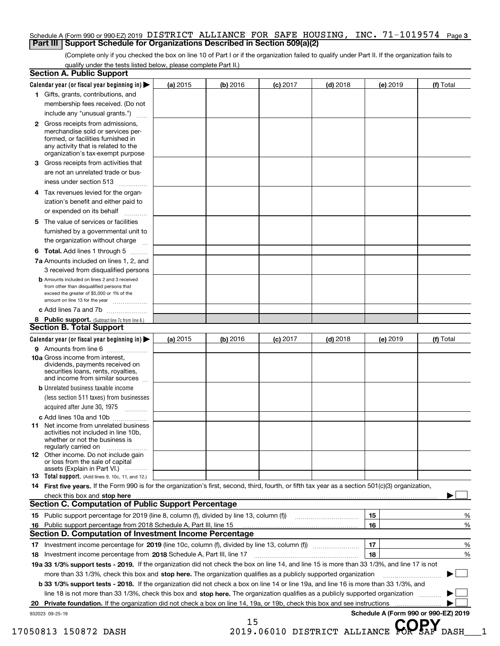#### Schedule A (Form 990 or 990-EZ) 2019 DISTRICT ALLIANCE FOR SAFE HOUSING , INC • 71–1019574 Page 3<br>| Part III | Support Schedule for Organizations Described in Section 509(a)(2) **Part III** | Support Schedule for Organizations Described in Section 509(a)(2)

(Complete only if you checked the box on line 10 of Part I or if the organization failed to qualify under Part II. If the organization fails to qualify under the tests listed below, please complete Part II.)

| 1 Gifts, grants, contributions, and                                                                                                                 |                                                                                                                                                                                                                                |          |            |            |          |           |
|-----------------------------------------------------------------------------------------------------------------------------------------------------|--------------------------------------------------------------------------------------------------------------------------------------------------------------------------------------------------------------------------------|----------|------------|------------|----------|-----------|
|                                                                                                                                                     |                                                                                                                                                                                                                                |          |            |            |          |           |
| membership fees received. (Do not                                                                                                                   |                                                                                                                                                                                                                                |          |            |            |          |           |
| include any "unusual grants.")                                                                                                                      |                                                                                                                                                                                                                                |          |            |            |          |           |
| 2 Gross receipts from admissions,<br>merchandise sold or services per-                                                                              |                                                                                                                                                                                                                                |          |            |            |          |           |
| formed, or facilities furnished in<br>any activity that is related to the<br>organization's tax-exempt purpose                                      |                                                                                                                                                                                                                                |          |            |            |          |           |
| Gross receipts from activities that<br>З.                                                                                                           |                                                                                                                                                                                                                                |          |            |            |          |           |
| are not an unrelated trade or bus-                                                                                                                  |                                                                                                                                                                                                                                |          |            |            |          |           |
| iness under section 513                                                                                                                             |                                                                                                                                                                                                                                |          |            |            |          |           |
| 4 Tax revenues levied for the organ-                                                                                                                |                                                                                                                                                                                                                                |          |            |            |          |           |
| ization's benefit and either paid to<br>or expended on its behalf                                                                                   | .                                                                                                                                                                                                                              |          |            |            |          |           |
| The value of services or facilities<br>5.                                                                                                           |                                                                                                                                                                                                                                |          |            |            |          |           |
| furnished by a governmental unit to<br>the organization without charge                                                                              |                                                                                                                                                                                                                                |          |            |            |          |           |
|                                                                                                                                                     |                                                                                                                                                                                                                                |          |            |            |          |           |
| <b>6 Total.</b> Add lines 1 through 5<br>7a Amounts included on lines 1, 2, and                                                                     |                                                                                                                                                                                                                                |          |            |            |          |           |
| 3 received from disqualified persons                                                                                                                |                                                                                                                                                                                                                                |          |            |            |          |           |
| <b>b</b> Amounts included on lines 2 and 3 received                                                                                                 |                                                                                                                                                                                                                                |          |            |            |          |           |
| from other than disqualified persons that<br>exceed the greater of \$5,000 or 1% of the                                                             |                                                                                                                                                                                                                                |          |            |            |          |           |
| amount on line 13 for the year                                                                                                                      |                                                                                                                                                                                                                                |          |            |            |          |           |
| c Add lines 7a and 7b                                                                                                                               |                                                                                                                                                                                                                                |          |            |            |          |           |
| 8 Public support. (Subtract line 7c from line 6.)<br><b>Section B. Total Support</b>                                                                |                                                                                                                                                                                                                                |          |            |            |          |           |
| Calendar year (or fiscal year beginning in)                                                                                                         | (a) 2015                                                                                                                                                                                                                       | (b) 2016 |            |            |          |           |
| 9 Amounts from line 6                                                                                                                               |                                                                                                                                                                                                                                |          | $(c)$ 2017 | $(d)$ 2018 | (e) 2019 | (f) Total |
| 10a Gross income from interest,<br>dividends, payments received on<br>securities loans, rents, royalties,                                           |                                                                                                                                                                                                                                |          |            |            |          |           |
| and income from similar sources                                                                                                                     |                                                                                                                                                                                                                                |          |            |            |          |           |
| <b>b</b> Unrelated business taxable income<br>(less section 511 taxes) from businesses                                                              |                                                                                                                                                                                                                                |          |            |            |          |           |
| acquired after June 30, 1975                                                                                                                        |                                                                                                                                                                                                                                |          |            |            |          |           |
| c Add lines 10a and 10b                                                                                                                             |                                                                                                                                                                                                                                |          |            |            |          |           |
| <b>11</b> Net income from unrelated business<br>activities not included in line 10b,<br>whether or not the business is                              |                                                                                                                                                                                                                                |          |            |            |          |           |
| regularly carried on<br>12 Other income. Do not include gain<br>or loss from the sale of capital                                                    |                                                                                                                                                                                                                                |          |            |            |          |           |
| assets (Explain in Part VI.)                                                                                                                        |                                                                                                                                                                                                                                |          |            |            |          |           |
| 13 Total support. (Add lines 9, 10c, 11, and 12.)                                                                                                   |                                                                                                                                                                                                                                |          |            |            |          |           |
| 14 First five years. If the Form 990 is for the organization's first, second, third, fourth, or fifth tax year as a section 501(c)(3) organization, |                                                                                                                                                                                                                                |          |            |            |          |           |
|                                                                                                                                                     | check this box and stop here manufactured and content to the state of the state of the state of the state of the state of the change of the state of the state of the state of the state of the state of the state of the stat |          |            |            |          |           |
| <b>Section C. Computation of Public Support Percentage</b>                                                                                          |                                                                                                                                                                                                                                |          |            |            |          |           |
| 15 Public support percentage for 2019 (line 8, column (f), divided by line 13, column (f))                                                          |                                                                                                                                                                                                                                |          |            |            | 15       | %         |
| 16 Public support percentage from 2018 Schedule A, Part III, line 15                                                                                |                                                                                                                                                                                                                                |          |            |            | 16       | %         |
| <b>Section D. Computation of Investment Income Percentage</b>                                                                                       |                                                                                                                                                                                                                                |          |            |            |          |           |
|                                                                                                                                                     |                                                                                                                                                                                                                                |          |            |            | 17       | %         |
| Investment income percentage from 2018 Schedule A, Part III, line 17<br>18                                                                          |                                                                                                                                                                                                                                |          |            |            | 18       | %         |
| 19a 33 1/3% support tests - 2019. If the organization did not check the box on line 14, and line 15 is more than 33 1/3%, and line 17 is not        |                                                                                                                                                                                                                                |          |            |            |          |           |
|                                                                                                                                                     | more than 33 1/3%, check this box and stop here. The organization qualifies as a publicly supported organization                                                                                                               |          |            |            |          |           |
| <b>b 33 1/3% support tests - 2018.</b> If the organization did not check a box on line 14 or line 19a, and line 16 is more than 33 1/3%, and        |                                                                                                                                                                                                                                |          |            |            |          |           |
|                                                                                                                                                     | line 18 is not more than 33 1/3%, check this box and stop here. The organization qualifies as a publicly supported organization                                                                                                |          |            |            |          |           |
|                                                                                                                                                     |                                                                                                                                                                                                                                |          |            |            |          |           |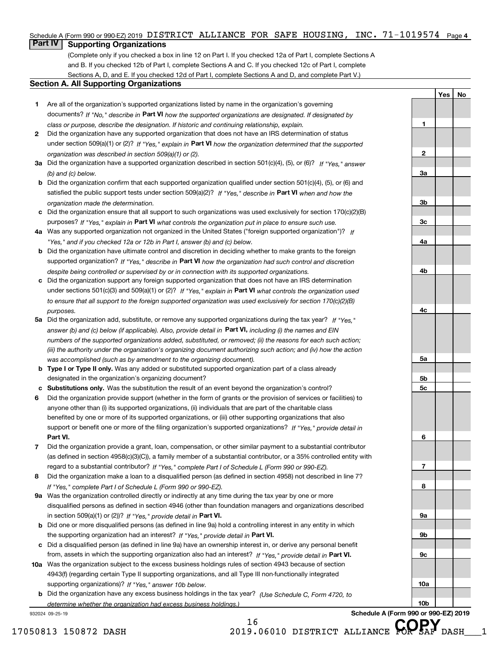# Schedule A (Form 990 or 990-EZ) 2019 DISTRICT ALLIANCE FOR SAFE HOUSING, INC. 71-1019574 <sub>Page 4</sub><br>L**Part IV** L. Supporting Organizations

### **Part IV Supporting Organizations**

(Complete only if you checked a box in line 12 on Part I. If you checked 12a of Part I, complete Sections A and B. If you checked 12b of Part I, complete Sections A and C. If you checked 12c of Part I, complete Sections A, D, and E. If you checked 12d of Part I, complete Sections A and D, and complete Part V.)

### **Section A. All Supporting Organizations**

- **1** Are all of the organization's supported organizations listed by name in the organization's governing documents? If "No," describe in **Part VI** how the supported organizations are designated. If designated by *class or purpose, describe the designation. If historic and continuing relationship, explain.*
- **2** Did the organization have any supported organization that does not have an IRS determination of status under section 509(a)(1) or (2)? If "Yes," explain in Part VI how the organization determined that the supported *organization was described in section 509(a)(1) or (2).*
- **3a** Did the organization have a supported organization described in section 501(c)(4), (5), or (6)? If "Yes," answer *(b) and (c) below.*
- **b** Did the organization confirm that each supported organization qualified under section 501(c)(4), (5), or (6) and satisfied the public support tests under section 509(a)(2)? If "Yes," describe in **Part VI** when and how the *organization made the determination.*
- **c**Did the organization ensure that all support to such organizations was used exclusively for section 170(c)(2)(B) purposes? If "Yes," explain in **Part VI** what controls the organization put in place to ensure such use.
- **4a***If* Was any supported organization not organized in the United States ("foreign supported organization")? *"Yes," and if you checked 12a or 12b in Part I, answer (b) and (c) below.*
- **b** Did the organization have ultimate control and discretion in deciding whether to make grants to the foreign supported organization? If "Yes," describe in **Part VI** how the organization had such control and discretion *despite being controlled or supervised by or in connection with its supported organizations.*
- **c** Did the organization support any foreign supported organization that does not have an IRS determination under sections 501(c)(3) and 509(a)(1) or (2)? If "Yes," explain in **Part VI** what controls the organization used *to ensure that all support to the foreign supported organization was used exclusively for section 170(c)(2)(B) purposes.*
- **5a** Did the organization add, substitute, or remove any supported organizations during the tax year? If "Yes," answer (b) and (c) below (if applicable). Also, provide detail in **Part VI,** including (i) the names and EIN *numbers of the supported organizations added, substituted, or removed; (ii) the reasons for each such action; (iii) the authority under the organization's organizing document authorizing such action; and (iv) how the action was accomplished (such as by amendment to the organizing document).*
- **b** Type I or Type II only. Was any added or substituted supported organization part of a class already designated in the organization's organizing document?
- **cSubstitutions only.**  Was the substitution the result of an event beyond the organization's control?
- **6** Did the organization provide support (whether in the form of grants or the provision of services or facilities) to **Part VI.** *If "Yes," provide detail in* support or benefit one or more of the filing organization's supported organizations? anyone other than (i) its supported organizations, (ii) individuals that are part of the charitable class benefited by one or more of its supported organizations, or (iii) other supporting organizations that also
- **7**Did the organization provide a grant, loan, compensation, or other similar payment to a substantial contributor *If "Yes," complete Part I of Schedule L (Form 990 or 990-EZ).* regard to a substantial contributor? (as defined in section 4958(c)(3)(C)), a family member of a substantial contributor, or a 35% controlled entity with
- **8** Did the organization make a loan to a disqualified person (as defined in section 4958) not described in line 7? *If "Yes," complete Part I of Schedule L (Form 990 or 990-EZ).*
- **9a** Was the organization controlled directly or indirectly at any time during the tax year by one or more in section 509(a)(1) or (2))? If "Yes," *provide detail in* <code>Part VI.</code> disqualified persons as defined in section 4946 (other than foundation managers and organizations described
- **b** Did one or more disqualified persons (as defined in line 9a) hold a controlling interest in any entity in which the supporting organization had an interest? If "Yes," provide detail in P**art VI**.
- **c**Did a disqualified person (as defined in line 9a) have an ownership interest in, or derive any personal benefit from, assets in which the supporting organization also had an interest? If "Yes," provide detail in P**art VI.**
- **10a** Was the organization subject to the excess business holdings rules of section 4943 because of section supporting organizations)? If "Yes," answer 10b below. 4943(f) (regarding certain Type II supporting organizations, and all Type III non-functionally integrated
- **b** Did the organization have any excess business holdings in the tax year? (Use Schedule C, Form 4720, to *determine whether the organization had excess business holdings.)*

16

932024 09-25-19

**Schedule A (Form 990 or 990-EZ) 2019**

**Yes No**

**1**

**2**

**3a**

**3b**

**3c**

**4a**

**4b**

**4c**

**5a**

**5b5c**

**6**

**7**

**8**

**9a**

**9b**

**9c**

**10a**

**10b**

17050813 150872 DASH 2019.06010 DISTRICT ALLIANCE **COPSAF** DASH 1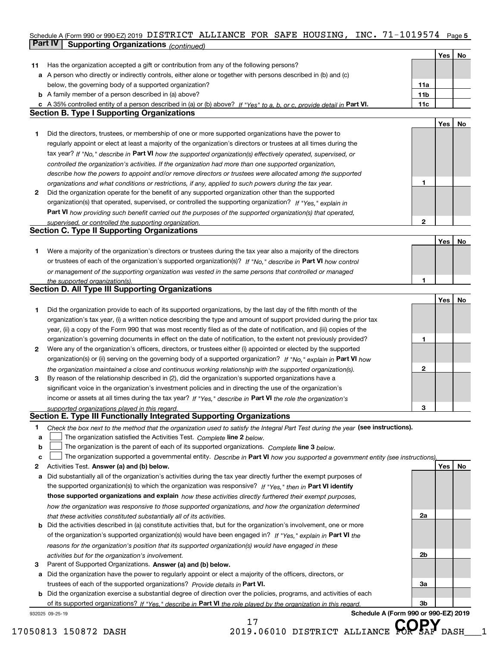### Schedule A (Form 990 or 990-EZ) 2019 DISTRICT ALLIANCE FOR SAFE HOUSING, INC. 71-1019574 Page 5<br>L**Part IV L. Supporting Organizations** / www.h **Part IV | Supporting Organizations** *(continued)*

|    |                                                                                                                                   |              | Yes | No |
|----|-----------------------------------------------------------------------------------------------------------------------------------|--------------|-----|----|
| 11 | Has the organization accepted a gift or contribution from any of the following persons?                                           |              |     |    |
| а  | A person who directly or indirectly controls, either alone or together with persons described in (b) and (c)                      |              |     |    |
|    | below, the governing body of a supported organization?                                                                            | 11a          |     |    |
|    | <b>b</b> A family member of a person described in (a) above?                                                                      | 11b          |     |    |
|    | c A 35% controlled entity of a person described in (a) or (b) above? If "Yes" to a, b, or c, provide detail in Part VI.           | 11c          |     |    |
|    | <b>Section B. Type I Supporting Organizations</b>                                                                                 |              |     |    |
|    |                                                                                                                                   |              | Yes | No |
| 1. | Did the directors, trustees, or membership of one or more supported organizations have the power to                               |              |     |    |
|    | regularly appoint or elect at least a majority of the organization's directors or trustees at all times during the                |              |     |    |
|    | tax year? If "No," describe in Part VI how the supported organization(s) effectively operated, supervised, or                     |              |     |    |
|    | controlled the organization's activities. If the organization had more than one supported organization,                           |              |     |    |
|    | describe how the powers to appoint and/or remove directors or trustees were allocated among the supported                         |              |     |    |
|    | organizations and what conditions or restrictions, if any, applied to such powers during the tax year.                            | 1            |     |    |
| 2  | Did the organization operate for the benefit of any supported organization other than the supported                               |              |     |    |
|    | organization(s) that operated, supervised, or controlled the supporting organization? If "Yes," explain in                        |              |     |    |
|    | Part VI how providing such benefit carried out the purposes of the supported organization(s) that operated,                       |              |     |    |
|    | supervised, or controlled the supporting organization.                                                                            | $\mathbf{2}$ |     |    |
|    | <b>Section C. Type II Supporting Organizations</b>                                                                                |              |     |    |
|    |                                                                                                                                   |              | Yes | No |
| 1. | Were a majority of the organization's directors or trustees during the tax year also a majority of the directors                  |              |     |    |
|    | or trustees of each of the organization's supported organization(s)? If "No," describe in Part VI how control                     |              |     |    |
|    | or management of the supporting organization was vested in the same persons that controlled or managed                            |              |     |    |
|    | the supported organization(s).                                                                                                    |              |     |    |
|    | <b>Section D. All Type III Supporting Organizations</b>                                                                           |              |     |    |
|    |                                                                                                                                   |              | Yes | No |
| 1. | Did the organization provide to each of its supported organizations, by the last day of the fifth month of the                    |              |     |    |
|    | organization's tax year, (i) a written notice describing the type and amount of support provided during the prior tax             |              |     |    |
|    |                                                                                                                                   |              |     |    |
|    | year, (ii) a copy of the Form 990 that was most recently filed as of the date of notification, and (iii) copies of the            |              |     |    |
|    | organization's governing documents in effect on the date of notification, to the extent not previously provided?                  | 1            |     |    |
| 2  | Were any of the organization's officers, directors, or trustees either (i) appointed or elected by the supported                  |              |     |    |
|    | organization(s) or (ii) serving on the governing body of a supported organization? If "No," explain in Part VI how                |              |     |    |
|    | the organization maintained a close and continuous working relationship with the supported organization(s).                       | $\mathbf{2}$ |     |    |
| 3  | By reason of the relationship described in (2), did the organization's supported organizations have a                             |              |     |    |
|    | significant voice in the organization's investment policies and in directing the use of the organization's                        |              |     |    |
|    | income or assets at all times during the tax year? If "Yes," describe in Part VI the role the organization's                      |              |     |    |
|    | supported organizations played in this regard.<br>Section E. Type III Functionally Integrated Supporting Organizations            | з            |     |    |
|    |                                                                                                                                   |              |     |    |
| 1  | Check the box next to the method that the organization used to satisfy the Integral Part Test during the year (see instructions). |              |     |    |
| a  | The organization satisfied the Activities Test. Complete line 2 below.                                                            |              |     |    |
| b  | The organization is the parent of each of its supported organizations. Complete line 3 below.                                     |              |     |    |
| c  | The organization supported a governmental entity. Describe in Part VI how you supported a government entity (see instructions),   |              |     |    |
| 2  | Activities Test. Answer (a) and (b) below.                                                                                        |              | Yes | No |
| а  | Did substantially all of the organization's activities during the tax year directly further the exempt purposes of                |              |     |    |
|    | the supported organization(s) to which the organization was responsive? If "Yes," then in Part VI identify                        |              |     |    |
|    | those supported organizations and explain how these activities directly furthered their exempt purposes,                          |              |     |    |
|    | how the organization was responsive to those supported organizations, and how the organization determined                         |              |     |    |
|    | that these activities constituted substantially all of its activities.                                                            | 2a           |     |    |
| b  | Did the activities described in (a) constitute activities that, but for the organization's involvement, one or more               |              |     |    |
|    | of the organization's supported organization(s) would have been engaged in? If "Yes," explain in Part VI the                      |              |     |    |
|    | reasons for the organization's position that its supported organization(s) would have engaged in these                            |              |     |    |
|    | activities but for the organization's involvement.                                                                                | 2b           |     |    |
| з  | Parent of Supported Organizations. Answer (a) and (b) below.                                                                      |              |     |    |
| а  | Did the organization have the power to regularly appoint or elect a majority of the officers, directors, or                       |              |     |    |
|    | trustees of each of the supported organizations? Provide details in Part VI.                                                      | За           |     |    |
|    | <b>b</b> Did the organization exercise a substantial degree of direction over the policies, programs, and activities of each      |              |     |    |
|    | of its supported organizations? If "Yes." describe in Part VI the role played by the organization in this regard                  | 3b           |     |    |
|    | Schedule A (Form 990 or 990-EZ) 2019<br>932025 09-25-19                                                                           |              |     |    |

17

17050813 150872 DASH 2019.06010 DISTRICT ALLIANCE **COPSAF** DASH 1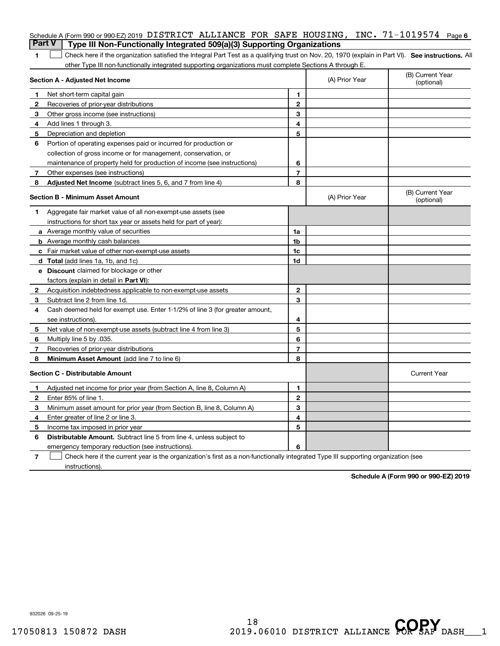| <b>Part V</b>  | Schedule A (Form 990 or 990-EZ) 2019 DISTRICT ALLIANCE FOR SAFE HOUSING, INC. 71-1019574 Page 6<br>Type III Non-Functionally Integrated 509(a)(3) Supporting Organizations |                |                |                                |
|----------------|----------------------------------------------------------------------------------------------------------------------------------------------------------------------------|----------------|----------------|--------------------------------|
| 1              | Check here if the organization satisfied the Integral Part Test as a qualifying trust on Nov. 20, 1970 (explain in Part VI). See instructions. Al                          |                |                |                                |
|                | other Type III non-functionally integrated supporting organizations must complete Sections A through E.                                                                    |                |                |                                |
|                | Section A - Adjusted Net Income                                                                                                                                            |                | (A) Prior Year | (B) Current Year<br>(optional) |
| 1              | Net short-term capital gain                                                                                                                                                | 1.             |                |                                |
| $\overline{2}$ | Recoveries of prior-year distributions                                                                                                                                     | $\mathbf{2}$   |                |                                |
| З              | Other gross income (see instructions)                                                                                                                                      | 3              |                |                                |
| 4              | Add lines 1 through 3.                                                                                                                                                     | 4              |                |                                |
| 5              | Depreciation and depletion                                                                                                                                                 | 5              |                |                                |
| 6              | Portion of operating expenses paid or incurred for production or                                                                                                           |                |                |                                |
|                | collection of gross income or for management, conservation, or                                                                                                             |                |                |                                |
|                | maintenance of property held for production of income (see instructions)                                                                                                   | 6              |                |                                |
| 7              | Other expenses (see instructions)                                                                                                                                          | $\overline{7}$ |                |                                |
| 8              | Adjusted Net Income (subtract lines 5, 6, and 7 from line 4)                                                                                                               | 8              |                |                                |
|                | Section B - Minimum Asset Amount                                                                                                                                           |                | (A) Prior Year | (B) Current Year<br>(optional) |
| 1              | Aggregate fair market value of all non-exempt-use assets (see                                                                                                              |                |                |                                |
|                | instructions for short tax year or assets held for part of year):                                                                                                          |                |                |                                |
|                | <b>a</b> Average monthly value of securities                                                                                                                               | 1a             |                |                                |
|                | <b>b</b> Average monthly cash balances                                                                                                                                     | 1b             |                |                                |
|                | c Fair market value of other non-exempt-use assets                                                                                                                         | 1c             |                |                                |
|                | d Total (add lines 1a, 1b, and 1c)                                                                                                                                         | 1d             |                |                                |
|                | <b>e</b> Discount claimed for blockage or other                                                                                                                            |                |                |                                |
|                | factors (explain in detail in Part VI):                                                                                                                                    |                |                |                                |
| 2              | Acquisition indebtedness applicable to non-exempt-use assets                                                                                                               | $\mathbf{2}$   |                |                                |
| 3              | Subtract line 2 from line 1d.                                                                                                                                              | 3              |                |                                |
| 4              | Cash deemed held for exempt use. Enter 1-1/2% of line 3 (for greater amount,                                                                                               |                |                |                                |
|                | see instructions).                                                                                                                                                         | 4              |                |                                |
| 5              | Net value of non-exempt-use assets (subtract line 4 from line 3)                                                                                                           | 5              |                |                                |
| 6              | Multiply line 5 by .035.                                                                                                                                                   | 6              |                |                                |
| 7              | Recoveries of prior-year distributions                                                                                                                                     | $\overline{7}$ |                |                                |
| 8              | Minimum Asset Amount (add line 7 to line 6)                                                                                                                                | 8              |                |                                |
|                | <b>Section C - Distributable Amount</b>                                                                                                                                    |                |                | <b>Current Year</b>            |
|                | Adjusted net income for prior year (from Section A, line 8, Column A)                                                                                                      | 1              |                |                                |
|                | Enter 85% of line 1.                                                                                                                                                       | 2              |                |                                |
| З              | Minimum asset amount for prior year (from Section B, line 8, Column A)                                                                                                     | 3              |                |                                |
| 4              | Enter greater of line 2 or line 3.                                                                                                                                         | 4              |                |                                |
| 5              | Income tax imposed in prior year                                                                                                                                           | 5              |                |                                |
| 6              | <b>Distributable Amount.</b> Subtract line 5 from line 4, unless subject to                                                                                                |                |                |                                |
|                | emergency temporary reduction (see instructions).                                                                                                                          | 6              |                |                                |
| 7              | Check here if the current year is the organization's first as a non-functionally integrated Type III supporting organization (see                                          |                |                |                                |

instructions).

**Schedule A (Form 990 or 990-EZ) 2019**

932026 09-25-19

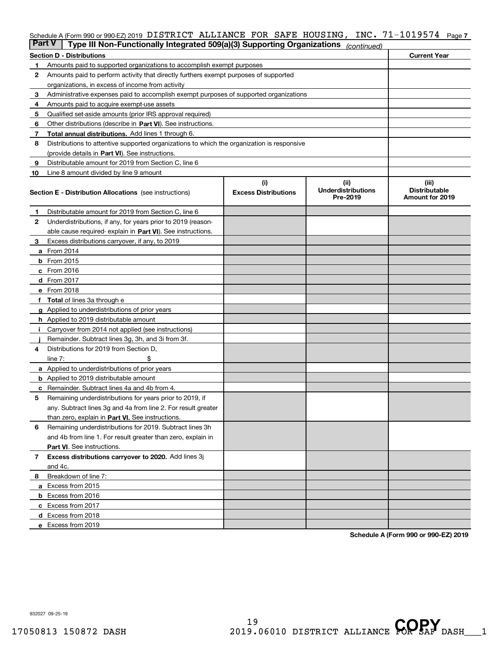# Schedule A (Form 990 or 990-EZ) 2019 DISTRICT ALLIANCE FOR SAFE HOUSING , INC • 71–1019574 Page 7<br>L**Part V** L. Type III Non, Eunotionally Integrated 500(a)(3) Supporting Organizations *(*

| Part V | Type III Non-Functionally Integrated 509(a)(3) Supporting Organizations                    |                                    | (continued)                                    |                                                  |  |  |  |  |
|--------|--------------------------------------------------------------------------------------------|------------------------------------|------------------------------------------------|--------------------------------------------------|--|--|--|--|
|        | <b>Current Year</b><br><b>Section D - Distributions</b>                                    |                                    |                                                |                                                  |  |  |  |  |
| 1      | Amounts paid to supported organizations to accomplish exempt purposes                      |                                    |                                                |                                                  |  |  |  |  |
| 2      | Amounts paid to perform activity that directly furthers exempt purposes of supported       |                                    |                                                |                                                  |  |  |  |  |
|        | organizations, in excess of income from activity                                           |                                    |                                                |                                                  |  |  |  |  |
| з      | Administrative expenses paid to accomplish exempt purposes of supported organizations      |                                    |                                                |                                                  |  |  |  |  |
| 4      | Amounts paid to acquire exempt-use assets                                                  |                                    |                                                |                                                  |  |  |  |  |
| 5      | Qualified set-aside amounts (prior IRS approval required)                                  |                                    |                                                |                                                  |  |  |  |  |
| 6      | Other distributions (describe in Part VI). See instructions.                               |                                    |                                                |                                                  |  |  |  |  |
| 7      | <b>Total annual distributions.</b> Add lines 1 through 6.                                  |                                    |                                                |                                                  |  |  |  |  |
| 8      | Distributions to attentive supported organizations to which the organization is responsive |                                    |                                                |                                                  |  |  |  |  |
|        | (provide details in Part VI). See instructions.                                            |                                    |                                                |                                                  |  |  |  |  |
| 9      | Distributable amount for 2019 from Section C, line 6                                       |                                    |                                                |                                                  |  |  |  |  |
| 10     | Line 8 amount divided by line 9 amount                                                     |                                    |                                                |                                                  |  |  |  |  |
|        | <b>Section E - Distribution Allocations</b> (see instructions)                             | (i)<br><b>Excess Distributions</b> | (iii)<br><b>Underdistributions</b><br>Pre-2019 | (iii)<br><b>Distributable</b><br>Amount for 2019 |  |  |  |  |
| 1      | Distributable amount for 2019 from Section C, line 6                                       |                                    |                                                |                                                  |  |  |  |  |
| 2      | Underdistributions, if any, for years prior to 2019 (reason-                               |                                    |                                                |                                                  |  |  |  |  |
|        | able cause required- explain in <b>Part VI</b> ). See instructions.                        |                                    |                                                |                                                  |  |  |  |  |
| з      | Excess distributions carryover, if any, to 2019                                            |                                    |                                                |                                                  |  |  |  |  |
|        | <b>a</b> From 2014                                                                         |                                    |                                                |                                                  |  |  |  |  |
|        | <b>b</b> From 2015                                                                         |                                    |                                                |                                                  |  |  |  |  |
|        | $c$ From 2016                                                                              |                                    |                                                |                                                  |  |  |  |  |
|        | d From 2017                                                                                |                                    |                                                |                                                  |  |  |  |  |
|        | e From 2018                                                                                |                                    |                                                |                                                  |  |  |  |  |
|        | Total of lines 3a through e                                                                |                                    |                                                |                                                  |  |  |  |  |
|        | <b>g</b> Applied to underdistributions of prior years                                      |                                    |                                                |                                                  |  |  |  |  |
|        | <b>h</b> Applied to 2019 distributable amount                                              |                                    |                                                |                                                  |  |  |  |  |
|        | Carryover from 2014 not applied (see instructions)                                         |                                    |                                                |                                                  |  |  |  |  |
|        | Remainder. Subtract lines 3g, 3h, and 3i from 3f.                                          |                                    |                                                |                                                  |  |  |  |  |
| 4      | Distributions for 2019 from Section D,                                                     |                                    |                                                |                                                  |  |  |  |  |
|        | line $7:$                                                                                  |                                    |                                                |                                                  |  |  |  |  |
|        | <b>a</b> Applied to underdistributions of prior years                                      |                                    |                                                |                                                  |  |  |  |  |
|        | <b>b</b> Applied to 2019 distributable amount                                              |                                    |                                                |                                                  |  |  |  |  |
| с      | Remainder. Subtract lines 4a and 4b from 4.                                                |                                    |                                                |                                                  |  |  |  |  |
| 5      | Remaining underdistributions for years prior to 2019, if                                   |                                    |                                                |                                                  |  |  |  |  |
|        | any. Subtract lines 3g and 4a from line 2. For result greater                              |                                    |                                                |                                                  |  |  |  |  |
|        | than zero, explain in Part VI. See instructions.                                           |                                    |                                                |                                                  |  |  |  |  |
| 6      | Remaining underdistributions for 2019. Subtract lines 3h                                   |                                    |                                                |                                                  |  |  |  |  |
|        | and 4b from line 1. For result greater than zero, explain in                               |                                    |                                                |                                                  |  |  |  |  |
|        | Part VI. See instructions.                                                                 |                                    |                                                |                                                  |  |  |  |  |
| 7      | Excess distributions carryover to 2020. Add lines 3j                                       |                                    |                                                |                                                  |  |  |  |  |
|        | and 4c.                                                                                    |                                    |                                                |                                                  |  |  |  |  |
| 8      | Breakdown of line 7:                                                                       |                                    |                                                |                                                  |  |  |  |  |
|        | a Excess from 2015                                                                         |                                    |                                                |                                                  |  |  |  |  |
|        | <b>b</b> Excess from 2016                                                                  |                                    |                                                |                                                  |  |  |  |  |
|        | c Excess from 2017                                                                         |                                    |                                                |                                                  |  |  |  |  |
|        | d Excess from 2018                                                                         |                                    |                                                |                                                  |  |  |  |  |
|        | e Excess from 2019                                                                         |                                    |                                                |                                                  |  |  |  |  |

**Schedule A (Form 990 or 990-EZ) 2019**

932027 09-25-19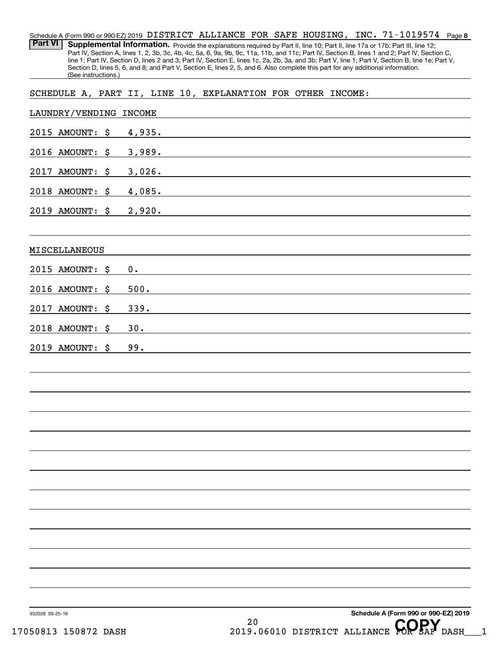**8** 71-1019574 Schedule A (Form 990 or 990-EZ) 2019  $\,$  <code>DISTRICT ALLIANCE FOR SAFE HOUSING</code> , <code>INC. 71–1019574</code> <code> Page</code> Part VI | Supplemental Information. Provide the explanations required by Part II, line 10; Part II, line 17a or 17b; Part III, line 12; Part IV, Section A, lines 1, 2, 3b, 3c, 4b, 4c, 5a, 6, 9a, 9b, 9c, 11a, 11b, and 11c; Part IV, Section B, lines 1 and 2; Part IV, Section C, line 1; Part IV, Section D, lines 2 and 3; Part IV, Section E, lines 1c, 2a, 2b, 3a, and 3b; Part V, line 1; Part V, Section B, line 1e; Part V, Section D, lines 5, 6, and 8; and Part V, Section E, lines 2, 5, and 6. Also complete this part for any additional information. (See instructions.)

SCHEDULE A, PART II, LINE 10, EXPLANATION FOR OTHER INCOME:

| LAUNDRY/VENDING INCOME |  |                                                                                                                                                                                                                                         |
|------------------------|--|-----------------------------------------------------------------------------------------------------------------------------------------------------------------------------------------------------------------------------------------|
| 2015 AMOUNT: \$        |  | 4,935.                                                                                                                                                                                                                                  |
| 2016 AMOUNT: \$        |  | 3,989.                                                                                                                                                                                                                                  |
| 2017 AMOUNT: \$        |  | 3,026.<br>the control of the control of the control of the control of the control of the control of the control of the control of the control of the control of the control of the control of the control of the control of the control |
| 2018 AMOUNT: \$ 4,085. |  | the control of the control of the control of the control of the control of the control of the control of the control of the control of the control of the control of the control of the control of the control of the control           |
| 2019 AMOUNT: \$        |  | 2,920.<br>the control of the control of the control of the control of the control of the control of the control of the control of the control of the control of the control of the control of the control of the control of the control |
| MISCELLANEOUS          |  |                                                                                                                                                                                                                                         |
| 2015 AMOUNT: \$        |  | 0.<br>the control of the control of the control of the control of the control of the control of the control of the control of the control of the control of the control of the control of the control of the control of the control     |
| 2016 AMOUNT: \$        |  | 500.<br>the control of the control of the control of the control of the control of the control of the control of the control of the control of the control of the control of the control of the control of the control of the control   |
| 2017 AMOUNT: \$        |  | 339.<br>the control of the control of the control of the control of the control of the control of the control of the control of the control of the control of the control of the control of the control of the control of the control   |
| 2018 AMOUNT: \$        |  | 30.                                                                                                                                                                                                                                     |
| 2019 AMOUNT: \$        |  | 99.                                                                                                                                                                                                                                     |
|                        |  |                                                                                                                                                                                                                                         |
|                        |  |                                                                                                                                                                                                                                         |
|                        |  |                                                                                                                                                                                                                                         |
|                        |  |                                                                                                                                                                                                                                         |
|                        |  |                                                                                                                                                                                                                                         |
|                        |  |                                                                                                                                                                                                                                         |
|                        |  |                                                                                                                                                                                                                                         |
|                        |  |                                                                                                                                                                                                                                         |
|                        |  |                                                                                                                                                                                                                                         |
|                        |  |                                                                                                                                                                                                                                         |
|                        |  |                                                                                                                                                                                                                                         |
|                        |  |                                                                                                                                                                                                                                         |
|                        |  |                                                                                                                                                                                                                                         |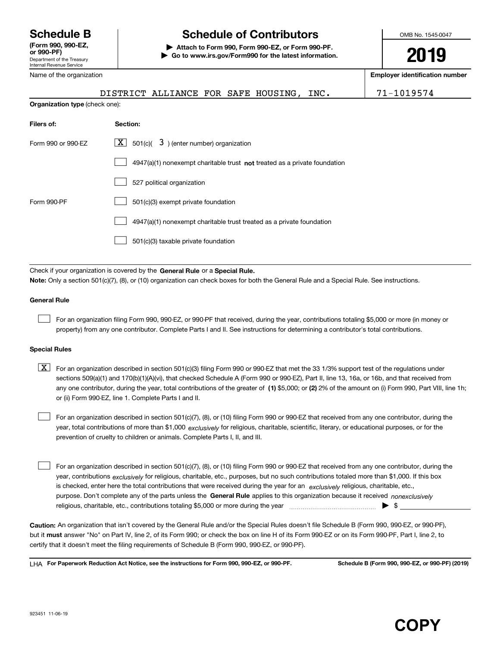Department of the Treasury Internal Revenue Service **(Form 990, 990-EZ, or 990-PF)** Name of the organization

**Organization type**

# **Schedule B Schedule of Contributors**

**| Attach to Form 990, Form 990-EZ, or Form 990-PF. | Go to www.irs.gov/Form990 for the latest information.** OMB No. 1545-0047

**2019**

**Employer identification number**

|                | DISTRICT ALLIANCE FOR SAFE HOUSING, |  |  |  |
|----------------|-------------------------------------|--|--|--|
| e (check one): |                                     |  |  |  |

71-1019574

| Filers of:         | Section:                                                                    |  |  |  |
|--------------------|-----------------------------------------------------------------------------|--|--|--|
| Form 990 or 990-FZ | $ \mathbf{X} $ 501(c)( 3) (enter number) organization                       |  |  |  |
|                    | $4947(a)(1)$ nonexempt charitable trust not treated as a private foundation |  |  |  |
|                    | 527 political organization                                                  |  |  |  |
| Form 990-PF        | 501(c)(3) exempt private foundation                                         |  |  |  |
|                    | 4947(a)(1) nonexempt charitable trust treated as a private foundation       |  |  |  |
|                    | 501(c)(3) taxable private foundation                                        |  |  |  |

Check if your organization is covered by the **General Rule** or a **Special Rule.**<br>Nota: Only a section 501(c)(7), (8), or (10) erganization can chock boxes for be **Note:**  Only a section 501(c)(7), (8), or (10) organization can check boxes for both the General Rule and a Special Rule. See instructions.

#### **General Rule**

 $\mathcal{L}^{\text{max}}$ 

For an organization filing Form 990, 990-EZ, or 990-PF that received, during the year, contributions totaling \$5,000 or more (in money or property) from any one contributor. Complete Parts I and II. See instructions for determining a contributor's total contributions.

#### **Special Rules**

any one contributor, during the year, total contributions of the greater of  $\,$  (1) \$5,000; or **(2)** 2% of the amount on (i) Form 990, Part VIII, line 1h;  $\boxed{\textbf{X}}$  For an organization described in section 501(c)(3) filing Form 990 or 990-EZ that met the 33 1/3% support test of the regulations under sections 509(a)(1) and 170(b)(1)(A)(vi), that checked Schedule A (Form 990 or 990-EZ), Part II, line 13, 16a, or 16b, and that received from or (ii) Form 990-EZ, line 1. Complete Parts I and II.

year, total contributions of more than \$1,000 *exclusively* for religious, charitable, scientific, literary, or educational purposes, or for the For an organization described in section 501(c)(7), (8), or (10) filing Form 990 or 990-EZ that received from any one contributor, during the prevention of cruelty to children or animals. Complete Parts I, II, and III.  $\mathcal{L}^{\text{max}}$ 

purpose. Don't complete any of the parts unless the **General Rule** applies to this organization because it received *nonexclusively* year, contributions <sub>exclusively</sub> for religious, charitable, etc., purposes, but no such contributions totaled more than \$1,000. If this box is checked, enter here the total contributions that were received during the year for an  $\;$ exclusively religious, charitable, etc., For an organization described in section 501(c)(7), (8), or (10) filing Form 990 or 990-EZ that received from any one contributor, during the religious, charitable, etc., contributions totaling \$5,000 or more during the year  $\Box$ — $\Box$   $\Box$  $\mathcal{L}^{\text{max}}$ 

**Caution:**  An organization that isn't covered by the General Rule and/or the Special Rules doesn't file Schedule B (Form 990, 990-EZ, or 990-PF), but it **must** answer "No" on Part IV, line 2, of its Form 990; or check the box on line H of its Form 990-EZ or on its Form 990-PF, Part I, line 2, to<br>cortify that it doesn't meet the filipe requirements of Schodule B (Fer certify that it doesn't meet the filing requirements of Schedule B (Form 990, 990-EZ, or 990-PF).

**For Paperwork Reduction Act Notice, see the instructions for Form 990, 990-EZ, or 990-PF. Schedule B (Form 990, 990-EZ, or 990-PF) (2019)** LHA

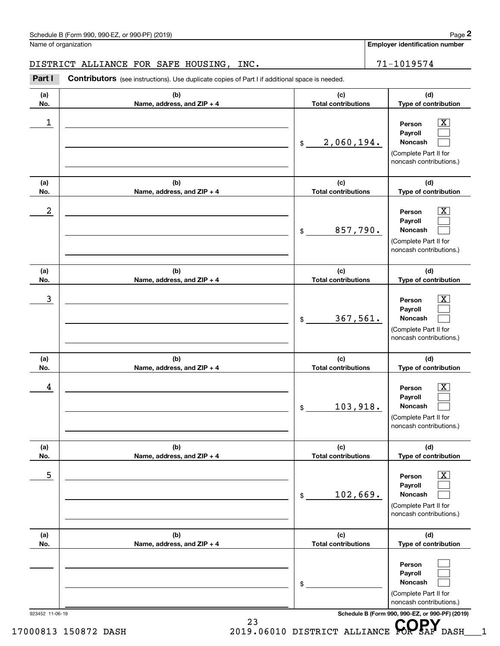### DISTRICT ALLIANCE FOR SAFE HOUSING, INC. 2012 21-1019574

|            | DISTRICT ALLIANCE FOR SAFE HOUSING, INC.                                                       |                                   | 71-1019574                                                                                                    |
|------------|------------------------------------------------------------------------------------------------|-----------------------------------|---------------------------------------------------------------------------------------------------------------|
| Part I     | Contributors (see instructions). Use duplicate copies of Part I if additional space is needed. |                                   |                                                                                                               |
| (a)<br>No. | (b)<br>Name, address, and ZIP + 4                                                              | (c)<br><b>Total contributions</b> | (d)<br>Type of contribution                                                                                   |
| 1          |                                                                                                | 2,060,194.<br>\$                  | $\boxed{\text{X}}$<br>Person<br>Payroll<br>Noncash<br>(Complete Part II for<br>noncash contributions.)        |
| (a)<br>No. | (b)<br>Name, address, and ZIP + 4                                                              | (c)<br><b>Total contributions</b> | (d)<br>Type of contribution                                                                                   |
| 2          |                                                                                                | 857,790.<br>\$                    | $\boxed{\text{X}}$<br>Person<br>Payroll<br>Noncash<br>(Complete Part II for<br>noncash contributions.)        |
| (a)<br>No. | (b)<br>Name, address, and ZIP + 4                                                              | (c)<br><b>Total contributions</b> | (d)<br>Type of contribution                                                                                   |
| 3          |                                                                                                | 367,561.<br>\$                    | $\boxed{\text{X}}$<br>Person<br>Payroll<br><b>Noncash</b><br>(Complete Part II for<br>noncash contributions.) |
| (a)<br>No. | (b)<br>Name, address, and ZIP + 4                                                              | (c)<br><b>Total contributions</b> | (d)<br>Type of contribution                                                                                   |
| 4          |                                                                                                | 103,918.<br>\$                    | $\boxed{\text{X}}$<br>Person<br>Payroll<br>Noncash<br>(Complete Part II for<br>noncash contributions.)        |
| (a)<br>No. | (b)<br>Name, address, and ZIP + 4                                                              | (c)<br><b>Total contributions</b> | (d)<br>Type of contribution                                                                                   |
| 5          |                                                                                                | 102,669.<br>\$                    | $\boxed{\text{X}}$<br>Person<br>Payroll<br><b>Noncash</b><br>(Complete Part II for<br>noncash contributions.) |
| (a)<br>No. | (b)<br>Name, address, and ZIP + 4                                                              | (c)<br><b>Total contributions</b> | (d)<br>Type of contribution                                                                                   |
|            |                                                                                                | \$                                | Person<br>Payroll<br>Noncash<br>(Complete Part II for<br>noncash contributions.)                              |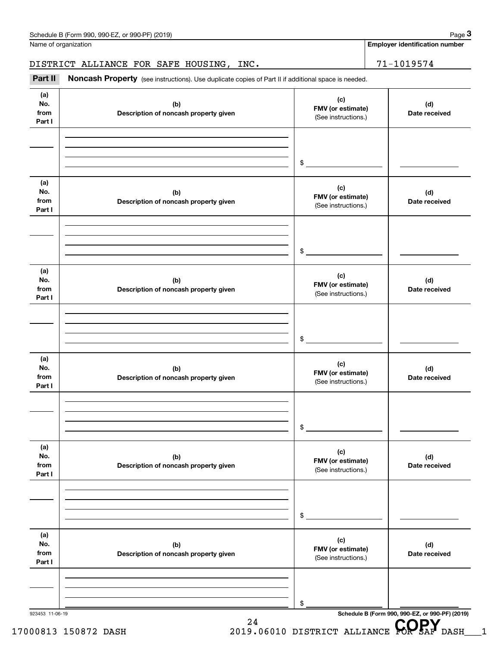Name of organization

**Employer identification number**

DISTRICT ALLIANCE FOR SAFE HOUSING, INC.  $71-1019574$ 

923453 11-06-19 **Schedule B (Form 990, 990-EZ, or 990-PF) (2019) (a)No.fromPart I (c)FMV (or estimate) (b) Description of noncash property given (d) Date received (a)No.fromPart I (c) FMV (or estimate) (b) Description of noncash property given (d) Date received (a)No.fromPart I (c)FMV (or estimate) (b) Description of noncash property given (d) Date received (a) No.fromPart I (c) FMV (or estimate) (b)Description of noncash property given (d)Date received (a) No.fromPart I (c) FMV (or estimate) (b) Description of noncash property given (d) Date received (a) No.fromPart I (c)FMV (or estimate) (b)Description of noncash property given (d)Date received** Noncash Property (see instructions). Use duplicate copies of Part II if additional space is needed. (See instructions.) \$(See instructions.) \$(See instructions.) \$(See instructions.) \$(See instructions.) \$(See instructions.) \$Employer identification<br>
Iame of organization<br> **3PARICT ALLIANCE FOR SAFE HOUSING, INC.**<br>
Part II Noncash Property (see instructions). Use duplicate copies of Part II if additional space is needed.

24

# 17000813 150872 DASH 2019.06010 DISTRICT ALLIANCE **COPSAF** DASH 1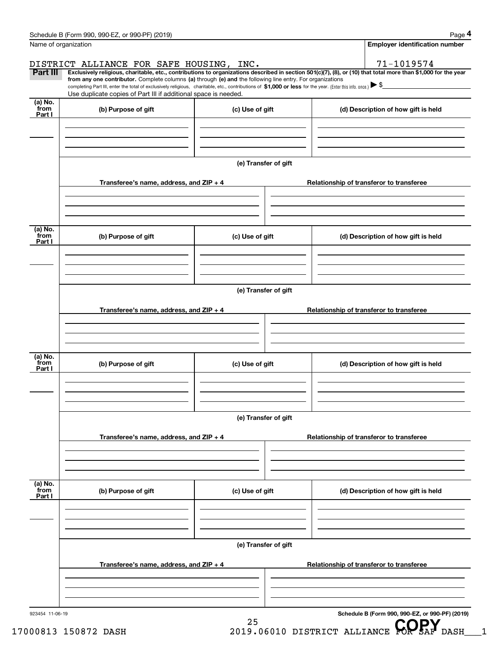| Part III                  | DISTRICT ALLIANCE FOR SAFE HOUSING, INC.<br>from any one contributor. Complete columns (a) through (e) and the following line entry. For organizations<br>completing Part III, enter the total of exclusively religious, charitable, etc., contributions of \$1,000 or less for the year. (Enter this info. once.) $\blacktriangleright$ \$<br>Use duplicate copies of Part III if additional space is needed. |                      | 71-1019574<br>Exclusively religious, charitable, etc., contributions to organizations described in section 501(c)(7), (8), or (10) that total more than \$1,000 for the year |  |
|---------------------------|----------------------------------------------------------------------------------------------------------------------------------------------------------------------------------------------------------------------------------------------------------------------------------------------------------------------------------------------------------------------------------------------------------------|----------------------|------------------------------------------------------------------------------------------------------------------------------------------------------------------------------|--|
| (a) No.<br>from<br>Part I | (b) Purpose of gift                                                                                                                                                                                                                                                                                                                                                                                            | (c) Use of gift      | (d) Description of how gift is held                                                                                                                                          |  |
|                           | Transferee's name, address, and $ZIP + 4$                                                                                                                                                                                                                                                                                                                                                                      | (e) Transfer of gift | Relationship of transferor to transferee                                                                                                                                     |  |
| (a) No.<br>from<br>Part I | (b) Purpose of gift                                                                                                                                                                                                                                                                                                                                                                                            | (c) Use of gift      | (d) Description of how gift is held                                                                                                                                          |  |
|                           |                                                                                                                                                                                                                                                                                                                                                                                                                | (e) Transfer of gift |                                                                                                                                                                              |  |
|                           | Transferee's name, address, and $ZIP + 4$                                                                                                                                                                                                                                                                                                                                                                      |                      | Relationship of transferor to transferee                                                                                                                                     |  |
| (a) No.<br>from<br>Part I | (b) Purpose of gift                                                                                                                                                                                                                                                                                                                                                                                            | (c) Use of gift      | (d) Description of how gift is held                                                                                                                                          |  |
|                           |                                                                                                                                                                                                                                                                                                                                                                                                                | (e) Transfer of gift |                                                                                                                                                                              |  |
|                           | Transferee's name, address, and $ZIP + 4$                                                                                                                                                                                                                                                                                                                                                                      |                      | Relationship of transferor to transferee                                                                                                                                     |  |
| (a) No.<br>from<br>Part I | (b) Purpose of gift                                                                                                                                                                                                                                                                                                                                                                                            | (c) Use of gift      | (d) Description of how gift is held                                                                                                                                          |  |
|                           |                                                                                                                                                                                                                                                                                                                                                                                                                | (e) Transfer of gift |                                                                                                                                                                              |  |
|                           | Transferee's name, address, and ZIP + 4                                                                                                                                                                                                                                                                                                                                                                        |                      | Relationship of transferor to transferee                                                                                                                                     |  |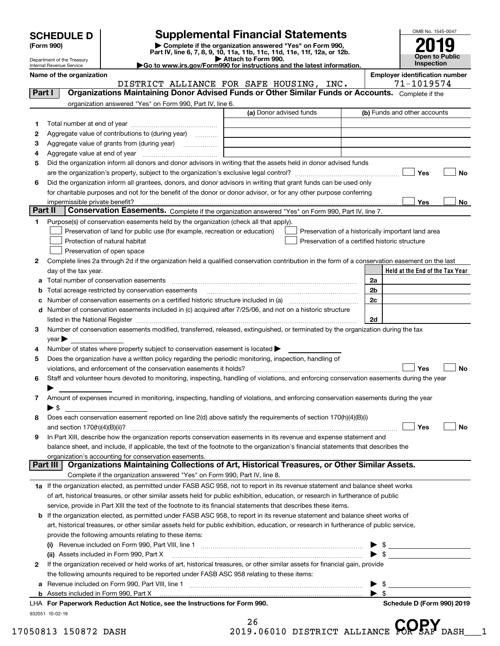| <b>SCHEDULE D</b> |  |
|-------------------|--|
|-------------------|--|

| (Form 990) |  |
|------------|--|
|------------|--|

### **SCHEDULE D Supplemental Financial Statements**

(Form 990)<br>
Pepartment of the Treasury<br>
Department of the Treasury<br>
Department of the Treasury<br>
Department of the Treasury<br> **Co to www.irs.gov/Form990 for instructions and the latest information.**<br> **Co to www.irs.gov/Form9** 



Department of the Treasury Internal Revenue Service

**Name of the organization**<br>TISTRICT ALLIANCE FOR SAFE HOUSING TNC 71-1019574

|         | DISTRICT ALLIANCE FOR SAFE HOUSING, INC.                                                                                                       |                         |                                                | 71-1019574                                         |  |  |  |
|---------|------------------------------------------------------------------------------------------------------------------------------------------------|-------------------------|------------------------------------------------|----------------------------------------------------|--|--|--|
| Part I  | Organizations Maintaining Donor Advised Funds or Other Similar Funds or Accounts. Complete if the                                              |                         |                                                |                                                    |  |  |  |
|         | organization answered "Yes" on Form 990, Part IV, line 6.                                                                                      |                         |                                                |                                                    |  |  |  |
|         |                                                                                                                                                | (a) Donor advised funds |                                                | (b) Funds and other accounts                       |  |  |  |
| 1       |                                                                                                                                                |                         |                                                |                                                    |  |  |  |
| 2       | Aggregate value of contributions to (during year)                                                                                              |                         |                                                |                                                    |  |  |  |
| з       | Aggregate value of grants from (during year)                                                                                                   |                         |                                                |                                                    |  |  |  |
| 4       |                                                                                                                                                |                         |                                                |                                                    |  |  |  |
| 5       | Did the organization inform all donors and donor advisors in writing that the assets held in donor advised funds                               |                         |                                                |                                                    |  |  |  |
|         |                                                                                                                                                |                         |                                                | Yes<br>No                                          |  |  |  |
| 6       | Did the organization inform all grantees, donors, and donor advisors in writing that grant funds can be used only                              |                         |                                                |                                                    |  |  |  |
|         | for charitable purposes and not for the benefit of the donor or donor advisor, or for any other purpose conferring                             |                         |                                                |                                                    |  |  |  |
|         | impermissible private benefit?                                                                                                                 |                         |                                                | Yes<br>No                                          |  |  |  |
| Part II | Conservation Easements. Complete if the organization answered "Yes" on Form 990, Part IV, line 7.                                              |                         |                                                |                                                    |  |  |  |
| 1       | Purpose(s) of conservation easements held by the organization (check all that apply).                                                          |                         |                                                |                                                    |  |  |  |
|         | Preservation of land for public use (for example, recreation or education)                                                                     |                         |                                                | Preservation of a historically important land area |  |  |  |
|         | Protection of natural habitat                                                                                                                  |                         | Preservation of a certified historic structure |                                                    |  |  |  |
|         | Preservation of open space                                                                                                                     |                         |                                                |                                                    |  |  |  |
| 2       | Complete lines 2a through 2d if the organization held a qualified conservation contribution in the form of a conservation easement on the last |                         |                                                |                                                    |  |  |  |
|         | day of the tax year.                                                                                                                           |                         |                                                | Held at the End of the Tax Year                    |  |  |  |
| a       |                                                                                                                                                |                         |                                                | 2a                                                 |  |  |  |
|         | Total acreage restricted by conservation easements                                                                                             |                         |                                                | 2b                                                 |  |  |  |
|         | Number of conservation easements on a certified historic structure included in (a) manufacture included in (a)                                 |                         |                                                | 2 <sub>c</sub>                                     |  |  |  |
| d       | Number of conservation easements included in (c) acquired after 7/25/06, and not on a historic structure                                       |                         |                                                |                                                    |  |  |  |
|         | listed in the National Register [111] Martin March 1999 (120) 1999 (130) 1999 (130) 1999 (130) 1999 (130) 1999                                 |                         |                                                | 2d                                                 |  |  |  |
| 3       | Number of conservation easements modified, transferred, released, extinguished, or terminated by the organization during the tax               |                         |                                                |                                                    |  |  |  |
|         | $year \triangleright$                                                                                                                          |                         |                                                |                                                    |  |  |  |
| 4       | Number of states where property subject to conservation easement is located >                                                                  |                         |                                                |                                                    |  |  |  |
| 5       | Does the organization have a written policy regarding the periodic monitoring, inspection, handling of                                         |                         |                                                |                                                    |  |  |  |
|         | violations, and enforcement of the conservation easements it holds?                                                                            |                         |                                                | Yes<br>No                                          |  |  |  |
| 6       | Staff and volunteer hours devoted to monitoring, inspecting, handling of violations, and enforcing conservation easements during the year      |                         |                                                |                                                    |  |  |  |
|         |                                                                                                                                                |                         |                                                |                                                    |  |  |  |
| 7       | Amount of expenses incurred in monitoring, inspecting, handling of violations, and enforcing conservation easements during the year            |                         |                                                |                                                    |  |  |  |
|         | ► \$                                                                                                                                           |                         |                                                |                                                    |  |  |  |
| 8       | Does each conservation easement reported on line 2(d) above satisfy the requirements of section 170(h)(4)(B)(i)                                |                         |                                                |                                                    |  |  |  |
|         |                                                                                                                                                |                         |                                                | Yes<br>No                                          |  |  |  |
| 9       | In Part XIII, describe how the organization reports conservation easements in its revenue and expense statement and                            |                         |                                                |                                                    |  |  |  |
|         | balance sheet, and include, if applicable, the text of the footnote to the organization's financial statements that describes the              |                         |                                                |                                                    |  |  |  |
|         | organization's accounting for conservation easements.                                                                                          |                         |                                                |                                                    |  |  |  |
|         | Organizations Maintaining Collections of Art, Historical Treasures, or Other Similar Assets.<br>Part III                                       |                         |                                                |                                                    |  |  |  |
|         | Complete if the organization answered "Yes" on Form 990, Part IV, line 8.                                                                      |                         |                                                |                                                    |  |  |  |
|         | 1a If the organization elected, as permitted under FASB ASC 958, not to report in its revenue statement and balance sheet works                |                         |                                                |                                                    |  |  |  |
|         | of art, historical treasures, or other similar assets held for public exhibition, education, or research in furtherance of public              |                         |                                                |                                                    |  |  |  |
|         | service, provide in Part XIII the text of the footnote to its financial statements that describes these items.                                 |                         |                                                |                                                    |  |  |  |
| b       | If the organization elected, as permitted under FASB ASC 958, to report in its revenue statement and balance sheet works of                    |                         |                                                |                                                    |  |  |  |
|         | art, historical treasures, or other similar assets held for public exhibition, education, or research in furtherance of public service,        |                         |                                                |                                                    |  |  |  |
|         | provide the following amounts relating to these items:                                                                                         |                         |                                                |                                                    |  |  |  |
|         |                                                                                                                                                |                         |                                                | \$                                                 |  |  |  |
|         | (ii) Assets included in Form 990, Part X                                                                                                       |                         |                                                | $\blacktriangleright$ \$                           |  |  |  |
| 2       | If the organization received or held works of art, historical treasures, or other similar assets for financial gain, provide                   |                         |                                                |                                                    |  |  |  |
|         | the following amounts required to be reported under FASB ASC 958 relating to these items:                                                      |                         |                                                |                                                    |  |  |  |
| а       |                                                                                                                                                |                         |                                                | \$                                                 |  |  |  |
| b       | Assets included in Form 990, Part X                                                                                                            |                         |                                                | $\blacktriangleright$ \$                           |  |  |  |
|         | LHA For Paperwork Reduction Act Notice, see the Instructions for Form 990.                                                                     |                         |                                                | Schedule D (Form 990) 2019                         |  |  |  |

932051 10-02-19

26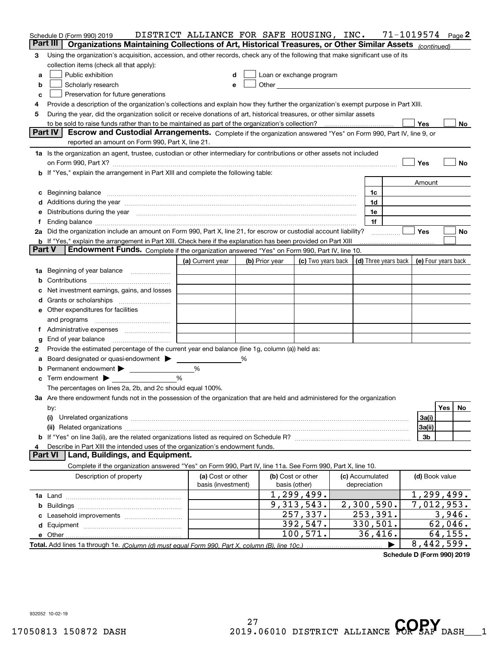|   | Schedule D (Form 990) 2019                                                                                                                                                                                                     | DISTRICT ALLIANCE FOR SAFE HOUSING, INC. |   |                |                                                                                                                                                                                                                                |  |                                 | $71 - 1019574$ Page 2 |         |    |
|---|--------------------------------------------------------------------------------------------------------------------------------------------------------------------------------------------------------------------------------|------------------------------------------|---|----------------|--------------------------------------------------------------------------------------------------------------------------------------------------------------------------------------------------------------------------------|--|---------------------------------|-----------------------|---------|----|
|   | Part III I<br>Organizations Maintaining Collections of Art, Historical Treasures, or Other Similar Assets (continued)                                                                                                          |                                          |   |                |                                                                                                                                                                                                                                |  |                                 |                       |         |    |
| 3 | Using the organization's acquisition, accession, and other records, check any of the following that make significant use of its                                                                                                |                                          |   |                |                                                                                                                                                                                                                                |  |                                 |                       |         |    |
|   | collection items (check all that apply):                                                                                                                                                                                       |                                          |   |                |                                                                                                                                                                                                                                |  |                                 |                       |         |    |
| a | Public exhibition                                                                                                                                                                                                              |                                          |   |                | Loan or exchange program                                                                                                                                                                                                       |  |                                 |                       |         |    |
| b | Scholarly research                                                                                                                                                                                                             | e                                        |   |                | Other and the control of the control of the control of the control of the control of the control of the control of the control of the control of the control of the control of the control of the control of the control of th |  |                                 |                       |         |    |
| c | Preservation for future generations                                                                                                                                                                                            |                                          |   |                |                                                                                                                                                                                                                                |  |                                 |                       |         |    |
| 4 | Provide a description of the organization's collections and explain how they further the organization's exempt purpose in Part XIII.                                                                                           |                                          |   |                |                                                                                                                                                                                                                                |  |                                 |                       |         |    |
| 5 | During the year, did the organization solicit or receive donations of art, historical treasures, or other similar assets                                                                                                       |                                          |   |                |                                                                                                                                                                                                                                |  |                                 |                       |         |    |
|   |                                                                                                                                                                                                                                |                                          |   |                |                                                                                                                                                                                                                                |  |                                 | Yes                   |         | No |
|   | Part IV<br>Escrow and Custodial Arrangements. Complete if the organization answered "Yes" on Form 990, Part IV, line 9, or                                                                                                     |                                          |   |                |                                                                                                                                                                                                                                |  |                                 |                       |         |    |
|   | reported an amount on Form 990, Part X, line 21.                                                                                                                                                                               |                                          |   |                |                                                                                                                                                                                                                                |  |                                 |                       |         |    |
|   | 1a Is the organization an agent, trustee, custodian or other intermediary for contributions or other assets not included                                                                                                       |                                          |   |                |                                                                                                                                                                                                                                |  |                                 |                       |         |    |
|   |                                                                                                                                                                                                                                |                                          |   |                |                                                                                                                                                                                                                                |  |                                 | Yes                   |         | No |
|   | b If "Yes," explain the arrangement in Part XIII and complete the following table:                                                                                                                                             |                                          |   |                |                                                                                                                                                                                                                                |  |                                 |                       |         |    |
|   |                                                                                                                                                                                                                                |                                          |   |                |                                                                                                                                                                                                                                |  |                                 | Amount                |         |    |
|   | c Beginning balance measurements and the contract of the contract of the contract of the contract of the contract of the contract of the contract of the contract of the contract of the contract of the contract of the contr |                                          |   |                |                                                                                                                                                                                                                                |  | 1c                              |                       |         |    |
|   | d Additions during the year measurements are all an according to the year.                                                                                                                                                     |                                          |   |                |                                                                                                                                                                                                                                |  | 1d                              |                       |         |    |
|   | e Distributions during the year manufactured and contain an account of the state of the state of the state of the state of the state of the state of the state of the state of the state of the state of the state of the stat |                                          |   |                |                                                                                                                                                                                                                                |  | 1e                              |                       |         |    |
| f | Ending balance manufactured and contact the contract of the contract of the contract of the contract of the contract of the contract of the contract of the contract of the contract of the contract of the contract of the co |                                          |   |                |                                                                                                                                                                                                                                |  | 1f                              |                       |         |    |
|   | 2a Did the organization include an amount on Form 990, Part X, line 21, for escrow or custodial account liability?                                                                                                             |                                          |   |                |                                                                                                                                                                                                                                |  |                                 | Yes                   |         | No |
|   | <b>b</b> If "Yes," explain the arrangement in Part XIII. Check here if the explanation has been provided on Part XIII<br><b>Part V</b>                                                                                         |                                          |   |                |                                                                                                                                                                                                                                |  |                                 |                       |         |    |
|   | Endowment Funds. Complete if the organization answered "Yes" on Form 990, Part IV, line 10.                                                                                                                                    |                                          |   |                |                                                                                                                                                                                                                                |  |                                 |                       |         |    |
|   |                                                                                                                                                                                                                                | (a) Current year                         |   | (b) Prior year | (c) Two years back $\vert$ (d) Three years back $\vert$ (e) Four years back                                                                                                                                                    |  |                                 |                       |         |    |
|   | 1a Beginning of year balance                                                                                                                                                                                                   |                                          |   |                |                                                                                                                                                                                                                                |  |                                 |                       |         |    |
| b |                                                                                                                                                                                                                                |                                          |   |                |                                                                                                                                                                                                                                |  |                                 |                       |         |    |
| c | Net investment earnings, gains, and losses                                                                                                                                                                                     |                                          |   |                |                                                                                                                                                                                                                                |  |                                 |                       |         |    |
|   |                                                                                                                                                                                                                                |                                          |   |                |                                                                                                                                                                                                                                |  |                                 |                       |         |    |
|   | e Other expenditures for facilities                                                                                                                                                                                            |                                          |   |                |                                                                                                                                                                                                                                |  |                                 |                       |         |    |
|   | and programs                                                                                                                                                                                                                   |                                          |   |                |                                                                                                                                                                                                                                |  |                                 |                       |         |    |
|   |                                                                                                                                                                                                                                |                                          |   |                |                                                                                                                                                                                                                                |  |                                 |                       |         |    |
| g | End of year balance                                                                                                                                                                                                            |                                          |   |                |                                                                                                                                                                                                                                |  |                                 |                       |         |    |
| 2 | Provide the estimated percentage of the current year end balance (line 1g, column (a)) held as:                                                                                                                                |                                          |   |                |                                                                                                                                                                                                                                |  |                                 |                       |         |    |
|   | a Board designated or quasi-endowment ><br>Permanent endowment >                                                                                                                                                               | %                                        | ℅ |                |                                                                                                                                                                                                                                |  |                                 |                       |         |    |
| b |                                                                                                                                                                                                                                | %                                        |   |                |                                                                                                                                                                                                                                |  |                                 |                       |         |    |
|   | $\mathbf c$ Term endowment $\blacktriangleright$<br>The percentages on lines 2a, 2b, and 2c should equal 100%.                                                                                                                 |                                          |   |                |                                                                                                                                                                                                                                |  |                                 |                       |         |    |
|   | 3a Are there endowment funds not in the possession of the organization that are held and administered for the organization                                                                                                     |                                          |   |                |                                                                                                                                                                                                                                |  |                                 |                       |         |    |
|   |                                                                                                                                                                                                                                |                                          |   |                |                                                                                                                                                                                                                                |  |                                 |                       |         | No |
|   | Yes<br>by:<br>3a(i)<br>(i)                                                                                                                                                                                                     |                                          |   |                |                                                                                                                                                                                                                                |  |                                 |                       |         |    |
|   | 3a(ii)                                                                                                                                                                                                                         |                                          |   |                |                                                                                                                                                                                                                                |  |                                 |                       |         |    |
|   |                                                                                                                                                                                                                                |                                          |   |                |                                                                                                                                                                                                                                |  |                                 | 3 <sub>b</sub>        |         |    |
| 4 | Describe in Part XIII the intended uses of the organization's endowment funds.                                                                                                                                                 |                                          |   |                |                                                                                                                                                                                                                                |  |                                 |                       |         |    |
|   | Land, Buildings, and Equipment.<br><b>Part VI</b>                                                                                                                                                                              |                                          |   |                |                                                                                                                                                                                                                                |  |                                 |                       |         |    |
|   | Complete if the organization answered "Yes" on Form 990, Part IV, line 11a. See Form 990, Part X, line 10.                                                                                                                     |                                          |   |                |                                                                                                                                                                                                                                |  |                                 |                       |         |    |
|   | Description of property                                                                                                                                                                                                        | (a) Cost or other<br>basis (investment)  |   |                | (b) Cost or other<br>basis (other)                                                                                                                                                                                             |  | (c) Accumulated<br>depreciation | (d) Book value        |         |    |
|   |                                                                                                                                                                                                                                |                                          |   |                | 1, 299, 499.                                                                                                                                                                                                                   |  |                                 | 1, 299, 499.          |         |    |
|   |                                                                                                                                                                                                                                |                                          |   |                | 9, 313, 543.                                                                                                                                                                                                                   |  | 2,300,590.                      | 7,012,953.            |         |    |
|   |                                                                                                                                                                                                                                |                                          |   |                | 257, 337.                                                                                                                                                                                                                      |  | 253,391.                        |                       | 3,946.  |    |
|   |                                                                                                                                                                                                                                |                                          |   |                | 392,547.                                                                                                                                                                                                                       |  | 330,501.                        |                       | 62,046. |    |
|   |                                                                                                                                                                                                                                |                                          |   |                | 100, 571.                                                                                                                                                                                                                      |  | 36,416.                         |                       | 64,155. |    |
|   | 8,442,599.                                                                                                                                                                                                                     |                                          |   |                |                                                                                                                                                                                                                                |  |                                 |                       |         |    |

**Schedule D (Form 990) 2019**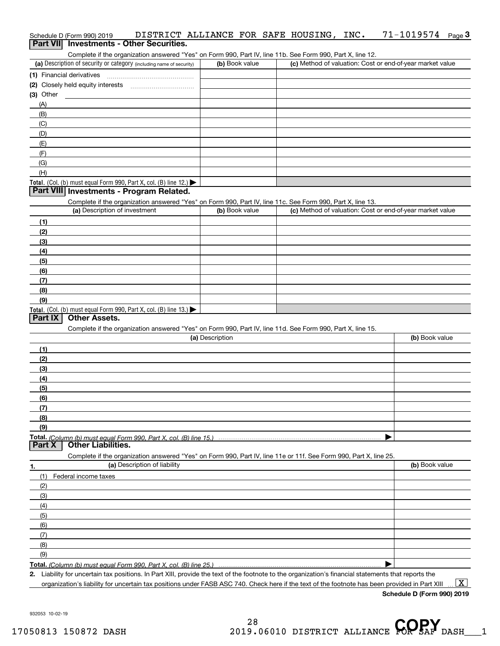| Schedule D (Form 990) 2019 | DISTRICT ALLIANCE FOR SAFE HOUSING, INC.                                                                   |  |  | $71 - 1019574$ Page 3 |  |
|----------------------------|------------------------------------------------------------------------------------------------------------|--|--|-----------------------|--|
|                            | <b>Part VII</b> Investments - Other Securities.                                                            |  |  |                       |  |
|                            | Complete if the organization answered "Yes" on Form 990, Part IV, line 11b. See Form 990, Part X, line 12. |  |  |                       |  |

| (a) Description of security or category (including name of security)                          | (b) Book value | (c) Method of valuation: Cost or end-of-year market value |
|-----------------------------------------------------------------------------------------------|----------------|-----------------------------------------------------------|
| (1) Financial derivatives                                                                     |                |                                                           |
| (2) Closely held equity interests                                                             |                |                                                           |
| $(3)$ Other                                                                                   |                |                                                           |
| (A)                                                                                           |                |                                                           |
| (B)                                                                                           |                |                                                           |
| (C)                                                                                           |                |                                                           |
| (D)                                                                                           |                |                                                           |
| (E)                                                                                           |                |                                                           |
|                                                                                               |                |                                                           |
| (G)                                                                                           |                |                                                           |
| (H)                                                                                           |                |                                                           |
| <b>Total.</b> (Col. (b) must equal Form 990, Part X, col. (B) line 12.) $\blacktriangleright$ |                |                                                           |

#### **Part VIII Investments - Program Related.**

Complete if the organization answered "Yes" on Form 990, Part IV, line 11c. See Form 990, Part X, line 13.

| (a) Description of investment                                       | (b) Book value | (c) Method of valuation: Cost or end-of-year market value |
|---------------------------------------------------------------------|----------------|-----------------------------------------------------------|
| (1)                                                                 |                |                                                           |
| (2)                                                                 |                |                                                           |
| $\frac{1}{2}$                                                       |                |                                                           |
| (4)                                                                 |                |                                                           |
| (5)                                                                 |                |                                                           |
| (6)                                                                 |                |                                                           |
| (7)                                                                 |                |                                                           |
| (8)                                                                 |                |                                                           |
| (9)                                                                 |                |                                                           |
| Total. (Col. (b) must equal Form 990, Part X, col. (B) line $13.$ ) |                |                                                           |

#### **Part IX Other Assets.**

Complete if the organization answered "Yes" on Form 990, Part IV, line 11d. See Form 990, Part X, line 15.

| (a) Description                                                                                                   | (b) Book value |
|-------------------------------------------------------------------------------------------------------------------|----------------|
| (1)                                                                                                               |                |
| (2)                                                                                                               |                |
| $\frac{1}{2}$                                                                                                     |                |
| (4)                                                                                                               |                |
| $\frac{1}{2}$ (5)                                                                                                 |                |
| (6)                                                                                                               |                |
| (7)                                                                                                               |                |
| (8)                                                                                                               |                |
| (9)                                                                                                               |                |
|                                                                                                                   |                |
| <b>Part X</b> Other Liabilities.                                                                                  |                |
| Complete if the organization answered "Yes" on Form 990, Part IV, line 11e or 11f. See Form 990, Part X, line 25. |                |

**1. (a)** Description of liability **Book value** Book value Book value Book value Book value (1)Federal income taxes (2)(3)(4)(5) (6)(7)(8)(9)

**Total.**  *(Column (b) must equal Form 990, Part X, col. (B) line 25.)* 

**2.** | Liability for uncertain tax positions. In Part XIII, provide the text of the footnote to the organization's financial statements that reports the organization's liability for uncertain tax positions under FASB ASC 740. Check here if the text of the footnote has been provided in Part XIII

**Schedule D (Form 990) 2019**

 $\boxed{\text{X}}$ 

932053 10-02-19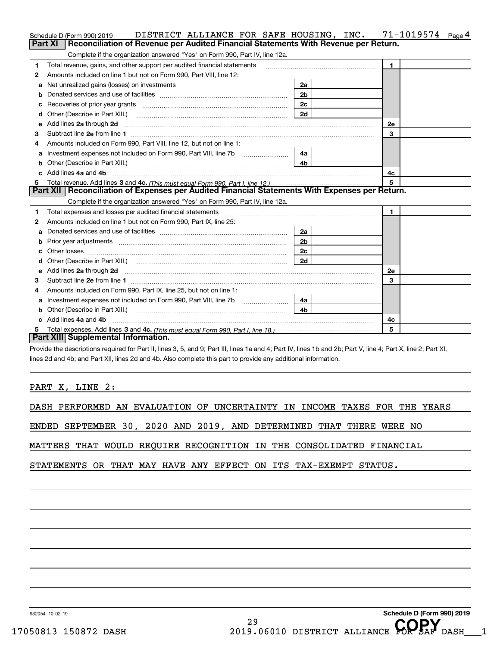|   | DISTRICT ALLIANCE FOR SAFE HOUSING, INC.<br>Schedule D (Form 990) 2019                                                                                         |                | 71-1019574<br>Page 4 |  |  |  |  |  |
|---|----------------------------------------------------------------------------------------------------------------------------------------------------------------|----------------|----------------------|--|--|--|--|--|
|   | Reconciliation of Revenue per Audited Financial Statements With Revenue per Return.<br>Part XI                                                                 |                |                      |  |  |  |  |  |
|   | Complete if the organization answered "Yes" on Form 990, Part IV, line 12a.                                                                                    |                |                      |  |  |  |  |  |
| 1 | Total revenue, gains, and other support per audited financial statements<br>1.                                                                                 |                |                      |  |  |  |  |  |
| 2 | Amounts included on line 1 but not on Form 990, Part VIII, line 12:                                                                                            |                |                      |  |  |  |  |  |
| а |                                                                                                                                                                | 2a             |                      |  |  |  |  |  |
| b |                                                                                                                                                                | 2 <sub>b</sub> |                      |  |  |  |  |  |
|   |                                                                                                                                                                | 2c             |                      |  |  |  |  |  |
|   | Other (Describe in Part XIII.) <b>Construction Contract Construction</b> (Describe in Part XIII.)                                                              | 2d             |                      |  |  |  |  |  |
| е | Add lines 2a through 2d                                                                                                                                        |                | <b>2e</b>            |  |  |  |  |  |
| з |                                                                                                                                                                |                | 3                    |  |  |  |  |  |
| 4 | Amounts included on Form 990, Part VIII, line 12, but not on line 1:                                                                                           |                |                      |  |  |  |  |  |
| а |                                                                                                                                                                | 4a l           |                      |  |  |  |  |  |
| b | Other (Describe in Part XIII.) <b>Construction Contract Construction</b> Chemistry Chemistry Chemistry Chemistry Chemistry                                     | 4b.            |                      |  |  |  |  |  |
|   | Add lines 4a and 4b<br>4c                                                                                                                                      |                |                      |  |  |  |  |  |
|   | 5                                                                                                                                                              |                |                      |  |  |  |  |  |
|   | Part XII   Reconciliation of Expenses per Audited Financial Statements With Expenses per Return.                                                               |                |                      |  |  |  |  |  |
|   | Complete if the organization answered "Yes" on Form 990, Part IV, line 12a.                                                                                    |                |                      |  |  |  |  |  |
| 1 |                                                                                                                                                                |                | $\mathbf{1}$         |  |  |  |  |  |
| 2 | Amounts included on line 1 but not on Form 990, Part IX, line 25:                                                                                              |                |                      |  |  |  |  |  |
| a |                                                                                                                                                                | 2a             |                      |  |  |  |  |  |
|   |                                                                                                                                                                | 2 <sub>b</sub> |                      |  |  |  |  |  |
|   |                                                                                                                                                                | 2c             |                      |  |  |  |  |  |
| d |                                                                                                                                                                | 2d             |                      |  |  |  |  |  |
| e | Add lines 2a through 2d                                                                                                                                        |                | <b>2e</b>            |  |  |  |  |  |
| з |                                                                                                                                                                |                | 3                    |  |  |  |  |  |
| 4 | Amounts included on Form 990, Part IX, line 25, but not on line 1:                                                                                             |                |                      |  |  |  |  |  |
| a | 4a                                                                                                                                                             |                |                      |  |  |  |  |  |
| b | Other (Describe in Part XIII.) <b>2006</b> 2006 2010 2010 2010 2010 2011 2013 2014 2015 2016 2017 2018 2019 2016 2017                                          | 4h.            |                      |  |  |  |  |  |
|   | Add lines 4a and 4b                                                                                                                                            |                | 4c                   |  |  |  |  |  |
| 5 |                                                                                                                                                                |                | 5                    |  |  |  |  |  |
|   | Part XIII Supplemental Information.                                                                                                                            |                |                      |  |  |  |  |  |
|   | Provide the descriptions required for Part II, lines 3, 5, and 9; Part III, lines 1a and 4; Part IV, lines 1b and 2b; Part V, line 4; Part X, line 2; Part XI, |                |                      |  |  |  |  |  |

lines 2d and 4b; and Part XII, lines 2d and 4b. Also complete this part to provide any additional information.

PART X, LINE 2:

DASH PERFORMED AN EVALUATION OF UNCERTAINTY IN INCOME TAXES FOR THE YEARS

ENDED SEPTEMBER 30, 2020 AND 2019, AND DETERMINED THAT THERE WERE NO

MATTERS THAT WOULD REQUIRE RECOGNITION IN THE CONSOLIDATED FINANCIAL

STATEMENTS OR THAT MAY HAVE ANY EFFECT ON ITS TAX-EXEMPT STATUS.

932054 10-02-19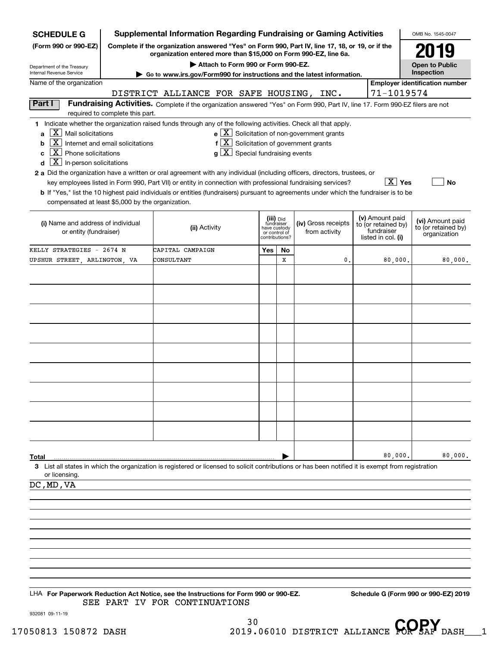| <b>SCHEDULE G</b>                                                                      | <b>Supplemental Information Regarding Fundraising or Gaming Activities</b><br>OMB No. 1545-0047                                                                     |                                                                                                                                                                                                                                           |                                                                            |    |                                                                                                                             |  |                                                                            |                                                         |  |
|----------------------------------------------------------------------------------------|---------------------------------------------------------------------------------------------------------------------------------------------------------------------|-------------------------------------------------------------------------------------------------------------------------------------------------------------------------------------------------------------------------------------------|----------------------------------------------------------------------------|----|-----------------------------------------------------------------------------------------------------------------------------|--|----------------------------------------------------------------------------|---------------------------------------------------------|--|
| (Form 990 or 990-EZ)                                                                   | Complete if the organization answered "Yes" on Form 990, Part IV, line 17, 18, or 19, or if the<br>organization entered more than \$15,000 on Form 990-EZ, line 6a. |                                                                                                                                                                                                                                           |                                                                            |    |                                                                                                                             |  |                                                                            |                                                         |  |
| Department of the Treasury                                                             | Attach to Form 990 or Form 990-EZ.<br><b>Open to Public</b>                                                                                                         |                                                                                                                                                                                                                                           |                                                                            |    |                                                                                                                             |  |                                                                            |                                                         |  |
| Internal Revenue Service                                                               | Inspection<br>Go to www.irs.gov/Form990 for instructions and the latest information.                                                                                |                                                                                                                                                                                                                                           |                                                                            |    |                                                                                                                             |  |                                                                            |                                                         |  |
| Name of the organization                                                               |                                                                                                                                                                     | DISTRICT ALLIANCE FOR SAFE HOUSING, INC.                                                                                                                                                                                                  |                                                                            |    |                                                                                                                             |  | 71-1019574                                                                 | <b>Employer identification number</b>                   |  |
| Part I                                                                                 |                                                                                                                                                                     | Fundraising Activities. Complete if the organization answered "Yes" on Form 990, Part IV, line 17. Form 990-EZ filers are not                                                                                                             |                                                                            |    |                                                                                                                             |  |                                                                            |                                                         |  |
|                                                                                        | required to complete this part.                                                                                                                                     |                                                                                                                                                                                                                                           |                                                                            |    |                                                                                                                             |  |                                                                            |                                                         |  |
| $ \mathbf{X} $ Mail solicitations<br>a<br>b<br>$\overline{X}$ Phone solicitations<br>C | $\overline{X}$ Internet and email solicitations                                                                                                                     | 1 Indicate whether the organization raised funds through any of the following activities. Check all that apply.<br>$g\mid X$ Special fundraising events                                                                                   |                                                                            |    | $\mathbf{e} \times \mathbf{X}$ Solicitation of non-government grants<br>$f[\overline{X}]$ Solicitation of government grants |  |                                                                            |                                                         |  |
| $\boxed{\text{X}}$ In-person solicitations<br>d                                        |                                                                                                                                                                     |                                                                                                                                                                                                                                           |                                                                            |    |                                                                                                                             |  |                                                                            |                                                         |  |
|                                                                                        |                                                                                                                                                                     | 2 a Did the organization have a written or oral agreement with any individual (including officers, directors, trustees, or<br>key employees listed in Form 990, Part VII) or entity in connection with professional fundraising services? |                                                                            |    |                                                                                                                             |  | $X$ Yes                                                                    | No                                                      |  |
| compensated at least \$5,000 by the organization.                                      |                                                                                                                                                                     | <b>b</b> If "Yes," list the 10 highest paid individuals or entities (fundraisers) pursuant to agreements under which the fundraiser is to be                                                                                              |                                                                            |    |                                                                                                                             |  |                                                                            |                                                         |  |
| (i) Name and address of individual<br>or entity (fundraiser)                           |                                                                                                                                                                     | (ii) Activity                                                                                                                                                                                                                             | (iii) Did<br>fundraiser<br>have custody<br>or control of<br>contributions? |    | (iv) Gross receipts<br>from activity                                                                                        |  | (v) Amount paid<br>to (or retained by)<br>fundraiser<br>listed in col. (i) | (vi) Amount paid<br>to (or retained by)<br>organization |  |
| KELLY STRATEGIES - 2674 N                                                              |                                                                                                                                                                     | CAPITAL CAMPAIGN                                                                                                                                                                                                                          | Yes                                                                        | No |                                                                                                                             |  |                                                                            |                                                         |  |
| UPSHUR STREET, ARLINGTON, VA                                                           |                                                                                                                                                                     | CONSULTANT                                                                                                                                                                                                                                |                                                                            | х  | 0.                                                                                                                          |  | 80,000.                                                                    | 80,000.                                                 |  |
|                                                                                        |                                                                                                                                                                     |                                                                                                                                                                                                                                           |                                                                            |    |                                                                                                                             |  |                                                                            |                                                         |  |
|                                                                                        |                                                                                                                                                                     |                                                                                                                                                                                                                                           |                                                                            |    |                                                                                                                             |  |                                                                            |                                                         |  |
|                                                                                        |                                                                                                                                                                     |                                                                                                                                                                                                                                           |                                                                            |    |                                                                                                                             |  |                                                                            |                                                         |  |
|                                                                                        |                                                                                                                                                                     |                                                                                                                                                                                                                                           |                                                                            |    |                                                                                                                             |  |                                                                            |                                                         |  |
|                                                                                        |                                                                                                                                                                     |                                                                                                                                                                                                                                           |                                                                            |    |                                                                                                                             |  |                                                                            |                                                         |  |
|                                                                                        |                                                                                                                                                                     |                                                                                                                                                                                                                                           |                                                                            |    |                                                                                                                             |  |                                                                            |                                                         |  |
|                                                                                        |                                                                                                                                                                     |                                                                                                                                                                                                                                           |                                                                            |    |                                                                                                                             |  |                                                                            |                                                         |  |
|                                                                                        |                                                                                                                                                                     |                                                                                                                                                                                                                                           |                                                                            |    |                                                                                                                             |  |                                                                            |                                                         |  |
|                                                                                        |                                                                                                                                                                     |                                                                                                                                                                                                                                           |                                                                            |    |                                                                                                                             |  |                                                                            |                                                         |  |
|                                                                                        |                                                                                                                                                                     |                                                                                                                                                                                                                                           |                                                                            |    |                                                                                                                             |  |                                                                            |                                                         |  |
|                                                                                        |                                                                                                                                                                     |                                                                                                                                                                                                                                           |                                                                            |    |                                                                                                                             |  |                                                                            |                                                         |  |
|                                                                                        |                                                                                                                                                                     |                                                                                                                                                                                                                                           |                                                                            |    |                                                                                                                             |  |                                                                            |                                                         |  |
|                                                                                        |                                                                                                                                                                     |                                                                                                                                                                                                                                           |                                                                            |    |                                                                                                                             |  |                                                                            |                                                         |  |
|                                                                                        |                                                                                                                                                                     |                                                                                                                                                                                                                                           |                                                                            |    |                                                                                                                             |  |                                                                            |                                                         |  |
| Total                                                                                  |                                                                                                                                                                     | 3 List all states in which the organization is registered or licensed to solicit contributions or has been notified it is exempt from registration                                                                                        |                                                                            |    |                                                                                                                             |  | 80,000.                                                                    | 80,000.                                                 |  |
| or licensing.<br>DC, MD, VA                                                            |                                                                                                                                                                     |                                                                                                                                                                                                                                           |                                                                            |    |                                                                                                                             |  |                                                                            |                                                         |  |
|                                                                                        |                                                                                                                                                                     |                                                                                                                                                                                                                                           |                                                                            |    |                                                                                                                             |  |                                                                            |                                                         |  |
|                                                                                        |                                                                                                                                                                     |                                                                                                                                                                                                                                           |                                                                            |    |                                                                                                                             |  |                                                                            |                                                         |  |
|                                                                                        |                                                                                                                                                                     |                                                                                                                                                                                                                                           |                                                                            |    |                                                                                                                             |  |                                                                            |                                                         |  |
|                                                                                        |                                                                                                                                                                     |                                                                                                                                                                                                                                           |                                                                            |    |                                                                                                                             |  |                                                                            |                                                         |  |
|                                                                                        |                                                                                                                                                                     |                                                                                                                                                                                                                                           |                                                                            |    |                                                                                                                             |  |                                                                            |                                                         |  |
|                                                                                        |                                                                                                                                                                     |                                                                                                                                                                                                                                           |                                                                            |    |                                                                                                                             |  |                                                                            |                                                         |  |
|                                                                                        |                                                                                                                                                                     |                                                                                                                                                                                                                                           |                                                                            |    |                                                                                                                             |  |                                                                            |                                                         |  |
|                                                                                        |                                                                                                                                                                     |                                                                                                                                                                                                                                           |                                                                            |    |                                                                                                                             |  |                                                                            |                                                         |  |
|                                                                                        |                                                                                                                                                                     | LHA For Paperwork Reduction Act Notice, see the Instructions for Form 990 or 990-EZ.<br>SEE PART IV FOR CONTINUATIONS                                                                                                                     |                                                                            |    |                                                                                                                             |  |                                                                            | Schedule G (Form 990 or 990-EZ) 2019                    |  |

932081 09-11-19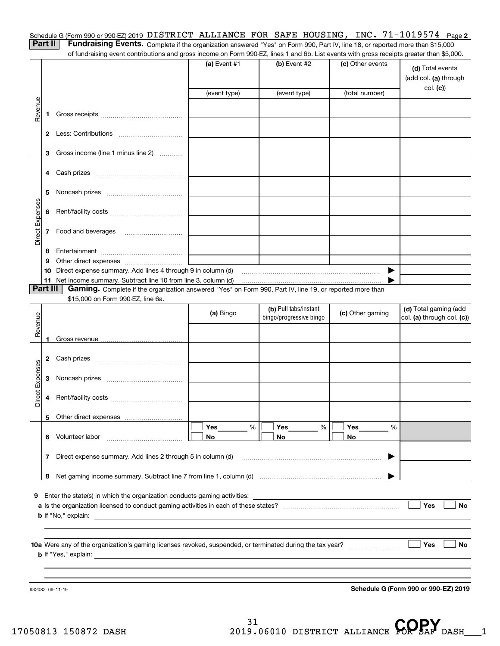| Schedule G (Form 990 or 990-EZ) 2019 DISTRICT ALLIANCE FOR SAFE HOUSING, INC. $71-1019574$ Page 2                            |  |  |  |  |
|------------------------------------------------------------------------------------------------------------------------------|--|--|--|--|
| <b>Dart II. Eundraising Evants</b> Complete this constitution assessed this the Case Rest W. the 49 connected associated 200 |  |  |  |  |

**Part II Fundraising Events.** Complete if the organization answered "Yes" on Form 990, Part IV, line 18, or reported more than \$15,000<br>15.000 of fundraising event contributions and gross income on Form 990-EZ. lines 1 an of fundraising event contributions and gross income on Form 990-EZ, lines 1 and 6b. List events with gross receipts greater than \$5,000.

|                 |                |                                                                                                                                               | (a) Event #1<br>(event type) | $(b)$ Event #2<br>(event type)                   | (c) Other events<br>(total number) | (d) Total events<br>(add col. (a) through<br>col. (c) |
|-----------------|----------------|-----------------------------------------------------------------------------------------------------------------------------------------------|------------------------------|--------------------------------------------------|------------------------------------|-------------------------------------------------------|
| Revenue         | 1              |                                                                                                                                               |                              |                                                  |                                    |                                                       |
|                 |                |                                                                                                                                               |                              |                                                  |                                    |                                                       |
|                 | 2              |                                                                                                                                               |                              |                                                  |                                    |                                                       |
|                 | 3              | Gross income (line 1 minus line 2)                                                                                                            |                              |                                                  |                                    |                                                       |
|                 | 4              |                                                                                                                                               |                              |                                                  |                                    |                                                       |
|                 | 5              |                                                                                                                                               |                              |                                                  |                                    |                                                       |
|                 | 6              |                                                                                                                                               |                              |                                                  |                                    |                                                       |
| Direct Expenses | 7              | Food and beverages                                                                                                                            |                              |                                                  |                                    |                                                       |
|                 | 8              |                                                                                                                                               |                              |                                                  |                                    |                                                       |
|                 | 9              | Other direct expenses <i>manually contained</i>                                                                                               |                              |                                                  |                                    |                                                       |
|                 | 10             | Direct expense summary. Add lines 4 through 9 in column (d)                                                                                   |                              |                                                  | ▶                                  |                                                       |
|                 | 11<br>Part III | Net income summary. Subtract line 10 from line 3, column (d)                                                                                  |                              |                                                  |                                    |                                                       |
|                 |                | Gaming. Complete if the organization answered "Yes" on Form 990, Part IV, line 19, or reported more than<br>\$15,000 on Form 990-EZ, line 6a. |                              |                                                  |                                    |                                                       |
|                 |                |                                                                                                                                               | (a) Bingo                    | (b) Pull tabs/instant<br>bingo/progressive bingo | (c) Other gaming                   | (d) Total gaming (add<br>col. (a) through col. (c))   |
| Revenue         | 1.             |                                                                                                                                               |                              |                                                  |                                    |                                                       |
|                 | 2              |                                                                                                                                               |                              |                                                  |                                    |                                                       |
| Direct Expenses | 3              |                                                                                                                                               |                              |                                                  |                                    |                                                       |
|                 | 4              |                                                                                                                                               |                              |                                                  |                                    |                                                       |
|                 |                |                                                                                                                                               |                              |                                                  |                                    |                                                       |
|                 |                |                                                                                                                                               | Yes<br>%                     | Yes<br>$% \mid$                                  | Yes<br>%                           |                                                       |
|                 | 6.             | Volunteer labor                                                                                                                               | No                           | No.                                              | No                                 |                                                       |
|                 | 7              | Direct expense summary. Add lines 2 through 5 in column (d)                                                                                   |                              |                                                  | ▶                                  |                                                       |
|                 | 8              |                                                                                                                                               |                              |                                                  |                                    |                                                       |
|                 |                |                                                                                                                                               |                              |                                                  |                                    |                                                       |
| 9               |                | Enter the state(s) in which the organization conducts gaming activities:                                                                      |                              |                                                  |                                    |                                                       |
|                 |                |                                                                                                                                               |                              |                                                  |                                    | Yes<br><b>No</b>                                      |
|                 |                |                                                                                                                                               |                              |                                                  |                                    |                                                       |
|                 |                |                                                                                                                                               |                              |                                                  |                                    |                                                       |
|                 |                |                                                                                                                                               |                              |                                                  |                                    | Yes<br><b>No</b>                                      |
|                 |                |                                                                                                                                               |                              |                                                  |                                    |                                                       |
|                 |                | 932082 09-11-19                                                                                                                               |                              |                                                  |                                    | Schedule G (Form 990 or 990-EZ) 2019                  |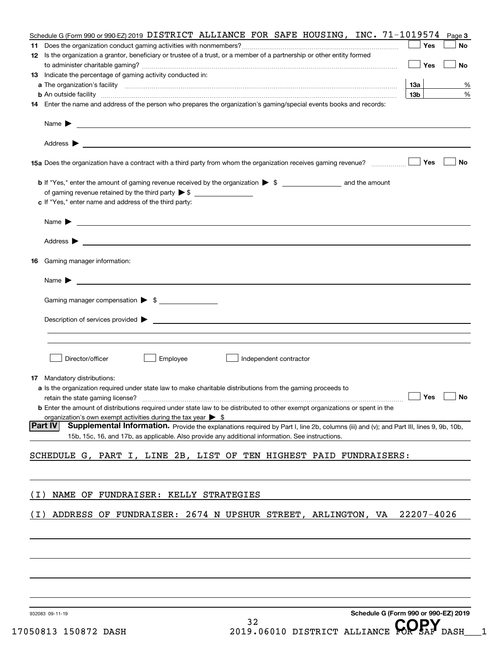|       | Schedule G (Form 990 or 990-EZ) 2019 DISTRICT ALLIANCE FOR SAFE HOUSING, INC. 71-1019574                                                                 |                 | Page 3 |
|-------|----------------------------------------------------------------------------------------------------------------------------------------------------------|-----------------|--------|
|       |                                                                                                                                                          | Yes             | No     |
|       | 12 Is the organization a grantor, beneficiary or trustee of a trust, or a member of a partnership or other entity formed                                 | Yes             | No     |
|       | 13 Indicate the percentage of gaming activity conducted in:                                                                                              |                 |        |
|       |                                                                                                                                                          | 13а             | %      |
|       | <b>b</b> An outside facility <i>www.communicality www.communicality.communicality www.communicality www.communicality.com</i>                            | 13 <sub>b</sub> | %      |
|       | 14 Enter the name and address of the person who prepares the organization's gaming/special events books and records:                                     |                 |        |
|       | Name $\blacktriangleright$                                                                                                                               |                 |        |
|       | Address $\blacktriangleright$<br><u> 1989 - Johann Harry Harry Harry Harry Harry Harry Harry Harry Harry Harry Harry Harry Harry Harry Harry Harry</u>   |                 |        |
|       | 15a Does the organization have a contract with a third party from whom the organization receives gaming revenue?                                         | Yes             | No     |
|       |                                                                                                                                                          |                 |        |
|       | of gaming revenue retained by the third party $\triangleright$ \$                                                                                        |                 |        |
|       | c If "Yes," enter name and address of the third party:                                                                                                   |                 |        |
|       |                                                                                                                                                          |                 |        |
|       | Name $\blacktriangleright$                                                                                                                               |                 |        |
|       |                                                                                                                                                          |                 |        |
|       | Address $\blacktriangleright$<br><u>some started and the started and the started and the started and the started and the started and the started and</u> |                 |        |
|       | 16 Gaming manager information:                                                                                                                           |                 |        |
|       | <u> 1989 - Johann Harry Harry Harry Harry Harry Harry Harry Harry Harry Harry Harry Harry Harry Harry Harry Harry</u><br>Name $\blacktriangleright$      |                 |        |
|       | Gaming manager compensation > \$                                                                                                                         |                 |        |
|       | $Description of services provided$ $\triangleright$                                                                                                      |                 |        |
|       |                                                                                                                                                          |                 |        |
|       |                                                                                                                                                          |                 |        |
|       | Director/officer<br>Employee<br>Independent contractor                                                                                                   |                 |        |
|       | <b>17</b> Mandatory distributions:                                                                                                                       |                 |        |
|       | a Is the organization required under state law to make charitable distributions from the gaming proceeds to                                              |                 |        |
|       |                                                                                                                                                          |                 | No     |
|       | <b>b</b> Enter the amount of distributions required under state law to be distributed to other exempt organizations or spent in the                      |                 |        |
|       | organization's own exempt activities during the tax year $\triangleright$ \$                                                                             |                 |        |
|       | <b>Part IV</b><br>Supplemental Information. Provide the explanations required by Part I, line 2b, columns (iii) and (v); and Part III, lines 9, 9b, 10b, |                 |        |
|       | 15b, 15c, 16, and 17b, as applicable. Also provide any additional information. See instructions.                                                         |                 |        |
|       | SCHEDULE G, PART I, LINE 2B, LIST OF TEN HIGHEST PAID FUNDRAISERS:                                                                                       |                 |        |
|       |                                                                                                                                                          |                 |        |
|       |                                                                                                                                                          |                 |        |
|       |                                                                                                                                                          |                 |        |
| ( L ) | NAME OF FUNDRAISER: KELLY STRATEGIES                                                                                                                     |                 |        |
| (1)   | ADDRESS OF FUNDRAISER: 2674 N UPSHUR STREET, ARLINGTON, VA                                                                                               | 22207-4026      |        |
|       |                                                                                                                                                          |                 |        |
|       |                                                                                                                                                          |                 |        |
|       |                                                                                                                                                          |                 |        |
|       |                                                                                                                                                          |                 |        |
|       |                                                                                                                                                          |                 |        |
|       |                                                                                                                                                          |                 |        |
|       |                                                                                                                                                          |                 |        |
|       |                                                                                                                                                          |                 |        |
|       |                                                                                                                                                          |                 |        |

32

932083 09-11-19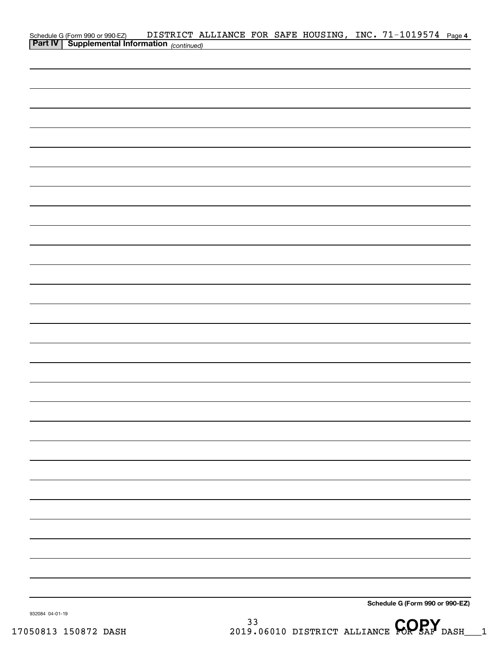|                 | Schedule G (Form 990 or 990-EZ) DISTRICT A.<br>Part IV   Supplemental Information (continued) |  |  |  | DISTRICT ALLIANCE FOR SAFE HOUSING, INC. 71-1019574 Page 4 |  |
|-----------------|-----------------------------------------------------------------------------------------------|--|--|--|------------------------------------------------------------|--|
|                 |                                                                                               |  |  |  |                                                            |  |
|                 |                                                                                               |  |  |  |                                                            |  |
|                 |                                                                                               |  |  |  |                                                            |  |
|                 |                                                                                               |  |  |  |                                                            |  |
|                 |                                                                                               |  |  |  |                                                            |  |
|                 |                                                                                               |  |  |  |                                                            |  |
|                 |                                                                                               |  |  |  |                                                            |  |
|                 |                                                                                               |  |  |  |                                                            |  |
|                 |                                                                                               |  |  |  |                                                            |  |
|                 |                                                                                               |  |  |  |                                                            |  |
|                 |                                                                                               |  |  |  |                                                            |  |
|                 |                                                                                               |  |  |  |                                                            |  |
|                 |                                                                                               |  |  |  |                                                            |  |
|                 |                                                                                               |  |  |  |                                                            |  |
|                 |                                                                                               |  |  |  |                                                            |  |
|                 |                                                                                               |  |  |  |                                                            |  |
|                 |                                                                                               |  |  |  |                                                            |  |
|                 |                                                                                               |  |  |  |                                                            |  |
|                 |                                                                                               |  |  |  |                                                            |  |
|                 |                                                                                               |  |  |  |                                                            |  |
|                 |                                                                                               |  |  |  |                                                            |  |
|                 |                                                                                               |  |  |  |                                                            |  |
|                 |                                                                                               |  |  |  |                                                            |  |
|                 |                                                                                               |  |  |  |                                                            |  |
|                 |                                                                                               |  |  |  |                                                            |  |
|                 |                                                                                               |  |  |  |                                                            |  |
|                 |                                                                                               |  |  |  |                                                            |  |
|                 |                                                                                               |  |  |  |                                                            |  |
|                 |                                                                                               |  |  |  |                                                            |  |
|                 |                                                                                               |  |  |  |                                                            |  |
|                 |                                                                                               |  |  |  |                                                            |  |
|                 |                                                                                               |  |  |  |                                                            |  |
|                 |                                                                                               |  |  |  |                                                            |  |
|                 |                                                                                               |  |  |  |                                                            |  |
|                 |                                                                                               |  |  |  |                                                            |  |
|                 |                                                                                               |  |  |  |                                                            |  |
|                 |                                                                                               |  |  |  |                                                            |  |
| 932084 04-01-19 |                                                                                               |  |  |  | Schedule G (Form 990 or 990-EZ)                            |  |

932084 04-01-19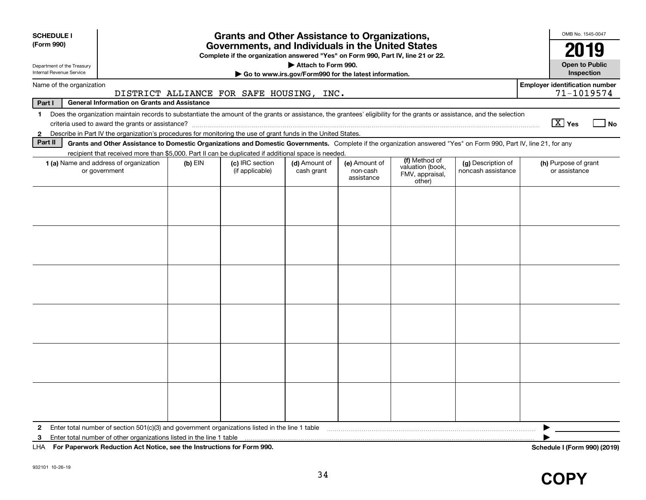| <b>SCHEDULE I</b>          |                                                                                                                                                                                                                                                                           |           | <b>Grants and Other Assistance to Organizations,</b> |                                                       |                        |                                               |                    | OMB No. 1545-0047                                   |        |
|----------------------------|---------------------------------------------------------------------------------------------------------------------------------------------------------------------------------------------------------------------------------------------------------------------------|-----------|------------------------------------------------------|-------------------------------------------------------|------------------------|-----------------------------------------------|--------------------|-----------------------------------------------------|--------|
| (Form 990)                 | Governments, and Individuals in the United States<br>2019                                                                                                                                                                                                                 |           |                                                      |                                                       |                        |                                               |                    |                                                     |        |
| Department of the Treasury | Complete if the organization answered "Yes" on Form 990, Part IV, line 21 or 22.<br>Attach to Form 990.<br><b>Open to Public</b>                                                                                                                                          |           |                                                      |                                                       |                        |                                               |                    |                                                     |        |
| Internal Revenue Service   |                                                                                                                                                                                                                                                                           |           |                                                      | Go to www.irs.gov/Form990 for the latest information. |                        |                                               |                    | Inspection                                          |        |
| Name of the organization   |                                                                                                                                                                                                                                                                           |           | DISTRICT ALLIANCE FOR SAFE HOUSING, INC.             |                                                       |                        |                                               |                    | <b>Employer identification number</b><br>71-1019574 |        |
| Part I                     | <b>General Information on Grants and Assistance</b>                                                                                                                                                                                                                       |           |                                                      |                                                       |                        |                                               |                    |                                                     |        |
| $\mathbf 1$                | Does the organization maintain records to substantiate the amount of the grants or assistance, the grantees' eligibility for the grants or assistance, and the selection                                                                                                  |           |                                                      |                                                       |                        |                                               |                    |                                                     |        |
|                            |                                                                                                                                                                                                                                                                           |           |                                                      |                                                       |                        |                                               |                    | $\boxed{\text{X}}$ Yes                              | $ $ No |
| $\mathbf{2}$<br>Part II    | Describe in Part IV the organization's procedures for monitoring the use of grant funds in the United States.                                                                                                                                                             |           |                                                      |                                                       |                        |                                               |                    |                                                     |        |
|                            | Grants and Other Assistance to Domestic Organizations and Domestic Governments. Complete if the organization answered "Yes" on Form 990, Part IV, line 21, for any<br>recipient that received more than \$5,000. Part II can be duplicated if additional space is needed. |           |                                                      |                                                       |                        |                                               |                    |                                                     |        |
|                            | <b>1 (a)</b> Name and address of organization                                                                                                                                                                                                                             | $(b)$ EIN | (c) IRC section                                      | (d) Amount of                                         | (e) Amount of          | (f) Method of                                 | (g) Description of | (h) Purpose of grant                                |        |
|                            | or government                                                                                                                                                                                                                                                             |           | (if applicable)                                      | cash grant                                            | non-cash<br>assistance | valuation (book,<br>FMV, appraisal,<br>other) | noncash assistance | or assistance                                       |        |
|                            |                                                                                                                                                                                                                                                                           |           |                                                      |                                                       |                        |                                               |                    |                                                     |        |
|                            |                                                                                                                                                                                                                                                                           |           |                                                      |                                                       |                        |                                               |                    |                                                     |        |
|                            |                                                                                                                                                                                                                                                                           |           |                                                      |                                                       |                        |                                               |                    |                                                     |        |
|                            |                                                                                                                                                                                                                                                                           |           |                                                      |                                                       |                        |                                               |                    |                                                     |        |
|                            |                                                                                                                                                                                                                                                                           |           |                                                      |                                                       |                        |                                               |                    |                                                     |        |
|                            |                                                                                                                                                                                                                                                                           |           |                                                      |                                                       |                        |                                               |                    |                                                     |        |
|                            |                                                                                                                                                                                                                                                                           |           |                                                      |                                                       |                        |                                               |                    |                                                     |        |
|                            |                                                                                                                                                                                                                                                                           |           |                                                      |                                                       |                        |                                               |                    |                                                     |        |
|                            |                                                                                                                                                                                                                                                                           |           |                                                      |                                                       |                        |                                               |                    |                                                     |        |
|                            |                                                                                                                                                                                                                                                                           |           |                                                      |                                                       |                        |                                               |                    |                                                     |        |
|                            |                                                                                                                                                                                                                                                                           |           |                                                      |                                                       |                        |                                               |                    |                                                     |        |
|                            |                                                                                                                                                                                                                                                                           |           |                                                      |                                                       |                        |                                               |                    |                                                     |        |
|                            |                                                                                                                                                                                                                                                                           |           |                                                      |                                                       |                        |                                               |                    |                                                     |        |
|                            |                                                                                                                                                                                                                                                                           |           |                                                      |                                                       |                        |                                               |                    |                                                     |        |
|                            |                                                                                                                                                                                                                                                                           |           |                                                      |                                                       |                        |                                               |                    |                                                     |        |
|                            |                                                                                                                                                                                                                                                                           |           |                                                      |                                                       |                        |                                               |                    |                                                     |        |
|                            |                                                                                                                                                                                                                                                                           |           |                                                      |                                                       |                        |                                               |                    |                                                     |        |
|                            |                                                                                                                                                                                                                                                                           |           |                                                      |                                                       |                        |                                               |                    |                                                     |        |
| $\mathbf{2}$               | Enter total number of section $501(c)(3)$ and government organizations listed in the line 1 table                                                                                                                                                                         |           |                                                      |                                                       |                        |                                               |                    |                                                     |        |
| 3                          | Enter total number of other organizations listed in the line 1 table                                                                                                                                                                                                      |           |                                                      |                                                       |                        |                                               |                    |                                                     |        |
|                            | LHA For Paperwork Reduction Act Notice, see the Instructions for Form 990.<br>Schedule I (Form 990) (2019)                                                                                                                                                                |           |                                                      |                                                       |                        |                                               |                    |                                                     |        |

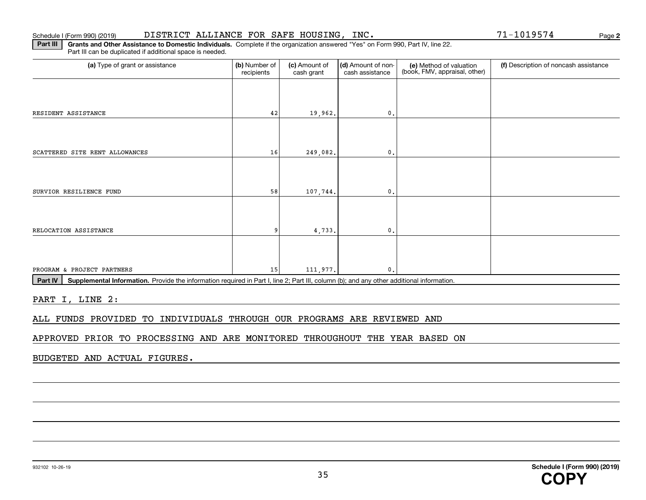#### Schedule I (Form 990) (2019) Page DISTRICT ALLIANCE FOR SAFE HOUSING, INC. 71-1019574

**2**

**Part III** | Grants and Other Assistance to Domestic Individuals. Complete if the organization answered "Yes" on Form 990, Part IV, line 22. Part III can be duplicated if additional space is needed.

| (a) Type of grant or assistance                                                                                                                                                                                                                                                                                                                                                                            | (b) Number of<br>recipients | (c) Amount of<br>cash grant | (d) Amount of non-<br>cash assistance | (e) Method of valuation<br>(book, FMV, appraisal, other) | (f) Description of noncash assistance |
|------------------------------------------------------------------------------------------------------------------------------------------------------------------------------------------------------------------------------------------------------------------------------------------------------------------------------------------------------------------------------------------------------------|-----------------------------|-----------------------------|---------------------------------------|----------------------------------------------------------|---------------------------------------|
|                                                                                                                                                                                                                                                                                                                                                                                                            |                             |                             |                                       |                                                          |                                       |
| RESIDENT ASSISTANCE                                                                                                                                                                                                                                                                                                                                                                                        | 42                          | 19,962.                     | $\mathbf{0}$ .                        |                                                          |                                       |
|                                                                                                                                                                                                                                                                                                                                                                                                            |                             |                             |                                       |                                                          |                                       |
| SCATTERED SITE RENT ALLOWANCES                                                                                                                                                                                                                                                                                                                                                                             | 16                          | 249,082.                    | $\mathfrak o$ .                       |                                                          |                                       |
|                                                                                                                                                                                                                                                                                                                                                                                                            |                             |                             |                                       |                                                          |                                       |
| SURVIOR RESILIENCE FUND                                                                                                                                                                                                                                                                                                                                                                                    | 58                          | 107,744.                    | $\mathbf{0}$ .                        |                                                          |                                       |
|                                                                                                                                                                                                                                                                                                                                                                                                            |                             |                             |                                       |                                                          |                                       |
| RELOCATION ASSISTANCE                                                                                                                                                                                                                                                                                                                                                                                      |                             | 4,733.                      | $\mathbf 0$                           |                                                          |                                       |
|                                                                                                                                                                                                                                                                                                                                                                                                            |                             |                             |                                       |                                                          |                                       |
| PROGRAM & PROJECT PARTNERS<br>$\mathbf{D}_{\text{out}}$ $\mathbf{N}_{\text{in}}$ . $\mathbf{D}_{\text{out}}$ . $\mathbf{D}_{\text{out}}$ . $\mathbf{D}_{\text{out}}$ is a set of $\mathbf{D}_{\text{out}}$ is $\mathbf{D}_{\text{out}}$ if the $\mathbf{D}_{\text{out}}$ if the subset of $\mathbf{D}_{\text{out}}$ if $\mathbf{D}_{\text{out}}$ if $\mathbf{D}_{\text{out}}$ if $\mathbf{D}_{\text{out}}$ | 15                          | 111,977.                    | $\mathbf{0}$ .                        |                                                          |                                       |

**Part IV** | Supplemental Information. Provide the information required in Part I, line 2; Part III, column (b); and any other additional information.<br>

PART I, LINE 2:

ALL FUNDS PROVIDED TO INDIVIDUALS THROUGH OUR PROGRAMS ARE REVIEWED AND

APPROVED PRIOR TO PROCESSING AND ARE MONITORED THROUGHOUT THE YEAR BASED ON

BUDGETED AND ACTUAL FIGURES.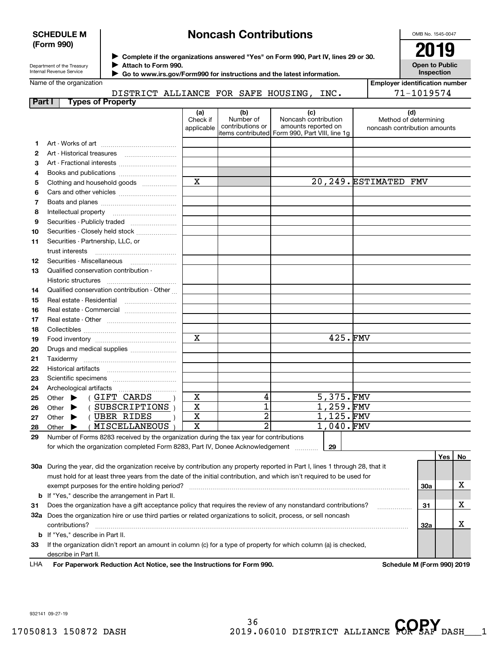#### **SCHEDULE M (Form 990)**

# **Noncash Contributions**

OMB No. 1545-0047

| Department of the Treasury |
|----------------------------|
| Internal Revenue Service   |

**Complete if the organizations answered "Yes" on Form 990, Part IV, lines 29 or 30.** <sup>J</sup>**2019 Attach to Form 990.** J

**Open to Public Inspection**

|  | Name of the organization |
|--|--------------------------|
|  |                          |

 **Go to www.irs.gov/Form990 for instructions and the latest information.** J

| Name of the organization  |                                     |  |      | Emplover identification number |
|---------------------------|-------------------------------------|--|------|--------------------------------|
|                           | DISTRICT ALLIANCE FOR SAFE HOUSING, |  | INC. | 1019574<br>$71 - .$            |
| Part<br>Tynes of Pronerty |                                     |  |      |                                |

| .            | , , , , , , , , , , , , , , , , , , ,                                                                                          | (a)<br>Check if<br>applicable | (b)<br>Number of<br>contributions or | (c)<br>Noncash contribution<br>amounts reported on | (d)<br>Method of determining<br>noncash contribution amounts |
|--------------|--------------------------------------------------------------------------------------------------------------------------------|-------------------------------|--------------------------------------|----------------------------------------------------|--------------------------------------------------------------|
|              |                                                                                                                                |                               |                                      | items contributed Form 990, Part VIII, line 1g     |                                                              |
| 1.           |                                                                                                                                |                               |                                      |                                                    |                                                              |
| $\mathbf{2}$ |                                                                                                                                |                               |                                      |                                                    |                                                              |
| 3            |                                                                                                                                |                               |                                      |                                                    |                                                              |
| 4            | Books and publications                                                                                                         |                               |                                      |                                                    |                                                              |
| 5            | Clothing and household goods                                                                                                   | X                             |                                      |                                                    | 20,249. ESTIMATED FMV                                        |
| 6            |                                                                                                                                |                               |                                      |                                                    |                                                              |
| 7            |                                                                                                                                |                               |                                      |                                                    |                                                              |
| 8            | Intellectual property                                                                                                          |                               |                                      |                                                    |                                                              |
| 9            | Securities - Publicly traded                                                                                                   |                               |                                      |                                                    |                                                              |
| 10           | Securities - Closely held stock                                                                                                |                               |                                      |                                                    |                                                              |
| 11           | Securities - Partnership, LLC, or                                                                                              |                               |                                      |                                                    |                                                              |
|              | trust interests                                                                                                                |                               |                                      |                                                    |                                                              |
| 12           | Securities - Miscellaneous                                                                                                     |                               |                                      |                                                    |                                                              |
| 13           | Qualified conservation contribution -                                                                                          |                               |                                      |                                                    |                                                              |
|              |                                                                                                                                |                               |                                      |                                                    |                                                              |
| 14           | Qualified conservation contribution - Other                                                                                    |                               |                                      |                                                    |                                                              |
| 15           | Real estate - Residential                                                                                                      |                               |                                      |                                                    |                                                              |
| 16           | Real estate - Commercial                                                                                                       |                               |                                      |                                                    |                                                              |
| 17           |                                                                                                                                |                               |                                      |                                                    |                                                              |
| 18           |                                                                                                                                |                               |                                      |                                                    |                                                              |
| 19           |                                                                                                                                | X                             |                                      | 425.FMV                                            |                                                              |
| 20           | Drugs and medical supplies                                                                                                     |                               |                                      |                                                    |                                                              |
| 21           |                                                                                                                                |                               |                                      |                                                    |                                                              |
| 22           |                                                                                                                                |                               |                                      |                                                    |                                                              |
| 23           |                                                                                                                                |                               |                                      |                                                    |                                                              |
| 24           | Archeological artifacts                                                                                                        |                               |                                      |                                                    |                                                              |
| 25           | Other $\blacktriangleright$ (GIFT CARDS                                                                                        | $\mathbf X$                   | 4                                    | 5,375.FMV                                          |                                                              |
| 26           | (SUBSCRIPTIONS)<br>Other $\blacktriangleright$                                                                                 | $\mathbf x$                   | $\overline{1}$                       | $1,259$ . FMV                                      |                                                              |
| 27           | ( UBER RIDES<br>Other $\blacktriangleright$                                                                                    | $\mathbf X$                   | $\overline{2}$                       | 1,125.FMV                                          |                                                              |
| 28           | ( MISCELLANEOUS<br>Other $\blacktriangleright$                                                                                 | $\mathbf X$                   | $\overline{2}$                       | $1,040$ . FMV                                      |                                                              |
| 29           | Number of Forms 8283 received by the organization during the tax year for contributions                                        |                               |                                      |                                                    |                                                              |
|              | for which the organization completed Form 8283, Part IV, Donee Acknowledgement [Community]                                     |                               |                                      | 29                                                 |                                                              |
|              |                                                                                                                                |                               |                                      |                                                    | Yes l<br>No.                                                 |
|              | 30a During the year, did the organization receive by contribution any property reported in Part I, lines 1 through 28, that it |                               |                                      |                                                    |                                                              |
|              | must hold for at least three years from the date of the initial contribution, and which isn't required to be used for          |                               |                                      |                                                    |                                                              |

| 30a<br>exempt purposes for the entire holding period?<br><b>b</b> If "Yes," describe the arrangement in Part II.<br>Does the organization have a gift acceptance policy that requires the review of any nonstandard contributions?<br>31<br>31<br>▵<br>Does the organization hire or use third parties or related organizations to solicit, process, or sell noncash<br>32a<br>32a<br>contributions?<br><b>b</b> If "Yes," describe in Part II.<br>If the organization didn't report an amount in column (c) for a type of property for which column (a) is checked,<br>33 | must hold for at least three years from the date of the initial contribution, and which isn't required to be used for |  |  |
|----------------------------------------------------------------------------------------------------------------------------------------------------------------------------------------------------------------------------------------------------------------------------------------------------------------------------------------------------------------------------------------------------------------------------------------------------------------------------------------------------------------------------------------------------------------------------|-----------------------------------------------------------------------------------------------------------------------|--|--|
|                                                                                                                                                                                                                                                                                                                                                                                                                                                                                                                                                                            |                                                                                                                       |  |  |
|                                                                                                                                                                                                                                                                                                                                                                                                                                                                                                                                                                            |                                                                                                                       |  |  |
|                                                                                                                                                                                                                                                                                                                                                                                                                                                                                                                                                                            |                                                                                                                       |  |  |
|                                                                                                                                                                                                                                                                                                                                                                                                                                                                                                                                                                            |                                                                                                                       |  |  |
|                                                                                                                                                                                                                                                                                                                                                                                                                                                                                                                                                                            |                                                                                                                       |  |  |
|                                                                                                                                                                                                                                                                                                                                                                                                                                                                                                                                                                            |                                                                                                                       |  |  |
|                                                                                                                                                                                                                                                                                                                                                                                                                                                                                                                                                                            |                                                                                                                       |  |  |
|                                                                                                                                                                                                                                                                                                                                                                                                                                                                                                                                                                            | describe in Part II.                                                                                                  |  |  |

**For Paperwork Reduction Act Notice, see the Instructions for Form 990. Schedule M (Form 990) 2019** LHA

932141 09-27-19

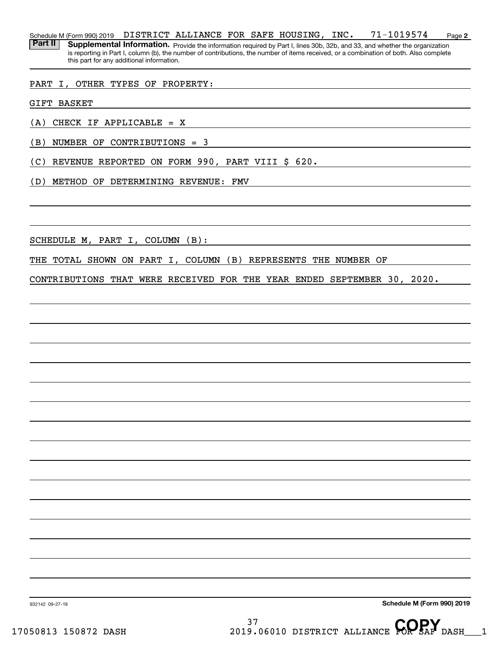**2** Schedule M (Form 990) 2019 Page DISTRICT ALLIANCE FOR SAFE HOUSING, INC. 71-1019574 Part II | Supplemental Information. Provide the information required by Part I, lines 30b, 32b, and 33, and whether the organization is reporting in Part I, column (b), the number of contributions, the number of items received, or a combination of both. Also complete this part for any additional information.

#### PART I, OTHER TYPES OF PROPERTY:

GIFT BASKET

(A) CHECK IF APPLICABLE = X

(B) NUMBER OF CONTRIBUTIONS = 3

(C) REVENUE REPORTED ON FORM 990, PART VIII \$ 620.

(D) METHOD OF DETERMINING REVENUE: FMV

SCHEDULE M, PART I, COLUMN (B):

THE TOTAL SHOWN ON PART I, COLUMN (B) REPRESENTS THE NUMBER OF

CONTRIBUTIONS THAT WERE RECEIVED FOR THE YEAR ENDED SEPTEMBER 30, 2020.

**Schedule M (Form 990) 2019**

932142 09-27-19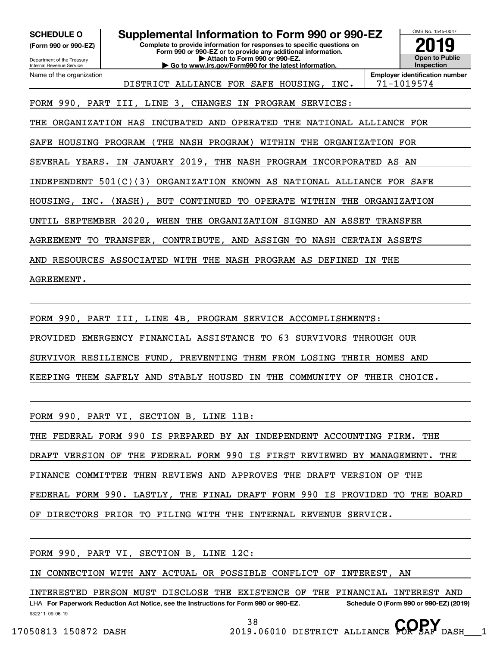**(Form 990 or 990-EZ)**

Department of the Treasury Internal Revenue Service Name of the organization

**Complete to provide information for responses to specific questions on Form 990 or 990-EZ or to provide any additional information. | Attach to Form 990 or 990-EZ. | Go to www.irs.gov/Form990 for the latest information. SCHEDULE O Supplemental Information to Form 990 or 990-EZ**



DISTRICT ALLIANCE FOR SAFE HOUSING, INC. | 71-1019574

**Employer identification number**

FORM 990, PART III, LINE 3, CHANGES IN PROGRAM SERVICES:

THE ORGANIZATION HAS INCUBATED AND OPERATED THE NATIONAL ALLIANCE FOR

SAFE HOUSING PROGRAM (THE NASH PROGRAM) WITHIN THE ORGANIZATION FOR

SEVERAL YEARS. IN JANUARY 2019, THE NASH PROGRAM INCORPORATED AS AN

INDEPENDENT 501(C)(3) ORGANIZATION KNOWN AS NATIONAL ALLIANCE FOR SAFE

HOUSING, INC. (NASH), BUT CONTINUED TO OPERATE WITHIN THE ORGANIZATION

UNTIL SEPTEMBER 2020, WHEN THE ORGANIZATION SIGNED AN ASSET TRANSFER

AGREEMENT TO TRANSFER, CONTRIBUTE, AND ASSIGN TO NASH CERTAIN ASSETS

AND RESOURCES ASSOCIATED WITH THE NASH PROGRAM AS DEFINED IN THE

### AGREEMENT.

FORM 990, PART III, LINE 4B, PROGRAM SERVICE ACCOMPLISHMENTS:

PROVIDED EMERGENCY FINANCIAL ASSISTANCE TO 63 SURVIVORS THROUGH OUR

SURVIVOR RESILIENCE FUND, PREVENTING THEM FROM LOSING THEIR HOMES AND

KEEPING THEM SAFELY AND STABLY HOUSED IN THE COMMUNITY OF THEIR CHOICE.

FORM 990, PART VI, SECTION B, LINE 11B:

THE FEDERAL FORM 990 IS PREPARED BY AN INDEPENDENT ACCOUNTING FIRM. THE

DRAFT VERSION OF THE FEDERAL FORM 990 IS FIRST REVIEWED BY MANAGEMENT. THE

FINANCE COMMITTEE THEN REVIEWS AND APPROVES THE DRAFT VERSION OF THE

FEDERAL FORM 990. LASTLY, THE FINAL DRAFT FORM 990 IS PROVIDED TO THE BOARD

OF DIRECTORS PRIOR TO FILING WITH THE INTERNAL REVENUE SERVICE.

FORM 990, PART VI, SECTION B, LINE 12C:

IN CONNECTION WITH ANY ACTUAL OR POSSIBLE CONFLICT OF INTEREST, AN

932211 09-06-19 LHA For Paperwork Reduction Act Notice, see the Instructions for Form 990 or 990-EZ. Schedule O (Form 990 or 990-EZ) (2019) INTERESTED PERSON MUST DISCLOSE THE EXISTENCE OF THE FINANCIAL INTEREST AND

38 17050813 150872 DASH 2019.06010 DISTRICT ALLIANCE **COPSAF** DASH 1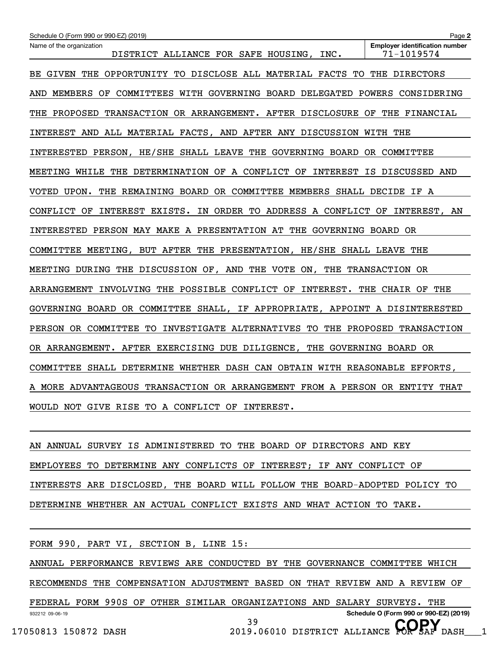| Schedule O (Form 990 or 990-EZ) (2019)                                           | Page 2                                              |
|----------------------------------------------------------------------------------|-----------------------------------------------------|
| Name of the organization<br>DISTRICT ALLIANCE FOR SAFE HOUSING,<br>INC.          | <b>Employer identification number</b><br>71-1019574 |
| GIVEN THE<br>OPPORTUNITY TO DISCLOSE ALL MATERIAL FACTS<br>TO.<br>BE.            | THE DIRECTORS                                       |
| MEMBERS OF COMMITTEES WITH GOVERNING BOARD DELEGATED POWERS CONSIDERING<br>AND   |                                                     |
| TRANSACTION OR ARRANGEMENT. AFTER DISCLOSURE OF THE FINANCIAL<br>THE<br>PROPOSED |                                                     |
| INTEREST AND ALL MATERIAL FACTS, AND AFTER ANY DISCUSSION WITH THE               |                                                     |
| INTERESTED PERSON, HE/SHE SHALL LEAVE THE GOVERNING BOARD OR COMMITTEE           |                                                     |
| MEETING WHILE THE DETERMINATION OF A CONFLICT OF INTEREST IS DISCUSSED AND       |                                                     |
| VOTED UPON. THE REMAINING BOARD OR COMMITTEE MEMBERS SHALL DECIDE IF A           |                                                     |
| CONFLICT OF<br>INTEREST EXISTS.<br>IN ORDER TO ADDRESS A CONFLICT OF             | INTEREST, AN                                        |
| INTERESTED PERSON MAY MAKE A PRESENTATION AT THE GOVERNING BOARD OR              |                                                     |
| COMMITTEE MEETING, BUT AFTER THE PRESENTATION, HE/SHE SHALL LEAVE THE            |                                                     |
| MEETING DURING THE DISCUSSION OF, AND THE VOTE ON,                               | THE TRANSACTION OR                                  |
| INVOLVING THE POSSIBLE CONFLICT OF INTEREST. THE CHAIR OF<br>ARRANGEMENT         | THE                                                 |
| GOVERNING BOARD OR COMMITTEE SHALL, IF APPROPRIATE, APPOINT A DISINTERESTED      |                                                     |
| PERSON OR COMMITTEE TO INVESTIGATE ALTERNATIVES TO THE PROPOSED TRANSACTION      |                                                     |
| OR ARRANGEMENT. AFTER EXERCISING DUE DILIGENCE,                                  | THE GOVERNING BOARD OR                              |
| COMMITTEE SHALL DETERMINE WHETHER DASH CAN OBTAIN WITH REASONABLE EFFORTS,       |                                                     |
| TRANSACTION OR ARRANGEMENT FROM A PERSON OR ENTITY THAT<br>A MORE ADVANTAGEOUS   |                                                     |
| WOULD NOT GIVE RISE TO A CONFLICT OF INTEREST.                                   |                                                     |

AN ANNUAL SURVEY IS ADMINISTERED TO THE BOARD OF DIRECTORS AND KEY EMPLOYEES TO DETERMINE ANY CONFLICTS OF INTEREST; IF ANY CONFLICT OF INTERESTS ARE DISCLOSED, THE BOARD WILL FOLLOW THE BOARD-ADOPTED POLICY TO DETERMINE WHETHER AN ACTUAL CONFLICT EXISTS AND WHAT ACTION TO TAKE.

932212 09-06-19 **Schedule O (Form 990 or 990-EZ) (2019)** FORM 990, PART VI, SECTION B, LINE 15: ANNUAL PERFORMANCE REVIEWS ARE CONDUCTED BY THE GOVERNANCE COMMITTEE WHICH RECOMMENDS THE COMPENSATION ADJUSTMENT BASED ON THAT REVIEW AND A REVIEW OF FEDERAL FORM 990S OF OTHER SIMILAR ORGANIZATIONS AND SALARY SURVEYS. THE 39 17050813 150872 DASH 2019.06010 DISTRICT ALLIANCE **COPSAF** DASH 1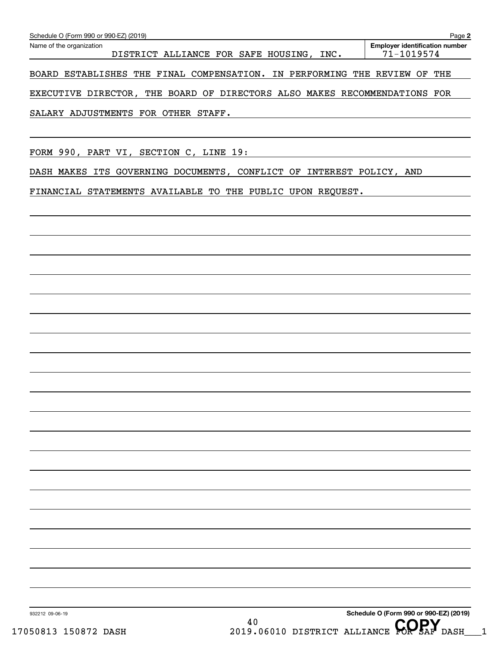| Page 2<br>Schedule O (Form 990 or 990-EZ) (2019)                          |  |  |                                     |  |  |      |  |                                                     |     |
|---------------------------------------------------------------------------|--|--|-------------------------------------|--|--|------|--|-----------------------------------------------------|-----|
| Name of the organization                                                  |  |  | DISTRICT ALLIANCE FOR SAFE HOUSING, |  |  | INC. |  | <b>Employer identification number</b><br>71-1019574 |     |
| BOARD ESTABLISHES THE FINAL COMPENSATION. IN PERFORMING THE REVIEW OF     |  |  |                                     |  |  |      |  |                                                     | THE |
| EXECUTIVE DIRECTOR, THE BOARD OF DIRECTORS ALSO MAKES RECOMMENDATIONS FOR |  |  |                                     |  |  |      |  |                                                     |     |
| SALARY ADJUSTMENTS FOR OTHER STAFF.                                       |  |  |                                     |  |  |      |  |                                                     |     |

FORM 990, PART VI, SECTION C, LINE 19:

DASH MAKES ITS GOVERNING DOCUMENTS, CONFLICT OF INTEREST POLICY, AND

FINANCIAL STATEMENTS AVAILABLE TO THE PUBLIC UPON REQUEST.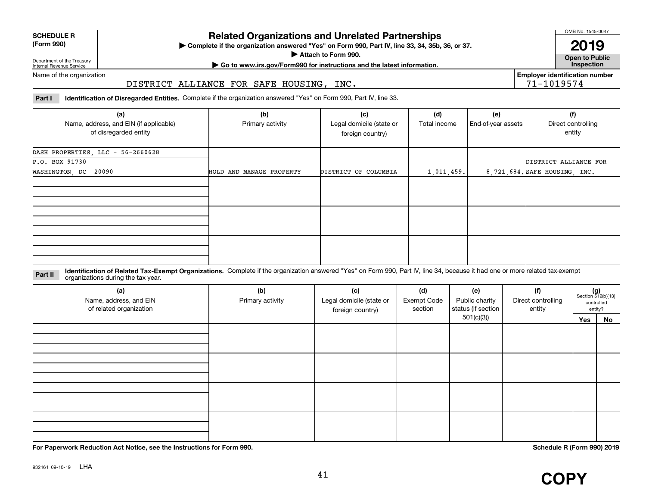| <b>SCHEDULE R</b>                          |  |
|--------------------------------------------|--|
| $\mathbf{r}$ , $\mathbf{r}$ , $\mathbf{r}$ |  |

#### **(Form 990)**

## **Related Organizations and Unrelated Partnerships**

**Complete if the organization answered "Yes" on Form 990, Part IV, line 33, 34, 35b, 36, or 37.** |

**Attach to Form 990.**  |

OMB No. 1545-0047

**Open to Public 2019**

**Employer identification number**

71-1019574

Department of the Treasury Internal Revenue Service

### **| Go to www.irs.gov/Form990 for instructions and the latest information. Inspection**

Name of the organization

#### DISTRICT ALLIANCE FOR SAFE HOUSING, INC.

**Part I Identification of Disregarded Entities.**  Complete if the organization answered "Yes" on Form 990, Part IV, line 33.

| (a)<br>Name, address, and EIN (if applicable)<br>of disregarded entity | (b)<br>Primary activity  | (c)<br>(d)<br>(e)<br>Legal domicile (state or<br>Total income<br>foreign country) |            | End-of-year assets | (f)<br>Direct controlling<br>entity |
|------------------------------------------------------------------------|--------------------------|-----------------------------------------------------------------------------------|------------|--------------------|-------------------------------------|
| DASH PROPERTIES, LLC - 56-2660628                                      |                          |                                                                                   |            |                    |                                     |
| P.O. BOX 91730                                                         |                          |                                                                                   |            |                    | DISTRICT ALLIANCE FOR               |
| WASHINGTON, DC 20090                                                   | HOLD AND MANAGE PROPERTY | DISTRICT OF COLUMBIA                                                              | 1,011,459. |                    | 8,721,684. SAFE HOUSING, INC.       |
|                                                                        |                          |                                                                                   |            |                    |                                     |
|                                                                        |                          |                                                                                   |            |                    |                                     |
|                                                                        |                          |                                                                                   |            |                    |                                     |

**Identification of Related Tax-Exempt Organizations.** Complete if the organization answered "Yes" on Form 990, Part IV, line 34, because it had one or more related tax-exempt **Part II** organizations during the tax year.

| (a)<br>Name, address, and EIN<br>of related organization | (b)<br>Primary activity | (c)<br>Legal domicile (state or<br>foreign country) | (d)<br><b>Exempt Code</b><br>section | (e)<br>Public charity<br>status (if section | (f)<br>Direct controlling<br>entity |     | $(g)$<br>Section 512(b)(13)<br>controlled<br>entity? |
|----------------------------------------------------------|-------------------------|-----------------------------------------------------|--------------------------------------|---------------------------------------------|-------------------------------------|-----|------------------------------------------------------|
|                                                          |                         |                                                     |                                      | 501(c)(3)                                   |                                     | Yes | No                                                   |
|                                                          |                         |                                                     |                                      |                                             |                                     |     |                                                      |
|                                                          |                         |                                                     |                                      |                                             |                                     |     |                                                      |
|                                                          |                         |                                                     |                                      |                                             |                                     |     |                                                      |

**For Paperwork Reduction Act Notice, see the Instructions for Form 990. Schedule R (Form 990) 2019**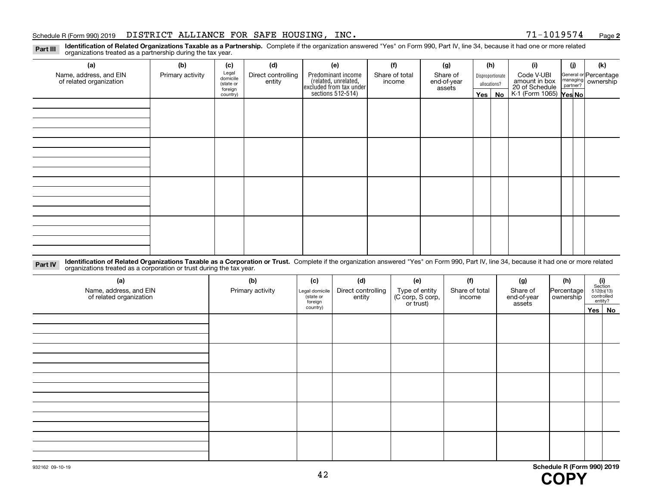#### Schedule R (Form 990) 2019  ${\rm DISTRICT}$  ALLIANCE FOR SAFE HOUSING,  ${\rm INC.}$   ${\rm NCC.}$   ${\rm 71-1019574}$   ${\rm Page}$

**2**

**Identification of Related Organizations Taxable as a Partnership.** Complete if the organization answered "Yes" on Form 990, Part IV, line 34, because it had one or more related **Part III** organizations treated as a partnership during the tax year.

| (a)                                               | (b)              | (c)                  | (d)                          | (e)                                                                 | (f)                      | (g)                     |         | (h)              | (i)                                                              | (j) | (k)                                                     |
|---------------------------------------------------|------------------|----------------------|------------------------------|---------------------------------------------------------------------|--------------------------|-------------------------|---------|------------------|------------------------------------------------------------------|-----|---------------------------------------------------------|
| Name, address, and EIN<br>of related organization | Primary activity | Legal<br>domicile    | Direct controlling<br>entity | Predominant income                                                  | Share of total<br>income | Share of<br>end-of-year |         | Disproportionate | Code V-UBI                                                       |     | General or Percentage<br>managing ownership<br>partner? |
|                                                   |                  | (state or<br>foreign |                              |                                                                     |                          | assets                  |         | allocations?     |                                                                  |     |                                                         |
|                                                   |                  | country)             |                              | related, unrelated,<br>excluded from tax under<br>sections 512-514) |                          |                         | Yes $ $ | No               | amount in box<br>20 of Schedule<br>K-1 (Form 1065) <b>Yes No</b> |     |                                                         |
|                                                   |                  |                      |                              |                                                                     |                          |                         |         |                  |                                                                  |     |                                                         |
|                                                   |                  |                      |                              |                                                                     |                          |                         |         |                  |                                                                  |     |                                                         |
|                                                   |                  |                      |                              |                                                                     |                          |                         |         |                  |                                                                  |     |                                                         |
|                                                   |                  |                      |                              |                                                                     |                          |                         |         |                  |                                                                  |     |                                                         |
|                                                   |                  |                      |                              |                                                                     |                          |                         |         |                  |                                                                  |     |                                                         |
|                                                   |                  |                      |                              |                                                                     |                          |                         |         |                  |                                                                  |     |                                                         |
|                                                   |                  |                      |                              |                                                                     |                          |                         |         |                  |                                                                  |     |                                                         |
|                                                   |                  |                      |                              |                                                                     |                          |                         |         |                  |                                                                  |     |                                                         |
|                                                   |                  |                      |                              |                                                                     |                          |                         |         |                  |                                                                  |     |                                                         |
|                                                   |                  |                      |                              |                                                                     |                          |                         |         |                  |                                                                  |     |                                                         |
|                                                   |                  |                      |                              |                                                                     |                          |                         |         |                  |                                                                  |     |                                                         |
|                                                   |                  |                      |                              |                                                                     |                          |                         |         |                  |                                                                  |     |                                                         |
|                                                   |                  |                      |                              |                                                                     |                          |                         |         |                  |                                                                  |     |                                                         |
|                                                   |                  |                      |                              |                                                                     |                          |                         |         |                  |                                                                  |     |                                                         |
|                                                   |                  |                      |                              |                                                                     |                          |                         |         |                  |                                                                  |     |                                                         |
|                                                   |                  |                      |                              |                                                                     |                          |                         |         |                  |                                                                  |     |                                                         |
|                                                   |                  |                      |                              |                                                                     |                          |                         |         |                  |                                                                  |     |                                                         |

**Identification of Related Organizations Taxable as a Corporation or Trust.** Complete if the organization answered "Yes" on Form 990, Part IV, line 34, because it had one or more related **Part IV** organizations treated as a corporation or trust during the tax year.

| (a)<br>Name, address, and EIN<br>of related organization | (b)<br>Primary activity | (c)<br>Legal domicile<br>(state or<br>foreign | (d)<br>Direct controlling<br>entity | (e)<br>Type of entity<br>(C corp, S corp,<br>or trust) | (f)<br>Share of total<br>income | (g)<br>Share of<br>end-of-year<br>assets | (h)<br>Percentage<br>ownership | $\begin{array}{c} \textbf{(i)}\\ \text{Section}\\ 512 \text{(b)} \text{(13)}\\ \text{controlled}\\ \text{entity?} \end{array}$ |
|----------------------------------------------------------|-------------------------|-----------------------------------------------|-------------------------------------|--------------------------------------------------------|---------------------------------|------------------------------------------|--------------------------------|--------------------------------------------------------------------------------------------------------------------------------|
|                                                          |                         | country)                                      |                                     |                                                        |                                 |                                          |                                | Yes   No                                                                                                                       |
|                                                          |                         |                                               |                                     |                                                        |                                 |                                          |                                |                                                                                                                                |
|                                                          |                         |                                               |                                     |                                                        |                                 |                                          |                                |                                                                                                                                |
|                                                          |                         |                                               |                                     |                                                        |                                 |                                          |                                |                                                                                                                                |
|                                                          |                         |                                               |                                     |                                                        |                                 |                                          |                                |                                                                                                                                |
|                                                          |                         |                                               |                                     |                                                        |                                 |                                          |                                |                                                                                                                                |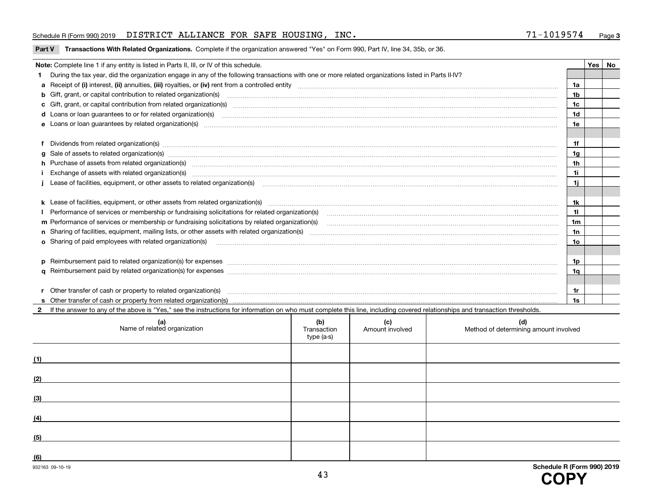#### Schedule R (Form 990) 2019  ${\rm DISTRICT}$  ALLIANCE FOR SAFE HOUSING,  ${\rm INC.}$   ${\rm NCC.}$   ${\rm 71-1019574}$   ${\rm Page}$

# **Part V Transactions With Related Organizations. Complete if the organization answered "Yes" on Form 990, Part IV, line 34, 35b, or 36.<br>**

| Note: Complete line 1 if any entity is listed in Parts II, III, or IV of this schedule.                                                                                                                                        |     | Yes | No |
|--------------------------------------------------------------------------------------------------------------------------------------------------------------------------------------------------------------------------------|-----|-----|----|
| During the tax year, did the organization engage in any of the following transactions with one or more related organizations listed in Parts II-IV?                                                                            |     |     |    |
|                                                                                                                                                                                                                                | 1a  |     |    |
| b Gift, grant, or capital contribution to related organization(s) manufactured and contribution to related organization(s)                                                                                                     | 1b  |     |    |
|                                                                                                                                                                                                                                | 1c  |     |    |
|                                                                                                                                                                                                                                | 1d  |     |    |
| e Loans or loan quarantees by related organization(s)                                                                                                                                                                          | 1e  |     |    |
|                                                                                                                                                                                                                                |     |     |    |
|                                                                                                                                                                                                                                | 1f  |     |    |
| g Sale of assets to related organization(s) manufactured and content to the content of the content of the content of the content of the content of the content of the content of the content of the content of the content of  | 1g  |     |    |
| h Purchase of assets from related organization(s) manufactured content to content the content of the content of the content of the content of the content of the content of the content of the content of the content of the c | 1h  |     |    |
|                                                                                                                                                                                                                                | 1i  |     |    |
| Lease of facilities, equipment, or other assets to related organization(s) contain an according to the case of facilities, equipment, or other assets to related organization(s) contained and according to the state of the c | 1i. |     |    |
|                                                                                                                                                                                                                                |     |     |    |
| k Lease of facilities, equipment, or other assets from related organization(s) manufaction content and content to the assets from related organization(s) manufaction content and content and content and content and content  | 1k. |     |    |
| Performance of services or membership or fundraising solicitations for related organization(s)                                                                                                                                 | 11  |     |    |
| m Performance of services or membership or fundraising solicitations by related organization(s)                                                                                                                                | 1m  |     |    |
|                                                                                                                                                                                                                                | 1n  |     |    |
| <b>o</b> Sharing of paid employees with related organization(s)                                                                                                                                                                | 1o  |     |    |
|                                                                                                                                                                                                                                |     |     |    |
|                                                                                                                                                                                                                                | 1p. |     |    |
|                                                                                                                                                                                                                                | 1q  |     |    |
|                                                                                                                                                                                                                                |     |     |    |
| r Other transfer of cash or property to related organization(s)                                                                                                                                                                | 1r  |     |    |
|                                                                                                                                                                                                                                | 1s  |     |    |

**2**If the answer to any of the above is "Yes," see the instructions for information on who must complete this line, including covered relationships and transaction thresholds.

| (a)<br>Name of related organization | (b)<br>Transaction<br>type (a-s) | (c)<br>Amount involved | (d)<br>Method of determining amount involved |
|-------------------------------------|----------------------------------|------------------------|----------------------------------------------|
| (1)                                 |                                  |                        |                                              |
| (2)                                 |                                  |                        |                                              |
| (3)                                 |                                  |                        |                                              |
| (4)                                 |                                  |                        |                                              |
| (5)                                 |                                  |                        |                                              |
| (6)                                 |                                  |                        |                                              |

 $\overline{a}$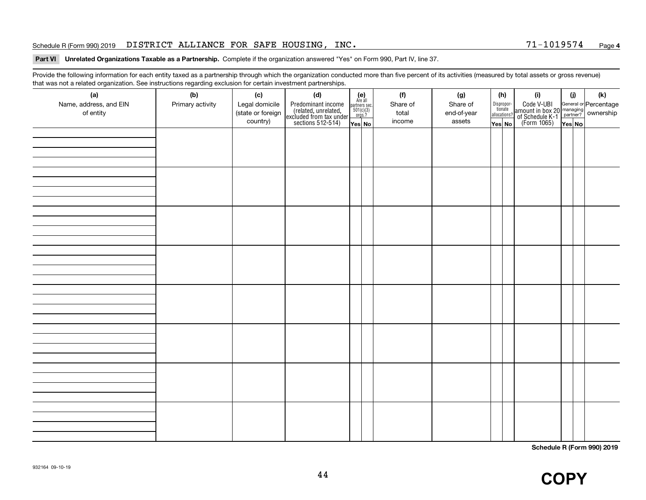#### Schedule R (Form 990) 2019  ${\rm DISTRICT}$  ALLIANCE FOR SAFE HOUSING,  ${\rm INC.}$   ${\rm NCC.}$   ${\rm 71-1019574}$   ${\rm Page}$

#### **4**

# **Part VI Unrelated Organizations Taxable as a Partnership.**  Complete if the organization answered "Yes" on Form 990, Part IV, line 37.

Provide the following information for each entity taxed as a partnership through which the organization conducted more than five percent of its activities (measured by total assets or gross revenue) that was not a related organization. See instructions regarding exclusion for certain investment partnerships.

| (a)<br>Name, address, and EIN<br>of entity | (b)<br>Primary activity | (c)<br>Legal domicile<br>(state or foreign<br>country) | (d)<br>Predominant income<br>(related, unrelated,<br>excluded from tax under<br>sections 512-514) | $(e)$<br>Are all<br>partners sec.<br>$501(c)(3)$<br>orgs.?<br>Yes No | (f)<br>Share of<br>total<br>income | (g)<br>Share of<br>end-of-year<br>assets | (h)<br>Dispropor-<br>tionate<br>allocations?<br>Yes No | (i)<br>Code V-UBI<br>amount in box 20 managing<br>of Schedule K-1<br>(Form 1065)<br>$\overline{Yes}$ No | (i) | (k) |
|--------------------------------------------|-------------------------|--------------------------------------------------------|---------------------------------------------------------------------------------------------------|----------------------------------------------------------------------|------------------------------------|------------------------------------------|--------------------------------------------------------|---------------------------------------------------------------------------------------------------------|-----|-----|
|                                            |                         |                                                        |                                                                                                   |                                                                      |                                    |                                          |                                                        |                                                                                                         |     |     |
|                                            |                         |                                                        |                                                                                                   |                                                                      |                                    |                                          |                                                        |                                                                                                         |     |     |
|                                            |                         |                                                        |                                                                                                   |                                                                      |                                    |                                          |                                                        |                                                                                                         |     |     |
|                                            |                         |                                                        |                                                                                                   |                                                                      |                                    |                                          |                                                        |                                                                                                         |     |     |
|                                            |                         |                                                        |                                                                                                   |                                                                      |                                    |                                          |                                                        |                                                                                                         |     |     |
|                                            |                         |                                                        |                                                                                                   |                                                                      |                                    |                                          |                                                        |                                                                                                         |     |     |
|                                            |                         |                                                        |                                                                                                   |                                                                      |                                    |                                          |                                                        |                                                                                                         |     |     |
|                                            |                         |                                                        |                                                                                                   |                                                                      |                                    |                                          |                                                        |                                                                                                         |     |     |

**Schedule R (Form 990) 2019**